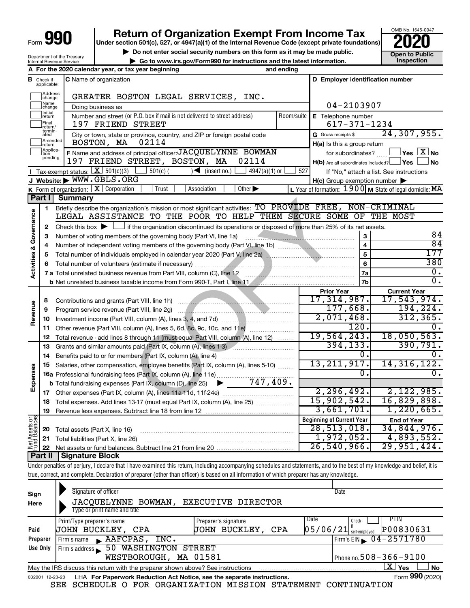# **990** Return of Organization Exempt From Income Tax <br>
Under section 501(c), 527, or 4947(a)(1) of the Internal Revenue Code (except private foundations)<br> **PO20**

▶ Do not enter social security numbers on this form as it may be made public. **Dependent Open to Public Dependent Open to Public and the latest information.** Inspection **| Go to www.irs.gov/Form990 for instructions and the latest information. Inspection**

OMB No. 1545-0047

Department of the Treasury Internal Revenue Service

|                         |                                  | A For the 2020 calendar year, or tax year beginning                                                                                                                        | and ending |                                                     |                                                                                       |
|-------------------------|----------------------------------|----------------------------------------------------------------------------------------------------------------------------------------------------------------------------|------------|-----------------------------------------------------|---------------------------------------------------------------------------------------|
|                         | <b>B</b> Check if<br>applicable: | <b>C</b> Name of organization                                                                                                                                              |            | D Employer identification number                    |                                                                                       |
|                         | Address<br>change                | GREATER BOSTON LEGAL SERVICES, INC.                                                                                                                                        |            |                                                     |                                                                                       |
|                         | Name<br>change                   | Doing business as                                                                                                                                                          |            | 04-2103907                                          |                                                                                       |
|                         | Initial<br>return                | Number and street (or P.O. box if mail is not delivered to street address)                                                                                                 | Room/suite | E Telephone number                                  |                                                                                       |
|                         | Final<br>return/                 | 197 FRIEND STREET                                                                                                                                                          |            | $617 - 371 - 1234$                                  |                                                                                       |
|                         | termin-<br>ated                  | City or town, state or province, country, and ZIP or foreign postal code                                                                                                   |            | G Gross receipts \$                                 | 24, 307, 955.                                                                         |
|                         | Amended<br>Ireturn               | 02114<br>BOSTON, MA                                                                                                                                                        |            | H(a) Is this a group return                         |                                                                                       |
|                         | Applica-<br>Ition                | F Name and address of principal officer: JACQUELYNNE BOWMAN                                                                                                                |            | for subordinates?                                   | $\mathsf{\perp}$ Yes $\mathsf{\perp} \mathbf{X} \mathsf{\perp}$ No                    |
|                         | pending                          | 197 FRIEND STREET, BOSTON, MA<br>02114                                                                                                                                     |            | $H(b)$ Are all subordinates included? $\Box$ Yes    | ⊿ No                                                                                  |
|                         |                                  | Tax-exempt status: $X \mid 501(c)(3)$<br>$501(c)$ (<br>$4947(a)(1)$ or<br>$\sqrt{\frac{1}{1}}$ (insert no.)                                                                | 527        |                                                     | If "No," attach a list. See instructions                                              |
|                         |                                  | J Website: WWW.GBLS.ORG                                                                                                                                                    |            | $H(c)$ Group exemption number $\blacktriangleright$ |                                                                                       |
|                         |                                  | K Form of organization: X Corporation<br>Trust<br>Other $\blacktriangleright$<br>Association                                                                               |            |                                                     | L Year of formation: $1900 \text{ m}$ State of legal domicile: $\overline{\text{MA}}$ |
|                         | Part I                           | <b>Summary</b>                                                                                                                                                             |            |                                                     |                                                                                       |
|                         | 1                                | Briefly describe the organization's mission or most significant activities: TO PROVIDE FREE, NON-CRIMINAL                                                                  |            |                                                     |                                                                                       |
|                         |                                  | LEGAL ASSISTANCE TO THE POOR TO HELP THEM SECURE SOME OF THE MOST                                                                                                          |            |                                                     |                                                                                       |
| Governance              | 2                                | Check this box $\blacktriangleright$ $\Box$ if the organization discontinued its operations or disposed of more than 25% of its net assets.                                |            |                                                     |                                                                                       |
|                         | 3                                | Number of voting members of the governing body (Part VI, line 1a)                                                                                                          |            | 3                                                   | 84                                                                                    |
|                         | 4                                | Number of independent voting members of the governing body (Part VI, line 1b)                                                                                              |            | 4                                                   | 84                                                                                    |
|                         | 5                                |                                                                                                                                                                            |            | 5                                                   | 177                                                                                   |
|                         |                                  |                                                                                                                                                                            |            | 6                                                   | 380                                                                                   |
| <b>Activities &amp;</b> |                                  |                                                                                                                                                                            |            | 7a                                                  | $\overline{0}$ .                                                                      |
|                         |                                  |                                                                                                                                                                            |            | 7b                                                  | $\overline{0}$ .                                                                      |
|                         |                                  |                                                                                                                                                                            |            | <b>Prior Year</b>                                   | <b>Current Year</b>                                                                   |
|                         | 8                                |                                                                                                                                                                            |            | 17,314,987.                                         | 17,543,974.                                                                           |
|                         | 9                                |                                                                                                                                                                            |            | 177,668.                                            | 194, 224.                                                                             |
| Revenue                 | 10                               |                                                                                                                                                                            |            | 2,071,468.                                          | 312, 365.                                                                             |
|                         | 11                               | Other revenue (Part VIII, column (A), lines 5, 6d, 8c, 9c, 10c, and 11e)                                                                                                   |            | 120.                                                |                                                                                       |
|                         | 12                               | Total revenue - add lines 8 through 11 (must equal Part VIII, column (A), line 12)                                                                                         |            | 19,564,243.                                         | 18,050,563.                                                                           |
|                         | 13                               | Grants and similar amounts paid (Part IX, column (A), lines 1-3)                                                                                                           |            | 394, 133.                                           | 390, 791.                                                                             |
|                         | 14                               | Benefits paid to or for members (Part IX, column (A), line 4)                                                                                                              |            | 0.                                                  |                                                                                       |
|                         | 15                               | Salaries, other compensation, employee benefits (Part IX, column (A), lines 5-10)                                                                                          |            | 13, 211, 917.                                       | 14, 316, 122.                                                                         |
|                         |                                  | 16a Professional fundraising fees (Part IX, column (A), line 11e)                                                                                                          |            | Ο.                                                  | 0.                                                                                    |
| Expenses                |                                  | $\blacktriangleright$ 747,409.<br><b>b</b> Total fundraising expenses (Part IX, column (D), line 25)                                                                       |            |                                                     |                                                                                       |
|                         |                                  |                                                                                                                                                                            |            | 2, 296, 492.                                        | 2,122,985.                                                                            |
|                         |                                  | 18 Total expenses. Add lines 13-17 (must equal Part IX, column (A), line 25)                                                                                               |            | 15,902,542.                                         | 16,829,898.                                                                           |
|                         |                                  | 19 Revenue less expenses. Subtract line 18 from line 12                                                                                                                    |            | 3,661,701.                                          | 1,220,665.                                                                            |
| Net Assets or           |                                  |                                                                                                                                                                            |            | <b>Beginning of Current Year</b>                    | <b>End of Year</b>                                                                    |
|                         | 20                               | Total assets (Part X, line 16)                                                                                                                                             |            | 28,513,018.                                         | 34,844,976.                                                                           |
|                         | 21                               | Total liabilities (Part X, line 26)                                                                                                                                        |            | 1,972,052.                                          | 4,893,552.                                                                            |
|                         | 22                               |                                                                                                                                                                            |            | 26,540,966.                                         | 29,951,424.                                                                           |
|                         | Part II                          | <b>Signature Block</b>                                                                                                                                                     |            |                                                     |                                                                                       |
|                         |                                  | Under penalties of perjury, I declare that I have examined this return, including accompanying schedules and statements, and to the best of my knowledge and belief, it is |            |                                                     |                                                                                       |
|                         |                                  | true, correct, and complete. Declaration of preparer (other than officer) is based on all information of which preparer has any knowledge.                                 |            |                                                     |                                                                                       |
|                         |                                  | Signature of officer                                                                                                                                                       |            | Date                                                |                                                                                       |
| Sign                    |                                  | JACQUELYNNE BOWMAN,                                                                                                                                                        |            |                                                     |                                                                                       |
| Here                    |                                  | EXECUTIVE DIRECTOR                                                                                                                                                         |            |                                                     |                                                                                       |

| Here                                                  | JACQUELYNNE BOWMAN, EXECUTIVE DIRECTOR                                                                       |                      |                                                               |  |  |  |  |  |  |
|-------------------------------------------------------|--------------------------------------------------------------------------------------------------------------|----------------------|---------------------------------------------------------------|--|--|--|--|--|--|
|                                                       | Type or print name and title                                                                                 |                      |                                                               |  |  |  |  |  |  |
|                                                       | Print/Type preparer's name                                                                                   | Preparer's signature | <b>PTIN</b><br>Date<br>Check                                  |  |  |  |  |  |  |
| Paid                                                  | JOHN BUCKLEY, CPA                                                                                            | JOHN BUCKLEY,<br>CPA | P00830631<br>$\left[0.5\,/\,0.6\,/\,2.1\right]$ self-employed |  |  |  |  |  |  |
| Preparer                                              | $\blacktriangle$ AAFCPAS, INC.<br>Firm's name                                                                |                      | $I$ Firm's EIN $\sqrt{04-2571780}$                            |  |  |  |  |  |  |
| Use Only                                              | Firm's address 50 WASHINGTON STREET                                                                          |                      |                                                               |  |  |  |  |  |  |
| WESTBOROUGH, MA 01581<br>Phone no. $508 - 366 - 9100$ |                                                                                                              |                      |                                                               |  |  |  |  |  |  |
|                                                       | ΧI<br><b>No</b><br>Yes<br>May the IRS discuss this return with the preparer shown above? See instructions    |                      |                                                               |  |  |  |  |  |  |
|                                                       | Form 990 (2020)<br>LHA For Paperwork Reduction Act Notice, see the separate instructions.<br>032001 12-23-20 |                      |                                                               |  |  |  |  |  |  |

SEE SCHEDULE O FOR ORGANIZATION MISSION STATEMENT CONTINUATION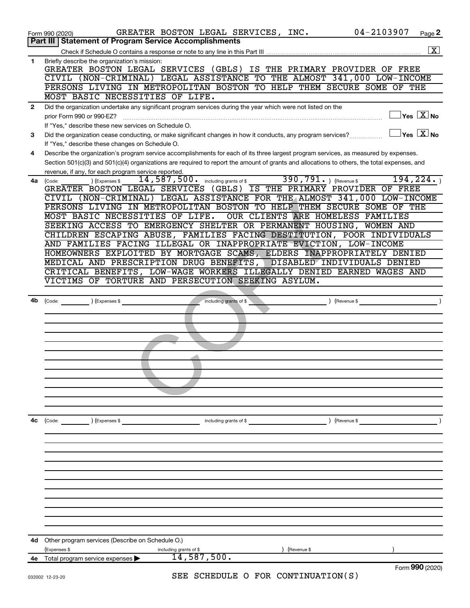|              | 04-2103907<br>GREATER BOSTON LEGAL SERVICES, INC.<br>Page 2<br>Form 990 (2020)                                                                                         |
|--------------|------------------------------------------------------------------------------------------------------------------------------------------------------------------------|
|              | <b>Part III   Statement of Program Service Accomplishments</b>                                                                                                         |
|              | $\boxed{\text{X}}$                                                                                                                                                     |
| $\mathbf 1$  | Briefly describe the organization's mission:<br>GREATER BOSTON LEGAL SERVICES (GBLS) IS THE PRIMARY PROVIDER OF FREE                                                   |
|              | CIVIL (NON-CRIMINAL) LEGAL ASSISTANCE TO THE ALMOST 341,000 LOW-INCOME                                                                                                 |
|              | PERSONS LIVING IN METROPOLITAN BOSTON TO HELP THEM SECURE SOME OF THE                                                                                                  |
|              | MOST BASIC NECESSITIES OF LIFE.                                                                                                                                        |
| $\mathbf{2}$ | Did the organization undertake any significant program services during the year which were not listed on the                                                           |
|              | $\sqrt{}$ Yes $\sqrt{}\,\overline{X}$ No<br>prior Form 990 or 990-EZ?                                                                                                  |
|              | If "Yes," describe these new services on Schedule O.                                                                                                                   |
| 3            | $\vert$ Yes $\vert$ $\overline{\mathrm{X}}$ $\vert$ No<br>Did the organization cease conducting, or make significant changes in how it conducts, any program services? |
|              | If "Yes," describe these changes on Schedule O.                                                                                                                        |
| 4            | Describe the organization's program service accomplishments for each of its three largest program services, as measured by expenses.                                   |
|              | Section 501(c)(3) and 501(c)(4) organizations are required to report the amount of grants and allocations to others, the total expenses, and                           |
|              | revenue, if any, for each program service reported.                                                                                                                    |
| 4a           | 390, 791. $ $ (Revenue \$<br>194, 224.<br>$14,587,500$ a including grants of \$<br>) (Expenses \$<br>(Code:                                                            |
|              | GREATER BOSTON LEGAL SERVICES (GBLS) IS THE PRIMARY PROVIDER OF FREE                                                                                                   |
|              | CIVIL (NON-CRIMINAL) LEGAL ASSISTANCE FOR THE ALMOST 341,000 LOW-INCOME                                                                                                |
|              | PERSONS LIVING IN METROPOLITAN BOSTON TO HELP THEM SECURE SOME OF THE                                                                                                  |
|              | MOST BASIC NECESSITIES OF LIFE.<br>OUR CLIENTS ARE HOMELESS FAMILIES                                                                                                   |
|              | SEEKING ACCESS TO EMERGENCY SHELTER OR PERMANENT HOUSING, WOMEN AND                                                                                                    |
|              | CHILDREN ESCAPING ABUSE, FAMILIES FACING DESTITUTION, POOR INDIVIDUALS                                                                                                 |
|              | AND FAMILIES FACING ILLEGAL OR INAPPROPRIATE EVICTION, LOW-INCOME                                                                                                      |
|              | HOMEOWNERS EXPLOITED BY MORTGAGE SCAMS, ELDERS INAPPROPRIATELY DENIED                                                                                                  |
|              | MEDICAL AND PRESCRIPTION DRUG BENEFITS,<br>DISABLED INDIVIDUALS DENIED                                                                                                 |
|              | CRITICAL BENEFITS, LOW-WAGE WORKERS ILLEGALLY DENIED EARNED WAGES AND                                                                                                  |
|              | VICTIMS OF TORTURE AND PERSECUTION SEEKING ASYLUM.                                                                                                                     |
|              |                                                                                                                                                                        |
| 4b           | (Expenses \$<br>(Revenue \$<br>$\left(\text{Code:}\right)$<br>including grants of \$                                                                                   |
|              |                                                                                                                                                                        |
|              |                                                                                                                                                                        |
|              |                                                                                                                                                                        |
|              |                                                                                                                                                                        |
|              |                                                                                                                                                                        |
|              |                                                                                                                                                                        |
|              |                                                                                                                                                                        |
|              |                                                                                                                                                                        |
|              |                                                                                                                                                                        |
|              |                                                                                                                                                                        |
|              |                                                                                                                                                                        |
|              |                                                                                                                                                                        |
| 4с           | ) (Revenue \$<br>$\left(\text{Code:}\n\right)$<br>) (Expenses \$<br>including grants of \$                                                                             |
|              |                                                                                                                                                                        |
|              |                                                                                                                                                                        |
|              |                                                                                                                                                                        |
|              |                                                                                                                                                                        |
|              |                                                                                                                                                                        |
|              |                                                                                                                                                                        |
|              |                                                                                                                                                                        |
|              |                                                                                                                                                                        |
|              |                                                                                                                                                                        |
|              |                                                                                                                                                                        |
|              |                                                                                                                                                                        |
|              |                                                                                                                                                                        |
| 4d           |                                                                                                                                                                        |
|              | Other program services (Describe on Schedule O.)                                                                                                                       |
|              | (Expenses \$<br>including grants of \$<br>(Revenue \$<br>14,587,500.                                                                                                   |
| 4e           | Total program service expenses<br>Form 990 (2020)                                                                                                                      |
|              | SEE SCHEDULE O FOR CONTINUATION(S)<br>032002 12-23-20                                                                                                                  |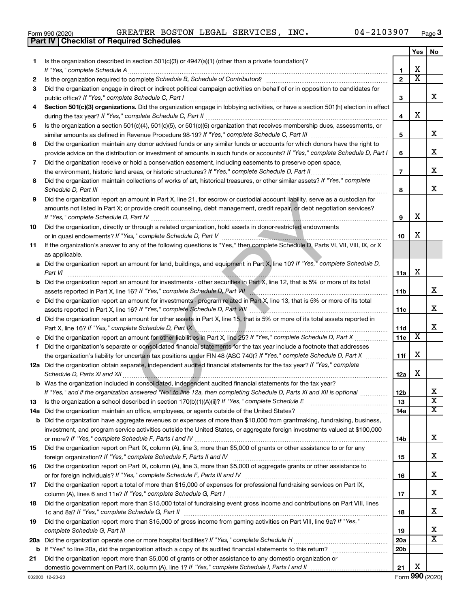| Form 990 (2020 |  |
|----------------|--|
|                |  |

**Part IV Checklist of Required Schedules**

 $\frac{1}{2}$ Form 990 (2020) GREATER BOSTON LEGAL SERVICES, INC.  $\frac{1}{2}$  04-2103907  $\frac{1}{2}$  Page GREATER BOSTON LEGAL SERVICES, INC. 04-2103907

|    |                                                                                                                                                                                                                                                   |                 | Yes | No                      |
|----|---------------------------------------------------------------------------------------------------------------------------------------------------------------------------------------------------------------------------------------------------|-----------------|-----|-------------------------|
| 1. | Is the organization described in section $501(c)(3)$ or $4947(a)(1)$ (other than a private foundation)?                                                                                                                                           |                 |     |                         |
|    | If "Yes," complete Schedule A                                                                                                                                                                                                                     | 1               | x   |                         |
| 2  |                                                                                                                                                                                                                                                   | $\mathbf{2}$    | x   |                         |
| 3  | Did the organization engage in direct or indirect political campaign activities on behalf of or in opposition to candidates for                                                                                                                   |                 |     | x                       |
|    | public office? If "Yes," complete Schedule C, Part I                                                                                                                                                                                              | 3               |     |                         |
| 4  | Section 501(c)(3) organizations. Did the organization engage in lobbying activities, or have a section 501(h) election in effect                                                                                                                  | 4               | x   |                         |
| 5  | Is the organization a section 501(c)(4), 501(c)(5), or 501(c)(6) organization that receives membership dues, assessments, or                                                                                                                      |                 |     |                         |
|    |                                                                                                                                                                                                                                                   | 5               |     | x                       |
| 6  | Did the organization maintain any donor advised funds or any similar funds or accounts for which donors have the right to                                                                                                                         |                 |     |                         |
|    | provide advice on the distribution or investment of amounts in such funds or accounts? If "Yes," complete Schedule D, Part I                                                                                                                      | 6               |     | x.                      |
| 7  | Did the organization receive or hold a conservation easement, including easements to preserve open space,                                                                                                                                         |                 |     |                         |
|    | the environment, historic land areas, or historic structures? If "Yes," complete Schedule D, Part II                                                                                                                                              | $\overline{7}$  |     | х                       |
| 8  | Did the organization maintain collections of works of art, historical treasures, or other similar assets? If "Yes," complete<br>Schedule D, Part III                                                                                              | 8               |     | х                       |
| 9  | Did the organization report an amount in Part X, line 21, for escrow or custodial account liability, serve as a custodian for                                                                                                                     |                 |     |                         |
|    | amounts not listed in Part X; or provide credit counseling, debt management, credit repair, or debt negotiation services?<br>If "Yes," complete Schedule D, Part IV                                                                               | 9               | x   |                         |
| 10 | Did the organization, directly or through a related organization, hold assets in donor-restricted endowments                                                                                                                                      |                 |     |                         |
|    |                                                                                                                                                                                                                                                   | 10              | x   |                         |
| 11 | If the organization's answer to any of the following questions is "Yes," then complete Schedule D, Parts VI, VII, VIII, IX, or X<br>as applicable.                                                                                                |                 |     |                         |
|    | a Did the organization report an amount for land, buildings, and equipment in Part X, line 10? If "Yes," complete Schedule D,                                                                                                                     |                 |     |                         |
|    | Part VI                                                                                                                                                                                                                                           | 11a             | х   |                         |
|    | <b>b</b> Did the organization report an amount for investments - other securities in Part X, line 12, that is 5% or more of its total                                                                                                             |                 |     |                         |
|    |                                                                                                                                                                                                                                                   | 11b             |     | x                       |
|    | c Did the organization report an amount for investments - program related in Part X, line 13, that is 5% or more of its total                                                                                                                     |                 |     |                         |
|    |                                                                                                                                                                                                                                                   | 11c             |     | х                       |
|    | d Did the organization report an amount for other assets in Part X, line 15, that is 5% or more of its total assets reported in                                                                                                                   |                 |     |                         |
|    | Part X, line 16? If "Yes," complete Schedule D, Part IX \\unimidad material material control of the 16? If "Yes," complete Schedule D, Part IX \\unimidad material material material material material material material mater                    | 11d             | X   | x                       |
|    |                                                                                                                                                                                                                                                   | 11e             |     |                         |
| f  | Did the organization's separate or consolidated financial statements for the tax year include a footnote that addresses<br>the organization's liability for uncertain tax positions under FIN 48 (ASC 740)? If "Yes," complete Schedule D, Part X | 11f             | x   |                         |
|    | 12a Did the organization obtain separate, independent audited financial statements for the tax year? If "Yes," complete                                                                                                                           |                 |     |                         |
|    | Schedule D, Parts XI and XII                                                                                                                                                                                                                      | 12a             | x   |                         |
|    | <b>b</b> Was the organization included in consolidated, independent audited financial statements for the tax year?                                                                                                                                |                 |     |                         |
|    | If "Yes," and if the organization answered "No" to line 12a, then completing Schedule D, Parts XI and XII is optional                                                                                                                             | 12 <sub>b</sub> |     |                         |
| 13 |                                                                                                                                                                                                                                                   | 13              |     | $\overline{\textbf{x}}$ |
|    | 14a Did the organization maintain an office, employees, or agents outside of the United States?                                                                                                                                                   | 14a             |     | x                       |
|    | <b>b</b> Did the organization have aggregate revenues or expenses of more than \$10,000 from grantmaking, fundraising, business,                                                                                                                  |                 |     |                         |
|    | investment, and program service activities outside the United States, or aggregate foreign investments valued at \$100,000                                                                                                                        | 14b             |     | x                       |
| 15 | Did the organization report on Part IX, column (A), line 3, more than \$5,000 of grants or other assistance to or for any                                                                                                                         |                 |     |                         |
|    |                                                                                                                                                                                                                                                   | 15              |     | x                       |
| 16 | Did the organization report on Part IX, column (A), line 3, more than \$5,000 of aggregate grants or other assistance to                                                                                                                          |                 |     |                         |
|    |                                                                                                                                                                                                                                                   | 16              |     | x                       |
| 17 | Did the organization report a total of more than \$15,000 of expenses for professional fundraising services on Part IX,                                                                                                                           |                 |     |                         |
|    |                                                                                                                                                                                                                                                   | 17              |     | x                       |
| 18 | Did the organization report more than \$15,000 total of fundraising event gross income and contributions on Part VIII, lines                                                                                                                      |                 |     | x                       |
|    |                                                                                                                                                                                                                                                   | 18              |     |                         |
| 19 | Did the organization report more than \$15,000 of gross income from gaming activities on Part VIII, line 9a? If "Yes,"                                                                                                                            | 19              |     | х                       |
|    |                                                                                                                                                                                                                                                   | <b>20a</b>      |     | x                       |
|    |                                                                                                                                                                                                                                                   | 20 <sub>b</sub> |     |                         |
| 21 | Did the organization report more than \$5,000 of grants or other assistance to any domestic organization or                                                                                                                                       |                 |     |                         |
|    |                                                                                                                                                                                                                                                   | 21              | х   |                         |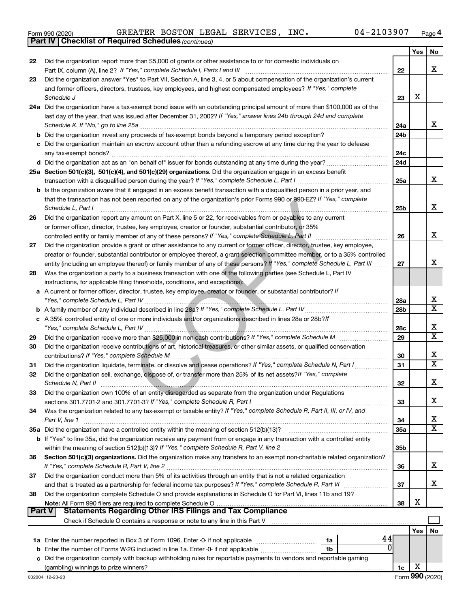|  | Form 990 (2020) |
|--|-----------------|
|  |                 |

*(continued)* **Part IV Checklist of Required Schedules**

|        |                                                                                                                                                                                                                                                   |                 | Yes | No                           |
|--------|---------------------------------------------------------------------------------------------------------------------------------------------------------------------------------------------------------------------------------------------------|-----------------|-----|------------------------------|
| 22     | Did the organization report more than \$5,000 of grants or other assistance to or for domestic individuals on                                                                                                                                     |                 |     |                              |
|        |                                                                                                                                                                                                                                                   | 22              |     | x                            |
| 23     | Did the organization answer "Yes" to Part VII, Section A, line 3, 4, or 5 about compensation of the organization's current                                                                                                                        |                 |     |                              |
|        | and former officers, directors, trustees, key employees, and highest compensated employees? If "Yes," complete                                                                                                                                    |                 | х   |                              |
|        |                                                                                                                                                                                                                                                   | 23              |     |                              |
|        | 24a Did the organization have a tax-exempt bond issue with an outstanding principal amount of more than \$100,000 as of the<br>last day of the year, that was issued after December 31, 2002? If "Yes," answer lines 24b through 24d and complete |                 |     |                              |
|        | Schedule K. If "No," go to line 25a                                                                                                                                                                                                               | 24a             |     | x                            |
|        |                                                                                                                                                                                                                                                   | 24 <sub>b</sub> |     |                              |
|        | c Did the organization maintain an escrow account other than a refunding escrow at any time during the year to defease                                                                                                                            |                 |     |                              |
|        | any tax-exempt bonds?                                                                                                                                                                                                                             | 24c             |     |                              |
|        | d Did the organization act as an "on behalf of" issuer for bonds outstanding at any time during the year?                                                                                                                                         | 24d             |     |                              |
|        | 25a Section 501(c)(3), 501(c)(4), and 501(c)(29) organizations. Did the organization engage in an excess benefit                                                                                                                                  |                 |     |                              |
|        |                                                                                                                                                                                                                                                   | 25a             |     | x                            |
|        | b Is the organization aware that it engaged in an excess benefit transaction with a disqualified person in a prior year, and                                                                                                                      |                 |     |                              |
|        | that the transaction has not been reported on any of the organization's prior Forms 990 or 990-EZ? If "Yes," complete                                                                                                                             |                 |     |                              |
|        | Schedule L, Part I                                                                                                                                                                                                                                | 25b             |     | х                            |
| 26     | Did the organization report any amount on Part X, line 5 or 22, for receivables from or payables to any current                                                                                                                                   |                 |     |                              |
|        | or former officer, director, trustee, key employee, creator or founder, substantial contributor, or 35%                                                                                                                                           |                 |     |                              |
|        | controlled entity or family member of any of these persons? If "Yes," complete Schedule L, Part II                                                                                                                                                | 26              |     | х                            |
| 27     | Did the organization provide a grant or other assistance to any current or former officer, director, trustee, key employee,                                                                                                                       |                 |     |                              |
|        | creator or founder, substantial contributor or employee thereof, a grant selection committee member, or to a 35% controlled                                                                                                                       |                 |     |                              |
|        | entity (including an employee thereof) or family member of any of these persons? If "Yes," complete Schedule L, Part III                                                                                                                          | 27              |     | x                            |
| 28     | Was the organization a party to a business transaction with one of the following parties (see Schedule L, Part IV                                                                                                                                 |                 |     |                              |
|        | instructions, for applicable filing thresholds, conditions, and exceptions):                                                                                                                                                                      |                 |     |                              |
|        | a A current or former officer, director, trustee, key employee, creator or founder, or substantial contributor? If                                                                                                                                |                 |     |                              |
|        |                                                                                                                                                                                                                                                   | 28a             |     | х<br>$\overline{\textbf{X}}$ |
|        |                                                                                                                                                                                                                                                   | 28 <sub>b</sub> |     |                              |
|        | c A 35% controlled entity of one or more individuals and/or organizations described in lines 28a or 28b?If                                                                                                                                        |                 |     | х                            |
| 29     |                                                                                                                                                                                                                                                   | 28c<br>29       |     | $\overline{\text{x}}$        |
| 30     | Did the organization receive contributions of art, historical treasures, or other similar assets, or qualified conservation                                                                                                                       |                 |     |                              |
|        |                                                                                                                                                                                                                                                   | 30              |     | х                            |
| 31     | Did the organization liquidate, terminate, or dissolve and cease operations? If "Yes," complete Schedule N, Part I                                                                                                                                | 31              |     | $\overline{\textbf{X}}$      |
| 32     | Did the organization sell, exchange, dispose of, or transfer more than 25% of its net assets? If "Yes," complete                                                                                                                                  |                 |     |                              |
|        | Schedule N, Part II                                                                                                                                                                                                                               | 32              |     | х                            |
| 33     | Did the organization own 100% of an entity disregarded as separate from the organization under Regulations                                                                                                                                        |                 |     |                              |
|        |                                                                                                                                                                                                                                                   | 33              |     | х                            |
| 34     | Was the organization related to any tax-exempt or taxable entity? If "Yes," complete Schedule R, Part II, III, or IV, and                                                                                                                         |                 |     |                              |
|        | Part V, line 1                                                                                                                                                                                                                                    | 34              |     | х                            |
|        |                                                                                                                                                                                                                                                   | 35a             |     | $\overline{\text{X}}$        |
|        | b If "Yes" to line 35a, did the organization receive any payment from or engage in any transaction with a controlled entity                                                                                                                       |                 |     |                              |
|        |                                                                                                                                                                                                                                                   | 35 <sub>b</sub> |     |                              |
| 36     | Section 501(c)(3) organizations. Did the organization make any transfers to an exempt non-charitable related organization?                                                                                                                        |                 |     |                              |
|        |                                                                                                                                                                                                                                                   | 36              |     | х                            |
| 37     | Did the organization conduct more than 5% of its activities through an entity that is not a related organization                                                                                                                                  |                 |     |                              |
|        | and that is treated as a partnership for federal income tax purposes? If "Yes," complete Schedule R, Part VI                                                                                                                                      | 37              |     | x                            |
| 38     | Did the organization complete Schedule O and provide explanations in Schedule O for Part VI, lines 11b and 19?                                                                                                                                    |                 | х   |                              |
| Part V | Statements Regarding Other IRS Filings and Tax Compliance                                                                                                                                                                                         | 38              |     |                              |
|        |                                                                                                                                                                                                                                                   |                 |     |                              |
|        |                                                                                                                                                                                                                                                   |                 | Yes | No                           |
|        | 44<br>1a                                                                                                                                                                                                                                          |                 |     |                              |
|        | 0<br>1b                                                                                                                                                                                                                                           |                 |     |                              |
|        | c Did the organization comply with backup withholding rules for reportable payments to vendors and reportable gaming                                                                                                                              |                 |     |                              |
|        |                                                                                                                                                                                                                                                   | 1c              | х   |                              |
|        |                                                                                                                                                                                                                                                   |                 |     |                              |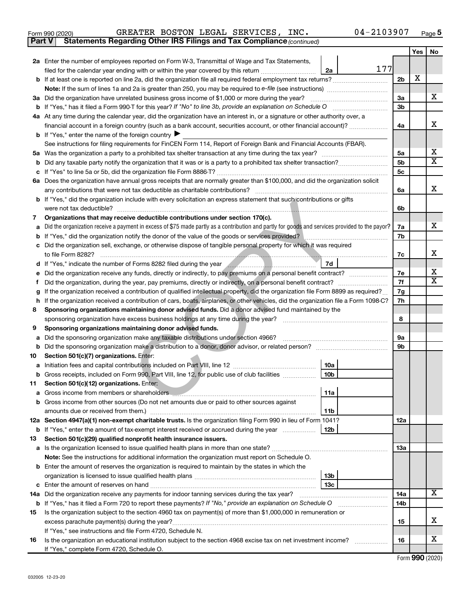| Form 990 (2020) |  |  |  |  | GREATER BOSTON LEGAL SERVICES, | INC. | 04-2103907 | Page |  |
|-----------------|--|--|--|--|--------------------------------|------|------------|------|--|
|-----------------|--|--|--|--|--------------------------------|------|------------|------|--|

**Part V Statements Regarding Other IRS Filings and Tax Compliance**

*(continued)*

|     |                                                                                                                                                                                                                                              |                | Yes | No |
|-----|----------------------------------------------------------------------------------------------------------------------------------------------------------------------------------------------------------------------------------------------|----------------|-----|----|
|     | 2a Enter the number of employees reported on Form W-3, Transmittal of Wage and Tax Statements,                                                                                                                                               |                |     |    |
|     | 177<br>2a<br>filed for the calendar year ending with or within the year covered by this return <i>[[[[[[[[[[[[[]]]</i> ]]                                                                                                                    |                |     |    |
|     | <b>b</b> If at least one is reported on line 2a, did the organization file all required federal employment tax returns?                                                                                                                      | 2b             | х   |    |
|     | Note: If the sum of lines 1a and 2a is greater than 250, you may be required to e-file (see instructions)                                                                                                                                    |                |     |    |
|     | 3a Did the organization have unrelated business gross income of \$1,000 or more during the year?                                                                                                                                             | За             |     | x  |
|     |                                                                                                                                                                                                                                              | Зb             |     |    |
|     | 4a At any time during the calendar year, did the organization have an interest in, or a signature or other authority over, a                                                                                                                 |                |     |    |
|     | financial account in a foreign country (such as a bank account, securities account, or other financial account)?                                                                                                                             | 4a             |     | x  |
|     | <b>b</b> If "Yes," enter the name of the foreign country $\blacktriangleright$                                                                                                                                                               |                |     |    |
|     | See instructions for filing requirements for FinCEN Form 114, Report of Foreign Bank and Financial Accounts (FBAR).                                                                                                                          |                |     |    |
|     |                                                                                                                                                                                                                                              | 5a             |     | х  |
| b   |                                                                                                                                                                                                                                              | 5 <sub>b</sub> |     | X  |
|     |                                                                                                                                                                                                                                              | 5 <sub>c</sub> |     |    |
|     | 6a Does the organization have annual gross receipts that are normally greater than \$100,000, and did the organization solicit                                                                                                               |                |     |    |
|     |                                                                                                                                                                                                                                              | 6a             |     | x  |
|     | b If "Yes," did the organization include with every solicitation an express statement that such contributions or gifts                                                                                                                       |                |     |    |
|     | were not tax deductible?                                                                                                                                                                                                                     | 6b             |     |    |
| 7   | Organizations that may receive deductible contributions under section 170(c).                                                                                                                                                                |                |     | x. |
| а   | Did the organization receive a payment in excess of \$75 made partly as a contribution and partly for goods and services provided to the payor?                                                                                              | 7a<br>7b       |     |    |
| b   | Did the organization sell, exchange, or otherwise dispose of tangible personal property for which it was required                                                                                                                            |                |     |    |
| с   |                                                                                                                                                                                                                                              | 7c             |     | x  |
|     | 7d<br>d If "Yes," indicate the number of Forms 8282 filed during the year <b>All Acceptes and September 2016</b>                                                                                                                             |                |     |    |
| е   |                                                                                                                                                                                                                                              | 7е             |     | х  |
|     |                                                                                                                                                                                                                                              | 7f             |     | X  |
| g   | If the organization received a contribution of qualified intellectual property, did the organization file Form 8899 as required?                                                                                                             | 7g             |     |    |
| h   | If the organization received a contribution of cars, boats, airplanes, or other vehicles, did the organization file a Form 1098-C?                                                                                                           | 7h             |     |    |
| 8   | Sponsoring organizations maintaining donor advised funds. Did a donor advised fund maintained by the                                                                                                                                         |                |     |    |
|     | sponsoring organization have excess business holdings at any time during the year?                                                                                                                                                           | 8              |     |    |
| 9   | Sponsoring organizations maintaining donor advised funds.                                                                                                                                                                                    |                |     |    |
| а   | Did the sponsoring organization make any taxable distributions under section 4966?                                                                                                                                                           | 9а             |     |    |
| b   |                                                                                                                                                                                                                                              | 9b             |     |    |
| 10  | Section 501(c)(7) organizations. Enter:                                                                                                                                                                                                      |                |     |    |
| а   | 10a                                                                                                                                                                                                                                          |                |     |    |
|     | 10 <sub>b</sub><br>Gross receipts, included on Form 990, Part VIII, line 12, for public use of club facilities                                                                                                                               |                |     |    |
| 11. | Section 501(c)(12) organizations. Enter:                                                                                                                                                                                                     |                |     |    |
|     | 11a <br>Gross income from members or shareholders <b>Communicate and Contract Contract Contract Contract Contract Contract Contract Contract Contract Contract Contract Contract Contract Contract Contract Contract Contract Contract C</b> |                |     |    |
| b   | Gross income from other sources (Do not net amounts due or paid to other sources against                                                                                                                                                     |                |     |    |
|     | 11b                                                                                                                                                                                                                                          |                |     |    |
|     | 12a Section 4947(a)(1) non-exempt charitable trusts. Is the organization filing Form 990 in lieu of Form 1041?                                                                                                                               | 12a            |     |    |
| b   | 12b<br>If "Yes," enter the amount of tax-exempt interest received or accrued during the year                                                                                                                                                 |                |     |    |
| 13  | Section 501(c)(29) qualified nonprofit health insurance issuers.                                                                                                                                                                             |                |     |    |
| а   |                                                                                                                                                                                                                                              | 1За            |     |    |
|     | Note: See the instructions for additional information the organization must report on Schedule O.<br><b>b</b> Enter the amount of reserves the organization is required to maintain by the states in which the                               |                |     |    |
|     | 13 <sub>b</sub>                                                                                                                                                                                                                              |                |     |    |
| с   | 13с<br>Enter the amount of reserves on hand                                                                                                                                                                                                  |                |     |    |
| 14a | Did the organization receive any payments for indoor tanning services during the tax year?                                                                                                                                                   | 14a            |     | х  |
| b   | If "Yes," has it filed a Form 720 to report these payments? If "No," provide an explanation on Schedule O                                                                                                                                    | 14b            |     |    |
| 15  | Is the organization subject to the section 4960 tax on payment(s) of more than \$1,000,000 in remuneration or                                                                                                                                |                |     |    |
|     | excess parachute payment(s) during the year?                                                                                                                                                                                                 | 15             |     | x. |
|     | If "Yes," see instructions and file Form 4720, Schedule N.                                                                                                                                                                                   |                |     |    |
| 16  | Is the organization an educational institution subject to the section 4968 excise tax on net investment income?                                                                                                                              | 16             |     | х  |
|     | If "Yes," complete Form 4720, Schedule O.                                                                                                                                                                                                    |                |     |    |

Form (2020) **990**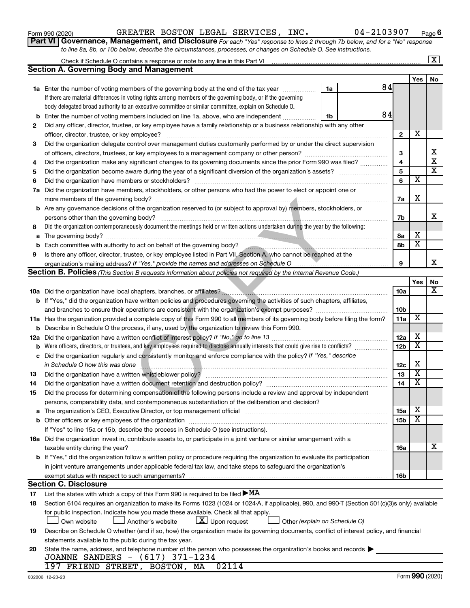| Form 990 (2020 |
|----------------|
|----------------|

Form 990 (2020) GREATER BOSTON LEGAL SERVICES , INC 04-2103907 Page

**Part VI** Governance, Management, and Disclosure For each "Yes" response to lines 2 through 7b below, and for a "No" response *to line 8a, 8b, or 10b below, describe the circumstances, processes, or changes on Schedule O. See instructions.*

|     |                                                                                                                                                  |                               |    |                         |                         | $\overline{\text{X}}$   |
|-----|--------------------------------------------------------------------------------------------------------------------------------------------------|-------------------------------|----|-------------------------|-------------------------|-------------------------|
|     | <b>Section A. Governing Body and Management</b>                                                                                                  |                               |    |                         |                         |                         |
|     |                                                                                                                                                  |                               |    |                         | Yes                     | No                      |
|     | <b>1a</b> Enter the number of voting members of the governing body at the end of the tax year                                                    | 1a                            | 84 |                         |                         |                         |
|     | If there are material differences in voting rights among members of the governing body, or if the governing                                      |                               |    |                         |                         |                         |
|     | body delegated broad authority to an executive committee or similar committee, explain on Schedule O.                                            |                               |    |                         |                         |                         |
| b   | Enter the number of voting members included on line 1a, above, who are independent                                                               | 1b                            | 84 |                         |                         |                         |
| 2   | Did any officer, director, trustee, or key employee have a family relationship or a business relationship with any other                         |                               |    |                         |                         |                         |
|     | officer, director, trustee, or key employee?                                                                                                     |                               |    | $\mathbf{2}$            | х                       |                         |
| 3   | Did the organization delegate control over management duties customarily performed by or under the direct supervision                            |                               |    |                         |                         |                         |
|     |                                                                                                                                                  |                               |    | 3                       |                         | х                       |
| 4   | Did the organization make any significant changes to its governing documents since the prior Form 990 was filed?                                 |                               |    | $\overline{\mathbf{4}}$ |                         | $\overline{\mathbf{x}}$ |
| 5   |                                                                                                                                                  |                               |    | 5                       |                         | X                       |
| 6   | Did the organization have members or stockholders?                                                                                               |                               |    | 6                       | $\overline{\textbf{x}}$ |                         |
| 7а  | Did the organization have members, stockholders, or other persons who had the power to elect or appoint one or                                   |                               |    |                         |                         |                         |
|     |                                                                                                                                                  |                               |    | 7a                      | X                       |                         |
|     | <b>b</b> Are any governance decisions of the organization reserved to (or subject to approval by) members, stockholders, or                      |                               |    |                         |                         |                         |
|     | persons other than the governing body?                                                                                                           |                               |    | 7b                      |                         | x                       |
| 8   | Did the organization contemporaneously document the meetings held or written actions undertaken during the year by the following:                |                               |    |                         |                         |                         |
| a   |                                                                                                                                                  |                               |    | 8а                      | х                       |                         |
| b   | Each committee with authority to act on behalf of the governing body?                                                                            |                               |    | 8b                      | $\overline{\mathbf{x}}$ |                         |
| 9   | Is there any officer, director, trustee, or key employee listed in Part VII, Section A, who cannot be reached at the                             |                               |    |                         |                         |                         |
|     |                                                                                                                                                  |                               |    | 9                       |                         | x                       |
|     | <b>Section B. Policies</b> (This Section B requests information about policies not required by the Internal Revenue Code.)                       |                               |    |                         |                         |                         |
|     |                                                                                                                                                  |                               |    |                         | Yes                     | No                      |
|     |                                                                                                                                                  |                               |    | 10a                     |                         | x                       |
|     | b If "Yes," did the organization have written policies and procedures governing the activities of such chapters, affiliates,                     |                               |    |                         |                         |                         |
|     |                                                                                                                                                  |                               |    | 10 <sub>b</sub>         |                         |                         |
|     | 11a Has the organization provided a complete copy of this Form 990 to all members of its governing body before filing the form?                  |                               |    | 11a                     | X                       |                         |
| b   | Describe in Schedule O the process, if any, used by the organization to review this Form 990.                                                    |                               |    |                         |                         |                         |
| 12a | Did the organization have a written conflict of interest policy? If "No," go to line 13                                                          |                               |    | 12a                     | х                       |                         |
| b   | Were officers, directors, or trustees, and key employees required to disclose annually interests that could give rise to conflicts?              |                               |    | 12 <sub>b</sub>         | $\overline{\textbf{x}}$ |                         |
| с   | Did the organization regularly and consistently monitor and enforce compliance with the policy? If "Yes," describe                               |                               |    |                         |                         |                         |
|     | in Schedule O how this was done                                                                                                                  |                               |    | 12c                     | X                       |                         |
| 13  | Did the organization have a written whistleblower policy?                                                                                        |                               |    | 13                      | $\overline{\textbf{x}}$ |                         |
| 14  |                                                                                                                                                  |                               |    | 14                      | $\overline{\textbf{x}}$ |                         |
| 15  | Did the process for determining compensation of the following persons include a review and approval by independent                               |                               |    |                         |                         |                         |
|     | persons, comparability data, and contemporaneous substantiation of the deliberation and decision?                                                |                               |    |                         |                         |                         |
| a   |                                                                                                                                                  |                               |    | <b>15a</b>              | х                       |                         |
|     |                                                                                                                                                  |                               |    | 15b                     | X                       |                         |
|     | If "Yes" to line 15a or 15b, describe the process in Schedule O (see instructions).                                                              |                               |    |                         |                         |                         |
|     | 16a Did the organization invest in, contribute assets to, or participate in a joint venture or similar arrangement with a                        |                               |    |                         |                         |                         |
|     | taxable entity during the year?                                                                                                                  |                               |    | 16a                     |                         | x                       |
|     | <b>b</b> If "Yes," did the organization follow a written policy or procedure requiring the organization to evaluate its participation            |                               |    |                         |                         |                         |
|     | in joint venture arrangements under applicable federal tax law, and take steps to safequard the organization's                                   |                               |    |                         |                         |                         |
|     | exempt status with respect to such arrangements?                                                                                                 |                               |    | 16b                     |                         |                         |
|     | <b>Section C. Disclosure</b>                                                                                                                     |                               |    |                         |                         |                         |
| 17  | List the states with which a copy of this Form 990 is required to be filed $\blacktriangleright$ MA                                              |                               |    |                         |                         |                         |
| 18  | Section 6104 requires an organization to make its Forms 1023 (1024 or 1024-A, if applicable), 990, and 990-T (Section 501(c)(3)s only) available |                               |    |                         |                         |                         |
|     | for public inspection. Indicate how you made these available. Check all that apply.                                                              |                               |    |                         |                         |                         |
|     | $\lfloor \underline{X} \rfloor$ Upon request<br>Own website<br>Another's website                                                                 | Other (explain on Schedule O) |    |                         |                         |                         |
| 19  | Describe on Schedule O whether (and if so, how) the organization made its governing documents, conflict of interest policy, and financial        |                               |    |                         |                         |                         |
|     | statements available to the public during the tax year.                                                                                          |                               |    |                         |                         |                         |
| 20  | State the name, address, and telephone number of the person who possesses the organization's books and records                                   |                               |    |                         |                         |                         |
|     | JOANNE SANDERS - (617) 371-1234                                                                                                                  |                               |    |                         |                         |                         |
|     | 197 FRIEND STREET, BOSTON, MA<br>02114                                                                                                           |                               |    |                         |                         |                         |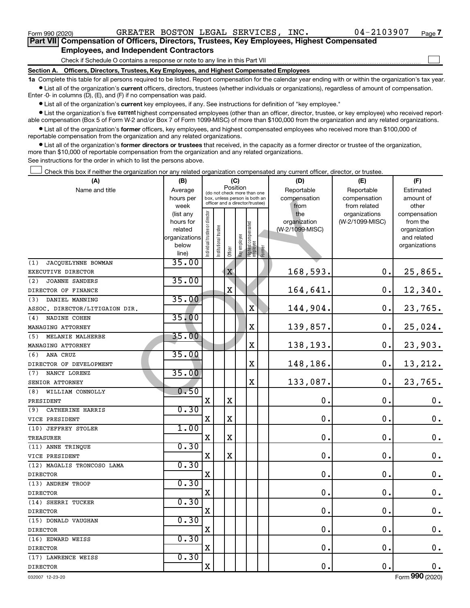$\Box$ 

| Part VII Compensation of Officers, Directors, Trustees, Key Employees, Highest Compensated |
|--------------------------------------------------------------------------------------------|
| <b>Employees, and Independent Contractors</b>                                              |

Check if Schedule O contains a response or note to any line in this Part VII

**Section A. Officers, Directors, Trustees, Key Employees, and Highest Compensated Employees**

**1a**  Complete this table for all persons required to be listed. Report compensation for the calendar year ending with or within the organization's tax year.  $\bullet$  List all of the organization's current officers, directors, trustees (whether individuals or organizations), regardless of amount of compensation.

Enter -0- in columns (D), (E), and (F) if no compensation was paid.

**•** List all of the organization's current key employees, if any. See instructions for definition of "key employee."

• List the organization's five *current* highest compensated employees (other than an officer, director, trustee, or key employee) who received reportable compensation (Box 5 of Form W-2 and/or Box 7 of Form 1099-MISC) of more than \$100,000 from the organization and any related organizations.

 $\bullet$  List all of the organization's former officers, key employees, and highest compensated employees who received more than \$100,000 of reportable compensation from the organization and any related organizations.

**•** List all of the organization's former directors or trustees that received, in the capacity as a former director or trustee of the organization, more than \$10,000 of reportable compensation from the organization and any related organizations.

See instructions for the order in which to list the persons above.

Check this box if neither the organization nor any related organization compensated any current officer, director, or trustee.  $\Box$ 

| (A)                            | (B)                    | (C)                                     |                 |                                                                  |              |                                           | (D)             | (E)                              | (F)                      |
|--------------------------------|------------------------|-----------------------------------------|-----------------|------------------------------------------------------------------|--------------|-------------------------------------------|-----------------|----------------------------------|--------------------------|
| Name and title                 | Average                | Position<br>(do not check more than one |                 |                                                                  |              | Reportable                                | Reportable      | Estimated                        |                          |
|                                | hours per              |                                         |                 | box, unless person is both an<br>officer and a director/trustee) |              |                                           | compensation    | compensation                     | amount of                |
|                                | week                   |                                         |                 |                                                                  |              |                                           | from<br>the     | from related                     | other                    |
|                                | (list any<br>hours for |                                         |                 |                                                                  |              |                                           | organization    | organizations<br>(W-2/1099-MISC) | compensation<br>from the |
|                                | related                |                                         | trustee         |                                                                  |              |                                           | (W-2/1099-MISC) |                                  | organization             |
|                                | organizations          |                                         |                 |                                                                  |              |                                           |                 |                                  | and related              |
|                                | below                  | Individual trustee or director          | Institutional t |                                                                  | Key employee |                                           |                 |                                  | organizations            |
|                                | line)                  |                                         |                 | Officer                                                          |              | Highest compensated<br>employee<br>Former |                 |                                  |                          |
| JACQUELYNNE BOWMAN<br>(1)      | 35.00                  |                                         |                 |                                                                  |              |                                           |                 |                                  |                          |
| EXECUTIVE DIRECTOR             |                        |                                         |                 | $\mathbf X$                                                      |              |                                           | 168,593.        | 0.                               | 25,865.                  |
| <b>JOANNE SANDERS</b><br>(2)   | 35.00                  |                                         |                 |                                                                  |              |                                           |                 |                                  |                          |
| DIRECTOR OF FINANCE            |                        |                                         |                 | X                                                                |              |                                           | 164,641.        | 0.                               | 12,340.                  |
| DANIEL MANNING<br>(3)          | 35.00                  |                                         |                 |                                                                  |              |                                           |                 |                                  |                          |
| ASSOC. DIRECTOR/LITIGAION DIR. |                        |                                         |                 |                                                                  |              | X                                         | 144,904.        | 0.                               | 23,765.                  |
| NADINE COHEN<br>(4)            | 35.00                  |                                         |                 |                                                                  |              |                                           |                 |                                  |                          |
| MANAGING ATTORNEY              |                        |                                         |                 |                                                                  |              | $\rm X$                                   | 139,857.        | 0.                               | 25,024.                  |
| MELANIE MALHERBE<br>(5)        | 35.00                  |                                         |                 |                                                                  |              |                                           |                 |                                  |                          |
| MANAGING ATTORNEY              |                        |                                         |                 |                                                                  |              | $\mathbf X$                               | 138,193.        | 0.                               | 23,903.                  |
| ANA CRUZ<br>(6)                | 35.00                  |                                         |                 |                                                                  |              |                                           |                 |                                  |                          |
| DIRECTOR OF DEVELOPMENT        |                        |                                         |                 |                                                                  |              | $\mathbf X$                               | 148,186.        | $\mathbf 0$ .                    | 13,212.                  |
| (7)<br>NANCY LORENZ            | 35.00                  |                                         |                 |                                                                  |              |                                           |                 |                                  |                          |
| SENIOR ATTORNEY                |                        |                                         |                 |                                                                  |              | $\mathbf X$                               | 133,087.        | 0.                               | 23,765.                  |
| WILLIAM CONNOLLY<br>(8)        | 0.50                   |                                         |                 |                                                                  |              |                                           |                 |                                  |                          |
| PRESIDENT                      |                        | $\mathbf X$                             |                 | $\mathbf X$                                                      |              |                                           | $\mathbf 0$ .   | $\mathbf 0$ .                    | 0.                       |
| CATHERINE HARRIS<br>(9)        | 0.30                   |                                         |                 |                                                                  |              |                                           |                 |                                  |                          |
| VICE PRESIDENT                 |                        | $\mathbf X$                             |                 | $\mathbf X$                                                      |              |                                           | $\mathbf 0$ .   | $\mathbf 0$ .                    | $\mathbf 0$ .            |
| (10) JEFFREY STOLER            | 1.00                   |                                         |                 |                                                                  |              |                                           |                 |                                  |                          |
| <b>TREASURER</b>               |                        | $\mathbf X$                             |                 | $\mathbf X$                                                      |              |                                           | $\mathbf 0$ .   | $\mathbf 0$ .                    | 0.                       |
| (11) ANNE TRINQUE              | 0.30                   |                                         |                 |                                                                  |              |                                           |                 |                                  |                          |
| VICE PRESIDENT                 |                        | $\mathbf X$                             |                 | $\mathbf X$                                                      |              |                                           | $\mathbf 0$ .   | $\mathbf 0$ .                    | $\mathbf 0$ .            |
| (12) MAGALIS TRONCOSO LAMA     | 0.30                   |                                         |                 |                                                                  |              |                                           |                 |                                  |                          |
| <b>DIRECTOR</b>                |                        | $\mathbf X$                             |                 |                                                                  |              |                                           | $\mathbf 0$ .   | $\mathbf 0$ .                    | $\mathbf 0$ .            |
| (13) ANDREW TROOP              | 0.30                   |                                         |                 |                                                                  |              |                                           |                 |                                  |                          |
| <b>DIRECTOR</b>                |                        | $\mathbf X$                             |                 |                                                                  |              |                                           | $\mathbf 0$ .   | $\mathbf 0$ .                    | $\mathbf 0$ .            |
| (14) SHERRI TUCKER             | 0.30                   |                                         |                 |                                                                  |              |                                           |                 |                                  |                          |
| <b>DIRECTOR</b>                |                        | X                                       |                 |                                                                  |              |                                           | $\mathbf 0$ .   | $\mathbf 0$ .                    | 0.                       |
| (15) DONALD VAUGHAN            | 0.30                   |                                         |                 |                                                                  |              |                                           |                 |                                  |                          |
| <b>DIRECTOR</b>                |                        | $\mathbf X$                             |                 |                                                                  |              |                                           | $\mathbf 0$ .   | $\mathbf 0$ .                    | $\mathbf 0$ .            |
| (16) EDWARD WEISS              | 0.30                   |                                         |                 |                                                                  |              |                                           |                 |                                  |                          |
| <b>DIRECTOR</b>                |                        | X                                       |                 |                                                                  |              |                                           | $\mathbf 0$ .   | $\mathbf 0$ .                    | $\mathbf 0$ .            |
| (17) LAWRENCE WEISS            | 0.30                   |                                         |                 |                                                                  |              |                                           |                 |                                  |                          |
| <b>DIRECTOR</b>                |                        | $\overline{\mathbf{X}}$                 |                 |                                                                  |              |                                           | 0.              | $\mathbf 0$ .                    | 0.                       |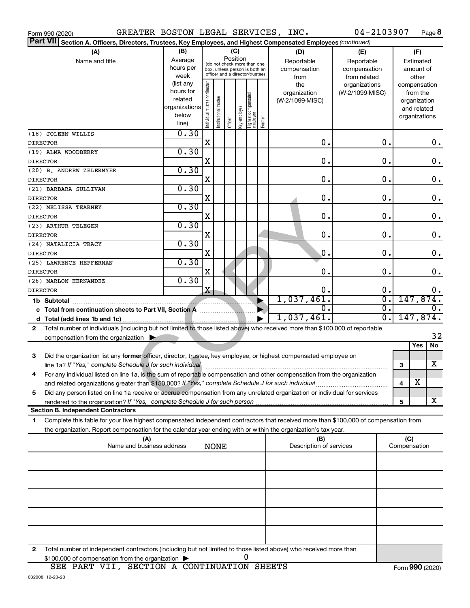| Section A. Officers, Directors, Trustees, Key Employees, and Highest Compensated Employees (continued)<br>(B)<br>(A)<br>(C)<br>(D)<br>(F)<br>(E)<br>Position<br>Average<br>Name and title<br>Reportable<br>Reportable<br>Estimated<br>(do not check more than one<br>hours per<br>compensation<br>compensation<br>box, unless person is both an<br>amount of<br>officer and a director/trustee)<br>week<br>from related<br>other<br>from<br>(list any<br>Individual trustee or director<br>the<br>organizations<br>compensation<br>hours for<br>(W-2/1099-MISC)<br>organization<br>from the<br>Highest compensated<br> employee<br>Institutional trustee<br>related<br>(W-2/1099-MISC)<br>organization<br>organizations<br>Key employee<br>and related<br>below<br>organizations<br>Former<br>Officer<br>line)<br>0.30<br>$\mathbf 0$ .<br>0.<br>X<br>$0$ .<br><b>DIRECTOR</b><br>0.30<br>0.<br>$\mathbf 0$ .<br>$\mathbf 0$ .<br>Χ<br>0.30<br>$\mathbf 0$ .<br>$\mathbf 0$ .<br>$\mathbf 0$ .<br>Χ<br>0.30<br>(21) BARBARA SULLIVAN<br>$\mathbf 0$ .<br>$\mathbf 0$ .<br>$\mathbf 0$ .<br>Χ<br><b>DIRECTOR</b><br>0.30<br>(22) MELISSA TEARNEY<br>0.<br>$\mathbf 0$ .<br>$\mathbf 0$ .<br>Χ<br><b>DIRECTOR</b><br>0.30<br>0.<br>$\mathbf 0$ .<br>$\mathbf 0$ .<br>х<br>0.30<br>$\mathbf 0$ .<br>$\mathbf 0$ .<br>0.<br>х<br><b>DIRECTOR</b><br>0.30<br>(25) LAWRENCE HEFFERNAN<br>$\mathbf 0$ .<br>$\mathbf 0$ .<br>$\mathbf 0$ .<br>Χ<br>0.30<br>X<br>0.<br>0.<br>0.<br>147,874.<br>1,037,461.<br>σ.<br>1b Subtotal<br>σ.<br>σ.<br>$\overline{0}$ .<br>c Total from continuation sheets to Part VII, Section A manuscription<br>147,874.<br>1,037,461.<br>$\overline{0}$ .<br>Total number of individuals (including but not limited to those listed above) who received more than \$100,000 of reportable<br>$\mathbf{2}$<br>32<br>compensation from the organization $\blacktriangleright$<br>Yes<br>No<br>3<br>Did the organization list any former officer, director, trustee, key employee, or highest compensated employee on<br>X<br>line 1a? If "Yes," complete Schedule J for such individual manufacture communities are communities of the set<br>3<br>For any individual listed on line 1a, is the sum of reportable compensation and other compensation from the organization<br>х<br>and related organizations greater than \$150,000? If "Yes," complete Schedule J for such individual<br>4<br>Did any person listed on line 1a receive or accrue compensation from any unrelated organization or individual for services<br>5<br>х<br>5<br><b>Section B. Independent Contractors</b><br>Complete this table for your five highest compensated independent contractors that received more than \$100,000 of compensation from<br>1.<br>the organization. Report compensation for the calendar year ending with or within the organization's tax year.<br>(C)<br>(A)<br>(B)<br>Name and business address<br>Description of services<br>Compensation<br><b>NONE</b><br>Total number of independent contractors (including but not limited to those listed above) who received more than<br>2<br>0<br>\$100,000 of compensation from the organization | Form 990 (2020)          | GREATER BOSTON LEGAL SERVICES, INC. |  |  |  |  |  |  |  | 04-2103907 |  | Page 8 |
|----------------------------------------------------------------------------------------------------------------------------------------------------------------------------------------------------------------------------------------------------------------------------------------------------------------------------------------------------------------------------------------------------------------------------------------------------------------------------------------------------------------------------------------------------------------------------------------------------------------------------------------------------------------------------------------------------------------------------------------------------------------------------------------------------------------------------------------------------------------------------------------------------------------------------------------------------------------------------------------------------------------------------------------------------------------------------------------------------------------------------------------------------------------------------------------------------------------------------------------------------------------------------------------------------------------------------------------------------------------------------------------------------------------------------------------------------------------------------------------------------------------------------------------------------------------------------------------------------------------------------------------------------------------------------------------------------------------------------------------------------------------------------------------------------------------------------------------------------------------------------------------------------------------------------------------------------------------------------------------------------------------------------------------------------------------------------------------------------------------------------------------------------------------------------------------------------------------------------------------------------------------------------------------------------------------------------------------------------------------------------------------------------------------------------------------------------------------------------------------------------------------------------------------------------------------------------------------------------------------------------------------------------------------------------------------------------------------------------------------------------------------------------------------------------------------------------------------------------------------------------------------------------------------------------------------------------------------------------------------------------------------------------------------------------------------------------------------------------------------------------------------------------------------------|--------------------------|-------------------------------------|--|--|--|--|--|--|--|------------|--|--------|
|                                                                                                                                                                                                                                                                                                                                                                                                                                                                                                                                                                                                                                                                                                                                                                                                                                                                                                                                                                                                                                                                                                                                                                                                                                                                                                                                                                                                                                                                                                                                                                                                                                                                                                                                                                                                                                                                                                                                                                                                                                                                                                                                                                                                                                                                                                                                                                                                                                                                                                                                                                                                                                                                                                                                                                                                                                                                                                                                                                                                                                                                                                                                                                      | <b>Part VII</b>          |                                     |  |  |  |  |  |  |  |            |  |        |
|                                                                                                                                                                                                                                                                                                                                                                                                                                                                                                                                                                                                                                                                                                                                                                                                                                                                                                                                                                                                                                                                                                                                                                                                                                                                                                                                                                                                                                                                                                                                                                                                                                                                                                                                                                                                                                                                                                                                                                                                                                                                                                                                                                                                                                                                                                                                                                                                                                                                                                                                                                                                                                                                                                                                                                                                                                                                                                                                                                                                                                                                                                                                                                      |                          |                                     |  |  |  |  |  |  |  |            |  |        |
|                                                                                                                                                                                                                                                                                                                                                                                                                                                                                                                                                                                                                                                                                                                                                                                                                                                                                                                                                                                                                                                                                                                                                                                                                                                                                                                                                                                                                                                                                                                                                                                                                                                                                                                                                                                                                                                                                                                                                                                                                                                                                                                                                                                                                                                                                                                                                                                                                                                                                                                                                                                                                                                                                                                                                                                                                                                                                                                                                                                                                                                                                                                                                                      |                          |                                     |  |  |  |  |  |  |  |            |  |        |
|                                                                                                                                                                                                                                                                                                                                                                                                                                                                                                                                                                                                                                                                                                                                                                                                                                                                                                                                                                                                                                                                                                                                                                                                                                                                                                                                                                                                                                                                                                                                                                                                                                                                                                                                                                                                                                                                                                                                                                                                                                                                                                                                                                                                                                                                                                                                                                                                                                                                                                                                                                                                                                                                                                                                                                                                                                                                                                                                                                                                                                                                                                                                                                      | (18) JOLEEN WILLIS       |                                     |  |  |  |  |  |  |  |            |  |        |
|                                                                                                                                                                                                                                                                                                                                                                                                                                                                                                                                                                                                                                                                                                                                                                                                                                                                                                                                                                                                                                                                                                                                                                                                                                                                                                                                                                                                                                                                                                                                                                                                                                                                                                                                                                                                                                                                                                                                                                                                                                                                                                                                                                                                                                                                                                                                                                                                                                                                                                                                                                                                                                                                                                                                                                                                                                                                                                                                                                                                                                                                                                                                                                      | (19) ALMA WOODBERRY      |                                     |  |  |  |  |  |  |  |            |  |        |
|                                                                                                                                                                                                                                                                                                                                                                                                                                                                                                                                                                                                                                                                                                                                                                                                                                                                                                                                                                                                                                                                                                                                                                                                                                                                                                                                                                                                                                                                                                                                                                                                                                                                                                                                                                                                                                                                                                                                                                                                                                                                                                                                                                                                                                                                                                                                                                                                                                                                                                                                                                                                                                                                                                                                                                                                                                                                                                                                                                                                                                                                                                                                                                      | <b>DIRECTOR</b>          |                                     |  |  |  |  |  |  |  |            |  |        |
|                                                                                                                                                                                                                                                                                                                                                                                                                                                                                                                                                                                                                                                                                                                                                                                                                                                                                                                                                                                                                                                                                                                                                                                                                                                                                                                                                                                                                                                                                                                                                                                                                                                                                                                                                                                                                                                                                                                                                                                                                                                                                                                                                                                                                                                                                                                                                                                                                                                                                                                                                                                                                                                                                                                                                                                                                                                                                                                                                                                                                                                                                                                                                                      | (20) B. ANDREW ZELERMYER |                                     |  |  |  |  |  |  |  |            |  |        |
|                                                                                                                                                                                                                                                                                                                                                                                                                                                                                                                                                                                                                                                                                                                                                                                                                                                                                                                                                                                                                                                                                                                                                                                                                                                                                                                                                                                                                                                                                                                                                                                                                                                                                                                                                                                                                                                                                                                                                                                                                                                                                                                                                                                                                                                                                                                                                                                                                                                                                                                                                                                                                                                                                                                                                                                                                                                                                                                                                                                                                                                                                                                                                                      | <b>DIRECTOR</b>          |                                     |  |  |  |  |  |  |  |            |  |        |
|                                                                                                                                                                                                                                                                                                                                                                                                                                                                                                                                                                                                                                                                                                                                                                                                                                                                                                                                                                                                                                                                                                                                                                                                                                                                                                                                                                                                                                                                                                                                                                                                                                                                                                                                                                                                                                                                                                                                                                                                                                                                                                                                                                                                                                                                                                                                                                                                                                                                                                                                                                                                                                                                                                                                                                                                                                                                                                                                                                                                                                                                                                                                                                      |                          |                                     |  |  |  |  |  |  |  |            |  |        |
|                                                                                                                                                                                                                                                                                                                                                                                                                                                                                                                                                                                                                                                                                                                                                                                                                                                                                                                                                                                                                                                                                                                                                                                                                                                                                                                                                                                                                                                                                                                                                                                                                                                                                                                                                                                                                                                                                                                                                                                                                                                                                                                                                                                                                                                                                                                                                                                                                                                                                                                                                                                                                                                                                                                                                                                                                                                                                                                                                                                                                                                                                                                                                                      |                          |                                     |  |  |  |  |  |  |  |            |  |        |
|                                                                                                                                                                                                                                                                                                                                                                                                                                                                                                                                                                                                                                                                                                                                                                                                                                                                                                                                                                                                                                                                                                                                                                                                                                                                                                                                                                                                                                                                                                                                                                                                                                                                                                                                                                                                                                                                                                                                                                                                                                                                                                                                                                                                                                                                                                                                                                                                                                                                                                                                                                                                                                                                                                                                                                                                                                                                                                                                                                                                                                                                                                                                                                      |                          |                                     |  |  |  |  |  |  |  |            |  |        |
|                                                                                                                                                                                                                                                                                                                                                                                                                                                                                                                                                                                                                                                                                                                                                                                                                                                                                                                                                                                                                                                                                                                                                                                                                                                                                                                                                                                                                                                                                                                                                                                                                                                                                                                                                                                                                                                                                                                                                                                                                                                                                                                                                                                                                                                                                                                                                                                                                                                                                                                                                                                                                                                                                                                                                                                                                                                                                                                                                                                                                                                                                                                                                                      | (23) ARTHUR TELEGEN      |                                     |  |  |  |  |  |  |  |            |  |        |
|                                                                                                                                                                                                                                                                                                                                                                                                                                                                                                                                                                                                                                                                                                                                                                                                                                                                                                                                                                                                                                                                                                                                                                                                                                                                                                                                                                                                                                                                                                                                                                                                                                                                                                                                                                                                                                                                                                                                                                                                                                                                                                                                                                                                                                                                                                                                                                                                                                                                                                                                                                                                                                                                                                                                                                                                                                                                                                                                                                                                                                                                                                                                                                      | <b>DIRECTOR</b>          |                                     |  |  |  |  |  |  |  |            |  |        |
|                                                                                                                                                                                                                                                                                                                                                                                                                                                                                                                                                                                                                                                                                                                                                                                                                                                                                                                                                                                                                                                                                                                                                                                                                                                                                                                                                                                                                                                                                                                                                                                                                                                                                                                                                                                                                                                                                                                                                                                                                                                                                                                                                                                                                                                                                                                                                                                                                                                                                                                                                                                                                                                                                                                                                                                                                                                                                                                                                                                                                                                                                                                                                                      | (24) NATALICIA TRACY     |                                     |  |  |  |  |  |  |  |            |  |        |
|                                                                                                                                                                                                                                                                                                                                                                                                                                                                                                                                                                                                                                                                                                                                                                                                                                                                                                                                                                                                                                                                                                                                                                                                                                                                                                                                                                                                                                                                                                                                                                                                                                                                                                                                                                                                                                                                                                                                                                                                                                                                                                                                                                                                                                                                                                                                                                                                                                                                                                                                                                                                                                                                                                                                                                                                                                                                                                                                                                                                                                                                                                                                                                      |                          |                                     |  |  |  |  |  |  |  |            |  |        |
|                                                                                                                                                                                                                                                                                                                                                                                                                                                                                                                                                                                                                                                                                                                                                                                                                                                                                                                                                                                                                                                                                                                                                                                                                                                                                                                                                                                                                                                                                                                                                                                                                                                                                                                                                                                                                                                                                                                                                                                                                                                                                                                                                                                                                                                                                                                                                                                                                                                                                                                                                                                                                                                                                                                                                                                                                                                                                                                                                                                                                                                                                                                                                                      | <b>DIRECTOR</b>          |                                     |  |  |  |  |  |  |  |            |  |        |
|                                                                                                                                                                                                                                                                                                                                                                                                                                                                                                                                                                                                                                                                                                                                                                                                                                                                                                                                                                                                                                                                                                                                                                                                                                                                                                                                                                                                                                                                                                                                                                                                                                                                                                                                                                                                                                                                                                                                                                                                                                                                                                                                                                                                                                                                                                                                                                                                                                                                                                                                                                                                                                                                                                                                                                                                                                                                                                                                                                                                                                                                                                                                                                      | (26) MARLON HERNANDEZ    |                                     |  |  |  |  |  |  |  |            |  |        |
|                                                                                                                                                                                                                                                                                                                                                                                                                                                                                                                                                                                                                                                                                                                                                                                                                                                                                                                                                                                                                                                                                                                                                                                                                                                                                                                                                                                                                                                                                                                                                                                                                                                                                                                                                                                                                                                                                                                                                                                                                                                                                                                                                                                                                                                                                                                                                                                                                                                                                                                                                                                                                                                                                                                                                                                                                                                                                                                                                                                                                                                                                                                                                                      | <b>DIRECTOR</b>          |                                     |  |  |  |  |  |  |  |            |  |        |
|                                                                                                                                                                                                                                                                                                                                                                                                                                                                                                                                                                                                                                                                                                                                                                                                                                                                                                                                                                                                                                                                                                                                                                                                                                                                                                                                                                                                                                                                                                                                                                                                                                                                                                                                                                                                                                                                                                                                                                                                                                                                                                                                                                                                                                                                                                                                                                                                                                                                                                                                                                                                                                                                                                                                                                                                                                                                                                                                                                                                                                                                                                                                                                      |                          |                                     |  |  |  |  |  |  |  |            |  |        |
|                                                                                                                                                                                                                                                                                                                                                                                                                                                                                                                                                                                                                                                                                                                                                                                                                                                                                                                                                                                                                                                                                                                                                                                                                                                                                                                                                                                                                                                                                                                                                                                                                                                                                                                                                                                                                                                                                                                                                                                                                                                                                                                                                                                                                                                                                                                                                                                                                                                                                                                                                                                                                                                                                                                                                                                                                                                                                                                                                                                                                                                                                                                                                                      |                          |                                     |  |  |  |  |  |  |  |            |  |        |
|                                                                                                                                                                                                                                                                                                                                                                                                                                                                                                                                                                                                                                                                                                                                                                                                                                                                                                                                                                                                                                                                                                                                                                                                                                                                                                                                                                                                                                                                                                                                                                                                                                                                                                                                                                                                                                                                                                                                                                                                                                                                                                                                                                                                                                                                                                                                                                                                                                                                                                                                                                                                                                                                                                                                                                                                                                                                                                                                                                                                                                                                                                                                                                      |                          |                                     |  |  |  |  |  |  |  |            |  |        |
|                                                                                                                                                                                                                                                                                                                                                                                                                                                                                                                                                                                                                                                                                                                                                                                                                                                                                                                                                                                                                                                                                                                                                                                                                                                                                                                                                                                                                                                                                                                                                                                                                                                                                                                                                                                                                                                                                                                                                                                                                                                                                                                                                                                                                                                                                                                                                                                                                                                                                                                                                                                                                                                                                                                                                                                                                                                                                                                                                                                                                                                                                                                                                                      |                          |                                     |  |  |  |  |  |  |  |            |  |        |
|                                                                                                                                                                                                                                                                                                                                                                                                                                                                                                                                                                                                                                                                                                                                                                                                                                                                                                                                                                                                                                                                                                                                                                                                                                                                                                                                                                                                                                                                                                                                                                                                                                                                                                                                                                                                                                                                                                                                                                                                                                                                                                                                                                                                                                                                                                                                                                                                                                                                                                                                                                                                                                                                                                                                                                                                                                                                                                                                                                                                                                                                                                                                                                      |                          |                                     |  |  |  |  |  |  |  |            |  |        |
|                                                                                                                                                                                                                                                                                                                                                                                                                                                                                                                                                                                                                                                                                                                                                                                                                                                                                                                                                                                                                                                                                                                                                                                                                                                                                                                                                                                                                                                                                                                                                                                                                                                                                                                                                                                                                                                                                                                                                                                                                                                                                                                                                                                                                                                                                                                                                                                                                                                                                                                                                                                                                                                                                                                                                                                                                                                                                                                                                                                                                                                                                                                                                                      |                          |                                     |  |  |  |  |  |  |  |            |  |        |
|                                                                                                                                                                                                                                                                                                                                                                                                                                                                                                                                                                                                                                                                                                                                                                                                                                                                                                                                                                                                                                                                                                                                                                                                                                                                                                                                                                                                                                                                                                                                                                                                                                                                                                                                                                                                                                                                                                                                                                                                                                                                                                                                                                                                                                                                                                                                                                                                                                                                                                                                                                                                                                                                                                                                                                                                                                                                                                                                                                                                                                                                                                                                                                      |                          |                                     |  |  |  |  |  |  |  |            |  |        |
|                                                                                                                                                                                                                                                                                                                                                                                                                                                                                                                                                                                                                                                                                                                                                                                                                                                                                                                                                                                                                                                                                                                                                                                                                                                                                                                                                                                                                                                                                                                                                                                                                                                                                                                                                                                                                                                                                                                                                                                                                                                                                                                                                                                                                                                                                                                                                                                                                                                                                                                                                                                                                                                                                                                                                                                                                                                                                                                                                                                                                                                                                                                                                                      |                          |                                     |  |  |  |  |  |  |  |            |  |        |
|                                                                                                                                                                                                                                                                                                                                                                                                                                                                                                                                                                                                                                                                                                                                                                                                                                                                                                                                                                                                                                                                                                                                                                                                                                                                                                                                                                                                                                                                                                                                                                                                                                                                                                                                                                                                                                                                                                                                                                                                                                                                                                                                                                                                                                                                                                                                                                                                                                                                                                                                                                                                                                                                                                                                                                                                                                                                                                                                                                                                                                                                                                                                                                      |                          |                                     |  |  |  |  |  |  |  |            |  |        |
|                                                                                                                                                                                                                                                                                                                                                                                                                                                                                                                                                                                                                                                                                                                                                                                                                                                                                                                                                                                                                                                                                                                                                                                                                                                                                                                                                                                                                                                                                                                                                                                                                                                                                                                                                                                                                                                                                                                                                                                                                                                                                                                                                                                                                                                                                                                                                                                                                                                                                                                                                                                                                                                                                                                                                                                                                                                                                                                                                                                                                                                                                                                                                                      |                          |                                     |  |  |  |  |  |  |  |            |  |        |
|                                                                                                                                                                                                                                                                                                                                                                                                                                                                                                                                                                                                                                                                                                                                                                                                                                                                                                                                                                                                                                                                                                                                                                                                                                                                                                                                                                                                                                                                                                                                                                                                                                                                                                                                                                                                                                                                                                                                                                                                                                                                                                                                                                                                                                                                                                                                                                                                                                                                                                                                                                                                                                                                                                                                                                                                                                                                                                                                                                                                                                                                                                                                                                      |                          |                                     |  |  |  |  |  |  |  |            |  |        |
|                                                                                                                                                                                                                                                                                                                                                                                                                                                                                                                                                                                                                                                                                                                                                                                                                                                                                                                                                                                                                                                                                                                                                                                                                                                                                                                                                                                                                                                                                                                                                                                                                                                                                                                                                                                                                                                                                                                                                                                                                                                                                                                                                                                                                                                                                                                                                                                                                                                                                                                                                                                                                                                                                                                                                                                                                                                                                                                                                                                                                                                                                                                                                                      |                          |                                     |  |  |  |  |  |  |  |            |  |        |
|                                                                                                                                                                                                                                                                                                                                                                                                                                                                                                                                                                                                                                                                                                                                                                                                                                                                                                                                                                                                                                                                                                                                                                                                                                                                                                                                                                                                                                                                                                                                                                                                                                                                                                                                                                                                                                                                                                                                                                                                                                                                                                                                                                                                                                                                                                                                                                                                                                                                                                                                                                                                                                                                                                                                                                                                                                                                                                                                                                                                                                                                                                                                                                      |                          |                                     |  |  |  |  |  |  |  |            |  |        |
|                                                                                                                                                                                                                                                                                                                                                                                                                                                                                                                                                                                                                                                                                                                                                                                                                                                                                                                                                                                                                                                                                                                                                                                                                                                                                                                                                                                                                                                                                                                                                                                                                                                                                                                                                                                                                                                                                                                                                                                                                                                                                                                                                                                                                                                                                                                                                                                                                                                                                                                                                                                                                                                                                                                                                                                                                                                                                                                                                                                                                                                                                                                                                                      |                          |                                     |  |  |  |  |  |  |  |            |  |        |
|                                                                                                                                                                                                                                                                                                                                                                                                                                                                                                                                                                                                                                                                                                                                                                                                                                                                                                                                                                                                                                                                                                                                                                                                                                                                                                                                                                                                                                                                                                                                                                                                                                                                                                                                                                                                                                                                                                                                                                                                                                                                                                                                                                                                                                                                                                                                                                                                                                                                                                                                                                                                                                                                                                                                                                                                                                                                                                                                                                                                                                                                                                                                                                      |                          |                                     |  |  |  |  |  |  |  |            |  |        |
|                                                                                                                                                                                                                                                                                                                                                                                                                                                                                                                                                                                                                                                                                                                                                                                                                                                                                                                                                                                                                                                                                                                                                                                                                                                                                                                                                                                                                                                                                                                                                                                                                                                                                                                                                                                                                                                                                                                                                                                                                                                                                                                                                                                                                                                                                                                                                                                                                                                                                                                                                                                                                                                                                                                                                                                                                                                                                                                                                                                                                                                                                                                                                                      |                          |                                     |  |  |  |  |  |  |  |            |  |        |
|                                                                                                                                                                                                                                                                                                                                                                                                                                                                                                                                                                                                                                                                                                                                                                                                                                                                                                                                                                                                                                                                                                                                                                                                                                                                                                                                                                                                                                                                                                                                                                                                                                                                                                                                                                                                                                                                                                                                                                                                                                                                                                                                                                                                                                                                                                                                                                                                                                                                                                                                                                                                                                                                                                                                                                                                                                                                                                                                                                                                                                                                                                                                                                      |                          |                                     |  |  |  |  |  |  |  |            |  |        |
|                                                                                                                                                                                                                                                                                                                                                                                                                                                                                                                                                                                                                                                                                                                                                                                                                                                                                                                                                                                                                                                                                                                                                                                                                                                                                                                                                                                                                                                                                                                                                                                                                                                                                                                                                                                                                                                                                                                                                                                                                                                                                                                                                                                                                                                                                                                                                                                                                                                                                                                                                                                                                                                                                                                                                                                                                                                                                                                                                                                                                                                                                                                                                                      |                          |                                     |  |  |  |  |  |  |  |            |  |        |
|                                                                                                                                                                                                                                                                                                                                                                                                                                                                                                                                                                                                                                                                                                                                                                                                                                                                                                                                                                                                                                                                                                                                                                                                                                                                                                                                                                                                                                                                                                                                                                                                                                                                                                                                                                                                                                                                                                                                                                                                                                                                                                                                                                                                                                                                                                                                                                                                                                                                                                                                                                                                                                                                                                                                                                                                                                                                                                                                                                                                                                                                                                                                                                      |                          |                                     |  |  |  |  |  |  |  |            |  |        |
|                                                                                                                                                                                                                                                                                                                                                                                                                                                                                                                                                                                                                                                                                                                                                                                                                                                                                                                                                                                                                                                                                                                                                                                                                                                                                                                                                                                                                                                                                                                                                                                                                                                                                                                                                                                                                                                                                                                                                                                                                                                                                                                                                                                                                                                                                                                                                                                                                                                                                                                                                                                                                                                                                                                                                                                                                                                                                                                                                                                                                                                                                                                                                                      |                          |                                     |  |  |  |  |  |  |  |            |  |        |
|                                                                                                                                                                                                                                                                                                                                                                                                                                                                                                                                                                                                                                                                                                                                                                                                                                                                                                                                                                                                                                                                                                                                                                                                                                                                                                                                                                                                                                                                                                                                                                                                                                                                                                                                                                                                                                                                                                                                                                                                                                                                                                                                                                                                                                                                                                                                                                                                                                                                                                                                                                                                                                                                                                                                                                                                                                                                                                                                                                                                                                                                                                                                                                      |                          |                                     |  |  |  |  |  |  |  |            |  |        |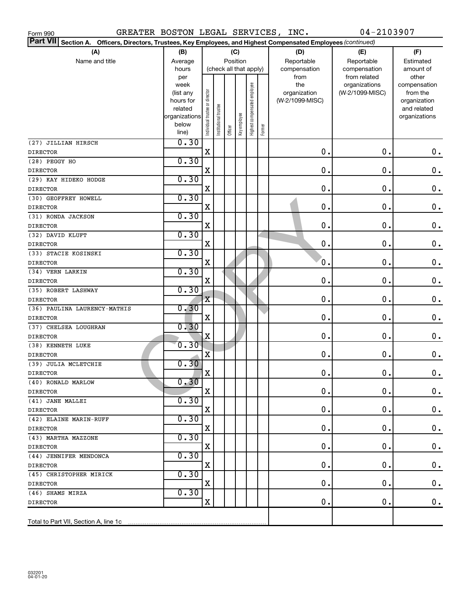| GREATER BOSTON LEGAL SERVICES, INC.<br>Form 990                                                                                  |                |                                |                       |                        |              |                              |        |                 | 04-2103907                    |                       |  |
|----------------------------------------------------------------------------------------------------------------------------------|----------------|--------------------------------|-----------------------|------------------------|--------------|------------------------------|--------|-----------------|-------------------------------|-----------------------|--|
| <b>Part VII</b><br>Section A. Officers, Directors, Trustees, Key Employees, and Highest Compensated Employees (continued)<br>(C) |                |                                |                       |                        |              |                              |        |                 |                               |                       |  |
| (A)                                                                                                                              | (B)            |                                |                       |                        |              |                              |        | (D)             | (E)                           | (F)                   |  |
| Name and title                                                                                                                   | Average        |                                |                       | Position               |              |                              |        | Reportable      | Reportable                    | Estimated             |  |
|                                                                                                                                  | hours          |                                |                       | (check all that apply) |              |                              |        | compensation    | compensation                  | amount of             |  |
|                                                                                                                                  | per<br>week    |                                |                       |                        |              |                              |        | from<br>the     | from related<br>organizations | other<br>compensation |  |
|                                                                                                                                  | (list any      |                                |                       |                        |              |                              |        | organization    | (W-2/1099-MISC)               | from the              |  |
|                                                                                                                                  | hours for      |                                |                       |                        |              |                              |        | (W-2/1099-MISC) |                               | organization          |  |
|                                                                                                                                  | related        |                                |                       |                        |              |                              |        |                 |                               | and related           |  |
|                                                                                                                                  | organizations  |                                |                       |                        |              |                              |        |                 |                               | organizations         |  |
|                                                                                                                                  | below<br>line) | Individual trustee or director | Institutional trustee | Officer                | Key employee | Highest compensated employee | Former |                 |                               |                       |  |
| (27) JILLIAN HIRSCH                                                                                                              | 0.30           |                                |                       |                        |              |                              |        |                 |                               |                       |  |
| <b>DIRECTOR</b>                                                                                                                  |                | X                              |                       |                        |              |                              |        | $\mathbf 0$ .   | 0.                            | $\mathbf 0$ .         |  |
| (28) PEGGY HO                                                                                                                    | 0.30           |                                |                       |                        |              |                              |        |                 |                               |                       |  |
| <b>DIRECTOR</b>                                                                                                                  |                | X                              |                       |                        |              |                              |        | $\mathbf 0$ .   | 0.                            | $\mathbf 0$ .         |  |
| (29) KAY HIDEKO HODGE                                                                                                            | 0.30           |                                |                       |                        |              |                              |        |                 |                               |                       |  |
| <b>DIRECTOR</b>                                                                                                                  |                | X                              |                       |                        |              |                              |        | $\mathbf 0$ .   | 0.                            | $\mathbf 0$ .         |  |
| (30) GEOFFREY HOWELL                                                                                                             | 0.30           |                                |                       |                        |              |                              |        |                 |                               |                       |  |
| <b>DIRECTOR</b>                                                                                                                  |                | X                              |                       |                        |              |                              |        | $\mathbf 0$ .   | 0.                            | $\mathbf 0$ .         |  |
| (31) RONDA JACKSON                                                                                                               | 0.30           |                                |                       |                        |              |                              |        |                 |                               |                       |  |
| <b>DIRECTOR</b>                                                                                                                  |                | X                              |                       |                        |              |                              |        | $\mathbf 0$ .   | $\mathbf 0$ .                 | $\mathbf 0$ .         |  |
| (32) DAVID KLUFT                                                                                                                 | 0.30           |                                |                       |                        |              |                              |        |                 |                               |                       |  |
| <b>DIRECTOR</b>                                                                                                                  |                | X                              |                       |                        |              |                              |        | $\mathbf 0$ .   | $\mathbf 0$ .                 | $\mathbf 0$ .         |  |
| (33) STACIE KOSINSKI                                                                                                             | 0.30           |                                |                       |                        |              |                              |        |                 |                               |                       |  |
| <b>DIRECTOR</b>                                                                                                                  |                | X                              |                       |                        |              |                              |        | $\mathfrak o$ . | $\mathbf 0$ .                 | $\mathbf 0$ .         |  |
| (34) VERN LARKIN                                                                                                                 | 0.30           |                                |                       |                        |              |                              |        |                 |                               |                       |  |
| <b>DIRECTOR</b>                                                                                                                  |                | X                              |                       |                        |              |                              |        | $\mathbf 0$ .   | $\mathbf 0$ .                 | $\mathbf 0$ .         |  |
| (35) ROBERT LASHWAY                                                                                                              | 0.30           |                                |                       |                        |              |                              |        |                 |                               |                       |  |
| <b>DIRECTOR</b>                                                                                                                  |                | $\mathbf X$                    |                       |                        |              |                              |        | $\mathbf 0$ .   | $\mathbf 0$ .                 | $\mathbf 0$ .         |  |
| (36) PAULINA LAURENCY-MATHIS                                                                                                     | 0.30           |                                |                       |                        |              |                              |        |                 |                               |                       |  |
| <b>DIRECTOR</b>                                                                                                                  |                | X                              |                       |                        |              |                              |        | $\mathbf 0$ .   | 0.                            | $\mathbf 0$ .         |  |
| (37) CHELSEA LOUGHRAN                                                                                                            | 0.30           |                                |                       |                        |              |                              |        |                 |                               |                       |  |
| <b>DIRECTOR</b>                                                                                                                  | 0.30           | X                              |                       |                        |              |                              |        | $\mathbf 0$ .   | 0.                            | 0.                    |  |
| (38) KENNETH LUKE                                                                                                                |                | X                              |                       |                        |              |                              |        | $\mathbf 0$ .   | 0.                            | 0.                    |  |
| <b>DIRECTOR</b><br>(39) JULIA MCLETCHIE                                                                                          | 0.30           |                                |                       |                        |              |                              |        |                 |                               |                       |  |
| <b>DIRECTOR</b>                                                                                                                  |                | X                              |                       |                        |              |                              |        | 0.              | 0.                            | $\mathbf 0$ .         |  |
| (40) RONALD MARLOW                                                                                                               | 0.30           |                                |                       |                        |              |                              |        |                 |                               |                       |  |
| <b>DIRECTOR</b>                                                                                                                  |                | х                              |                       |                        |              |                              |        | 0.              | 0.                            | $\mathbf 0$ .         |  |
| (41) JANE MALLEI                                                                                                                 | 0.30           |                                |                       |                        |              |                              |        |                 |                               |                       |  |
| <b>DIRECTOR</b>                                                                                                                  |                | X                              |                       |                        |              |                              |        | 0.              | 0.                            | $\mathbf 0$ .         |  |
| (42) ELAINE MARIN-RUFF                                                                                                           | 0.30           |                                |                       |                        |              |                              |        |                 |                               |                       |  |
| <b>DIRECTOR</b>                                                                                                                  |                | X                              |                       |                        |              |                              |        | 0.              | 0.                            | $\mathbf 0$ .         |  |
| (43) MARTHA MAZZONE                                                                                                              | 0.30           |                                |                       |                        |              |                              |        |                 |                               |                       |  |
| <b>DIRECTOR</b>                                                                                                                  |                | X                              |                       |                        |              |                              |        | 0.              | 0.                            | $\mathbf 0$ .         |  |
| (44) JENNIFER MENDONCA                                                                                                           | 0.30           |                                |                       |                        |              |                              |        |                 |                               |                       |  |
| <b>DIRECTOR</b>                                                                                                                  |                | X                              |                       |                        |              |                              |        | 0.              | 0.                            | $\mathbf 0$ .         |  |
| (45) CHRISTOPHER MIRICK                                                                                                          | 0.30           |                                |                       |                        |              |                              |        |                 |                               |                       |  |
| <b>DIRECTOR</b>                                                                                                                  |                | X                              |                       |                        |              |                              |        | 0.              | 0.                            | $\mathbf 0$ .         |  |
| (46) SHAMS MIRZA                                                                                                                 | 0.30           |                                |                       |                        |              |                              |        |                 |                               |                       |  |
| <b>DIRECTOR</b>                                                                                                                  |                | X                              |                       |                        |              |                              |        | 0.              | 0.                            | 0.                    |  |
| Total to Part VII, Section A, line 1c                                                                                            |                |                                |                       |                        |              |                              |        |                 |                               |                       |  |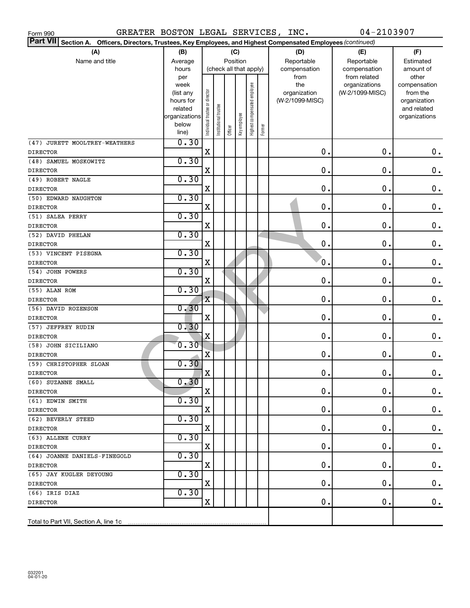| 04-2103907<br>GREATER BOSTON LEGAL SERVICES, INC.<br>Form 990                                                                    |                |                                |                      |          |              |                              |        |                 |                               |                       |  |
|----------------------------------------------------------------------------------------------------------------------------------|----------------|--------------------------------|----------------------|----------|--------------|------------------------------|--------|-----------------|-------------------------------|-----------------------|--|
| <b>Part VII</b><br>Section A. Officers, Directors, Trustees, Key Employees, and Highest Compensated Employees (continued)<br>(C) |                |                                |                      |          |              |                              |        |                 |                               |                       |  |
| (A)                                                                                                                              | (B)            |                                |                      |          |              |                              |        | (D)             | (E)                           | (F)                   |  |
| Name and title                                                                                                                   | Average        |                                |                      | Position |              |                              |        | Reportable      | Reportable                    | Estimated             |  |
|                                                                                                                                  | hours          | (check all that apply)         |                      |          |              |                              |        | compensation    | compensation                  | amount of             |  |
|                                                                                                                                  | per<br>week    |                                |                      |          |              |                              |        | from<br>the     | from related<br>organizations | other<br>compensation |  |
|                                                                                                                                  | (list any      |                                |                      |          |              |                              |        | organization    | (W-2/1099-MISC)               | from the              |  |
|                                                                                                                                  | hours for      |                                |                      |          |              |                              |        | (W-2/1099-MISC) |                               | organization          |  |
|                                                                                                                                  | related        |                                |                      |          |              |                              |        |                 |                               | and related           |  |
|                                                                                                                                  | organizations  |                                |                      |          |              |                              |        |                 |                               | organizations         |  |
|                                                                                                                                  | below<br>line) | Individual trustee or director | nstitutional trustee | Officer  | Key employee | Highest compensated employee | Former |                 |                               |                       |  |
| (47) JURETT MOOLTREY-WEATHERS                                                                                                    | 0.30           |                                |                      |          |              |                              |        |                 |                               |                       |  |
| <b>DIRECTOR</b>                                                                                                                  |                | $\rm X$                        |                      |          |              |                              |        | $\mathbf 0$ .   | 0.                            | $\mathbf 0$ .         |  |
| (48) SAMUEL MOSKOWITZ                                                                                                            | 0.30           |                                |                      |          |              |                              |        |                 |                               |                       |  |
| <b>DIRECTOR</b>                                                                                                                  |                | X                              |                      |          |              |                              |        | 0.              | О.                            | $\mathbf 0$ .         |  |
| (49) ROBERT NAGLE                                                                                                                | 0.30           |                                |                      |          |              |                              |        |                 |                               |                       |  |
| <b>DIRECTOR</b>                                                                                                                  |                | X                              |                      |          |              |                              |        | 0.              | О.                            | $\mathbf 0$ .         |  |
| (50) EDWARD NAUGHTON                                                                                                             | 0.30           |                                |                      |          |              |                              |        |                 |                               |                       |  |
| <b>DIRECTOR</b>                                                                                                                  |                | X                              |                      |          |              |                              |        | 0.              | О.                            | $\mathbf 0$ .         |  |
| (51) SALEA PERRY                                                                                                                 | 0.30           |                                |                      |          |              |                              |        |                 |                               |                       |  |
| <b>DIRECTOR</b>                                                                                                                  |                | X                              |                      |          |              |                              |        | $\mathbf 0$ .   | О.                            | $\mathbf 0$ .         |  |
| (52) DAVID PHELAN                                                                                                                | 0.30           |                                |                      |          |              |                              |        |                 |                               |                       |  |
| <b>DIRECTOR</b>                                                                                                                  |                | X                              |                      |          |              |                              |        | 0.              | О.                            | $\mathbf 0$ .         |  |
| (53) VINCENT PISEGNA                                                                                                             | 0.30           | X                              |                      |          |              |                              |        | 0.              | О.                            | $\mathbf 0$ .         |  |
| <b>DIRECTOR</b>                                                                                                                  | 0.30           |                                |                      |          |              |                              |        |                 |                               |                       |  |
| (54) JOHN POWERS                                                                                                                 |                | X                              |                      |          |              |                              |        | 0.              | 0.                            | $\mathbf 0$ .         |  |
| <b>DIRECTOR</b><br>(55) ALAN ROM                                                                                                 | 0.30           |                                |                      |          |              |                              |        |                 |                               |                       |  |
| <b>DIRECTOR</b>                                                                                                                  |                | $\rm X$                        |                      |          |              |                              |        | 0.              | О.                            | $\mathbf 0$ .         |  |
| (56) DAVID ROZENSON                                                                                                              | 0.30           |                                |                      |          |              |                              |        |                 |                               |                       |  |
| <b>DIRECTOR</b>                                                                                                                  |                | X                              |                      |          |              |                              |        | 0.              | О.                            | $0$ .                 |  |
| (57) JEFFREY RUDIN                                                                                                               | 0.30           |                                |                      |          |              |                              |        |                 |                               |                       |  |
| <b>DIRECTOR</b>                                                                                                                  |                | X                              |                      |          |              |                              |        | 0.              | О.                            | 0.                    |  |
| (58) JOHN SICILIANO                                                                                                              | 0.30           |                                |                      |          |              |                              |        |                 |                               |                       |  |
| <b>DIRECTOR</b>                                                                                                                  |                | X                              |                      |          |              |                              |        | О.              | О.                            | 0.                    |  |
| (59) CHRISTOPHER SLOAN                                                                                                           | 0.30           |                                |                      |          |              |                              |        |                 |                               |                       |  |
| <b>DIRECTOR</b>                                                                                                                  |                | x                              |                      |          |              |                              |        | 0.              | $0$ .                         | 0.                    |  |
| (60) SUZANNE SMALL                                                                                                               | 0.30           |                                |                      |          |              |                              |        |                 |                               |                       |  |
| <b>DIRECTOR</b>                                                                                                                  |                | X                              |                      |          |              |                              |        | 0.              | 0.                            | 0.                    |  |
| (61) EDWIN SMITH                                                                                                                 | 0.30           |                                |                      |          |              |                              |        |                 |                               |                       |  |
| <b>DIRECTOR</b>                                                                                                                  |                | X                              |                      |          |              |                              |        | 0.              | 0.                            | 0.                    |  |
| (62) BEVERLY STEED                                                                                                               | 0.30           |                                |                      |          |              |                              |        |                 |                               |                       |  |
| <b>DIRECTOR</b>                                                                                                                  |                | X                              |                      |          |              |                              |        | 0.              | О.                            | $\mathbf 0$ .         |  |
| (63) ALLENE CURRY                                                                                                                | 0.30           |                                |                      |          |              |                              |        |                 |                               |                       |  |
| <b>DIRECTOR</b>                                                                                                                  |                | X                              |                      |          |              |                              |        | 0.              | О.                            | $\mathbf 0$ .         |  |
| (64) JOANNE DANIELS-FINEGOLD                                                                                                     | 0.30           |                                |                      |          |              |                              |        |                 |                               |                       |  |
| <b>DIRECTOR</b>                                                                                                                  |                | X                              |                      |          |              |                              |        | 0.              | О.                            | $\mathbf 0$ .         |  |
| (65) JAY KUGLER DEYOUNG                                                                                                          | 0.30           |                                |                      |          |              |                              |        |                 |                               |                       |  |
| <b>DIRECTOR</b>                                                                                                                  |                | X                              |                      |          |              |                              |        | 0.              | О.                            | 0.                    |  |
| (66) IRIS DIAZ                                                                                                                   | 0.30           |                                |                      |          |              |                              |        |                 |                               |                       |  |
| <b>DIRECTOR</b>                                                                                                                  |                | X                              |                      |          |              |                              |        | 0.              | 0.                            | 0.                    |  |
|                                                                                                                                  |                |                                |                      |          |              |                              |        |                 |                               |                       |  |
| Total to Part VII, Section A, line 1c                                                                                            |                |                                |                      |          |              |                              |        |                 |                               |                       |  |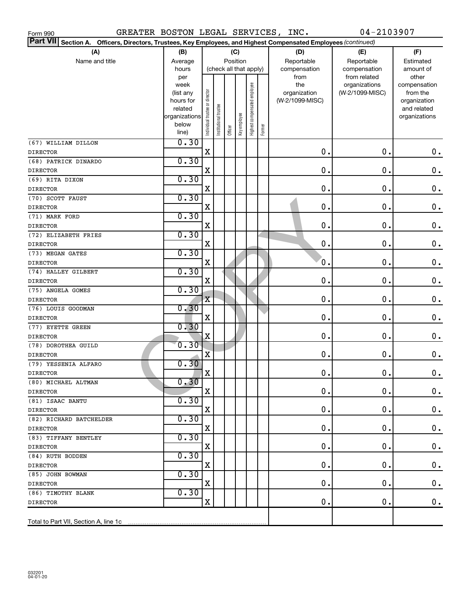| GREATER BOSTON LEGAL SERVICES, INC.<br>Form 990                                                                                  |                |                                |                      |                        |              |                              |        |                 | 04-2103907                    |                       |  |
|----------------------------------------------------------------------------------------------------------------------------------|----------------|--------------------------------|----------------------|------------------------|--------------|------------------------------|--------|-----------------|-------------------------------|-----------------------|--|
| <b>Part VII</b><br>Section A. Officers, Directors, Trustees, Key Employees, and Highest Compensated Employees (continued)<br>(C) |                |                                |                      |                        |              |                              |        |                 |                               |                       |  |
| (A)                                                                                                                              | (B)            |                                |                      |                        |              |                              |        | (D)             | (E)                           | (F)                   |  |
| Name and title                                                                                                                   | Average        |                                |                      | Position               |              |                              |        | Reportable      | Reportable                    | Estimated             |  |
|                                                                                                                                  | hours          |                                |                      | (check all that apply) |              |                              |        | compensation    | compensation                  | amount of             |  |
|                                                                                                                                  | per<br>week    |                                |                      |                        |              |                              |        | from<br>the     | from related<br>organizations | other<br>compensation |  |
|                                                                                                                                  | (list any      |                                |                      |                        |              |                              |        | organization    | (W-2/1099-MISC)               | from the              |  |
|                                                                                                                                  | hours for      |                                |                      |                        |              |                              |        | (W-2/1099-MISC) |                               | organization          |  |
|                                                                                                                                  | related        |                                |                      |                        |              |                              |        |                 |                               | and related           |  |
|                                                                                                                                  | organizations  |                                |                      |                        |              |                              |        |                 |                               | organizations         |  |
|                                                                                                                                  | below<br>line) | Individual trustee or director | nstitutional trustee | Officer                | Key employee | Highest compensated employee | Former |                 |                               |                       |  |
| (67) WILLIAM DILLON                                                                                                              | 0.30           |                                |                      |                        |              |                              |        |                 |                               |                       |  |
| <b>DIRECTOR</b>                                                                                                                  |                | $\mathbf X$                    |                      |                        |              |                              |        | $\mathbf 0$ .   | $\mathbf 0$ .                 | $\mathbf 0$ .         |  |
| (68) PATRICK DINARDO                                                                                                             | 0.30           |                                |                      |                        |              |                              |        |                 |                               |                       |  |
| <b>DIRECTOR</b>                                                                                                                  |                | X                              |                      |                        |              |                              |        | $\mathbf 0$ .   | О.                            | $\mathbf 0$ .         |  |
| (69) RITA DIXON                                                                                                                  | 0.30           |                                |                      |                        |              |                              |        |                 |                               |                       |  |
| <b>DIRECTOR</b>                                                                                                                  |                | X                              |                      |                        |              |                              |        | $\mathbf 0$ .   | О.                            | $\mathbf 0$ .         |  |
| (70) SCOTT FAUST                                                                                                                 | 0.30           |                                |                      |                        |              |                              |        |                 |                               |                       |  |
| <b>DIRECTOR</b>                                                                                                                  |                | X                              |                      |                        |              |                              |        | $\mathbf 0$ .   | О.                            | $\mathbf 0$ .         |  |
| (71) MARK FORD                                                                                                                   | 0.30           |                                |                      |                        |              |                              |        |                 |                               |                       |  |
| <b>DIRECTOR</b>                                                                                                                  |                | X                              |                      |                        |              |                              |        | 0.              | О.                            | $\mathbf 0$ .         |  |
| (72) ELIZABETH FRIES                                                                                                             | 0.30           |                                |                      |                        |              |                              |        |                 |                               |                       |  |
| <b>DIRECTOR</b>                                                                                                                  |                | X                              |                      |                        |              |                              |        | 0.              | О.                            | $\mathbf 0$ .         |  |
| (73) MEGAN GATES                                                                                                                 | 0.30           |                                |                      |                        |              |                              |        |                 |                               |                       |  |
| <b>DIRECTOR</b>                                                                                                                  |                | X                              |                      |                        |              |                              |        | 0.              | О.                            | $\mathbf 0$ .         |  |
| (74) HALLEY GILBERT                                                                                                              | 0.30           |                                |                      |                        |              |                              |        |                 |                               |                       |  |
| <b>DIRECTOR</b>                                                                                                                  |                | X                              |                      |                        |              |                              |        | $\mathbf 0$ .   | О.                            | $\mathbf 0$ .         |  |
| (75) ANGELA GOMES                                                                                                                | 0.30           |                                |                      |                        |              |                              |        |                 |                               |                       |  |
| <b>DIRECTOR</b>                                                                                                                  |                | $\mathbf X$                    |                      |                        |              |                              |        | $\mathbf 0$ .   | О.                            | $\mathbf 0$ .         |  |
| (76) LOUIS GOODMAN                                                                                                               | 0.30           | $\mathbf X$                    |                      |                        |              |                              |        | $\mathbf 0$ .   | О.                            |                       |  |
| <b>DIRECTOR</b><br>(77) EYETTE GREEN                                                                                             | 0.30           |                                |                      |                        |              |                              |        |                 |                               | 0.                    |  |
| <b>DIRECTOR</b>                                                                                                                  |                | X                              |                      |                        |              |                              |        | $\mathbf 0$ .   | О.                            | 0.                    |  |
| (78) DOROTHEA GUILD                                                                                                              | 0.30           |                                |                      |                        |              |                              |        |                 |                               |                       |  |
| <b>DIRECTOR</b>                                                                                                                  |                | $\overline{\mathbf{X}}$        |                      |                        |              |                              |        | $\mathbf 0$ .   | О.                            | 0.                    |  |
| (79) YESSENIA ALFARO                                                                                                             | 0.30           |                                |                      |                        |              |                              |        |                 |                               |                       |  |
| <b>DIRECTOR</b>                                                                                                                  |                | X                              |                      |                        |              |                              |        | $0$ .           | $0$ .                         | $\mathbf 0$ .         |  |
| (80) MICHAEL ALTMAN                                                                                                              | 0.30           |                                |                      |                        |              |                              |        |                 |                               |                       |  |
| DIRECTOR                                                                                                                         |                | X                              |                      |                        |              |                              |        | $\mathbf 0$ .   | 0.                            | 0.                    |  |
| (81) ISAAC BANTU                                                                                                                 | 0.30           |                                |                      |                        |              |                              |        |                 |                               |                       |  |
| <b>DIRECTOR</b>                                                                                                                  |                | х                              |                      |                        |              |                              |        | 0.              | 0.                            | 0.                    |  |
| (82) RICHARD BATCHELDER                                                                                                          | 0.30           |                                |                      |                        |              |                              |        |                 |                               |                       |  |
| <b>DIRECTOR</b>                                                                                                                  |                | х                              |                      |                        |              |                              |        | 0.              | 0.                            | 0.                    |  |
| (83) TIFFANY BENTLEY                                                                                                             | 0.30           |                                |                      |                        |              |                              |        |                 |                               |                       |  |
| <b>DIRECTOR</b>                                                                                                                  |                | х                              |                      |                        |              |                              |        | 0.              | 0.                            | 0.                    |  |
| (84) RUTH BODDEN                                                                                                                 | 0.30           |                                |                      |                        |              |                              |        |                 |                               |                       |  |
| <b>DIRECTOR</b>                                                                                                                  |                | х                              |                      |                        |              |                              |        | 0.              | 0.                            | 0.                    |  |
| (85) JOHN BOWMAN                                                                                                                 | 0.30           |                                |                      |                        |              |                              |        |                 |                               |                       |  |
| <b>DIRECTOR</b>                                                                                                                  | 0.30           | х                              |                      |                        |              |                              |        | 0.              | 0.                            | 0.                    |  |
| (86) TIMOTHY BLANK<br>DIRECTOR                                                                                                   |                | X                              |                      |                        |              |                              |        | 0.              | $\mathbf 0$ .                 | 0.                    |  |
|                                                                                                                                  |                |                                |                      |                        |              |                              |        |                 |                               |                       |  |
| Total to Part VII, Section A, line 1c                                                                                            |                |                                |                      |                        |              |                              |        |                 |                               |                       |  |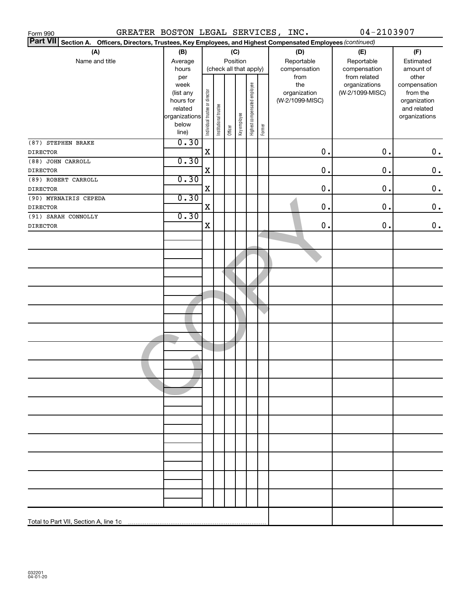| GREATER BOSTON LEGAL SERVICES, INC.<br>Form 990                                                                 |                      |                                |                        |          |              |                              |        |                 | 04-2103907      |                             |
|-----------------------------------------------------------------------------------------------------------------|----------------------|--------------------------------|------------------------|----------|--------------|------------------------------|--------|-----------------|-----------------|-----------------------------|
| Part VII Section A. Officers, Directors, Trustees, Key Employees, and Highest Compensated Employees (continued) |                      |                                |                        |          |              |                              |        |                 |                 |                             |
| (A)                                                                                                             | (B)                  |                                |                        |          | (C)          |                              |        | (D)             | (E)             | (F)                         |
| Name and title                                                                                                  | Average              |                                |                        | Position |              |                              |        | Reportable      | Reportable      | Estimated                   |
|                                                                                                                 | hours                |                                | (check all that apply) |          |              |                              |        | compensation    | compensation    | amount of                   |
|                                                                                                                 | per                  |                                |                        |          |              |                              |        | from            | from related    | other                       |
|                                                                                                                 | week                 |                                |                        |          |              |                              |        | the             | organizations   | compensation                |
|                                                                                                                 | (list any            |                                |                        |          |              |                              |        | organization    | (W-2/1099-MISC) | from the                    |
|                                                                                                                 | hours for<br>related |                                |                        |          |              |                              |        | (W-2/1099-MISC) |                 | organization<br>and related |
|                                                                                                                 | organizations        |                                |                        |          |              |                              |        |                 |                 | organizations               |
|                                                                                                                 | below                | Individual trustee or director | Institutional trustee  |          |              | Highest compensated employee |        |                 |                 |                             |
|                                                                                                                 | line)                |                                |                        | Officer  | Key employee |                              | Former |                 |                 |                             |
| (87) STEPHEN BRAKE                                                                                              | 0.30                 |                                |                        |          |              |                              |        |                 |                 |                             |
| <b>DIRECTOR</b>                                                                                                 |                      | X                              |                        |          |              |                              |        | $0$ .           | 0.              | 0.                          |
| (88) JOHN CARROLL                                                                                               | 0.30                 |                                |                        |          |              |                              |        |                 |                 |                             |
| <b>DIRECTOR</b>                                                                                                 |                      | X                              |                        |          |              |                              |        | $\mathbf 0$ .   | $0$ .           | $\mathbf 0$ .               |
| (89) ROBERT CARROLL                                                                                             | 0.30                 |                                |                        |          |              |                              |        |                 |                 |                             |
| <b>DIRECTOR</b>                                                                                                 |                      | X                              |                        |          |              |                              |        | 0.              | $0$ .           | $\mathbf 0$ .               |
| (90) MYRNAIRIS CEPEDA                                                                                           | 0.30                 |                                |                        |          |              |                              |        |                 |                 |                             |
| <b>DIRECTOR</b>                                                                                                 |                      | X                              |                        |          |              |                              |        | 0.              | $0$ .           | $\mathbf 0$ .               |
| (91) SARAH CONNOLLY                                                                                             | 0.30                 |                                |                        |          |              |                              |        |                 |                 |                             |
| <b>DIRECTOR</b>                                                                                                 |                      | X                              |                        |          |              |                              |        | 0.              | $0$ .           | $\mathbf 0$ .               |
|                                                                                                                 |                      |                                |                        |          |              |                              |        |                 |                 |                             |
|                                                                                                                 |                      |                                |                        |          |              |                              |        |                 |                 |                             |
|                                                                                                                 |                      |                                |                        |          |              |                              |        |                 |                 |                             |
|                                                                                                                 |                      |                                |                        |          |              |                              |        |                 |                 |                             |
|                                                                                                                 |                      |                                |                        |          |              |                              |        |                 |                 |                             |
|                                                                                                                 |                      |                                |                        |          |              |                              |        |                 |                 |                             |
|                                                                                                                 |                      |                                |                        |          |              |                              |        |                 |                 |                             |
|                                                                                                                 |                      |                                |                        |          |              |                              |        |                 |                 |                             |
|                                                                                                                 |                      |                                |                        |          |              |                              |        |                 |                 |                             |
|                                                                                                                 |                      |                                |                        |          |              |                              |        |                 |                 |                             |
|                                                                                                                 |                      |                                |                        |          |              |                              |        |                 |                 |                             |
|                                                                                                                 |                      |                                |                        |          |              |                              |        |                 |                 |                             |
|                                                                                                                 |                      |                                |                        |          |              |                              |        |                 |                 |                             |
|                                                                                                                 |                      |                                |                        |          |              |                              |        |                 |                 |                             |
|                                                                                                                 |                      |                                |                        |          |              |                              |        |                 |                 |                             |
|                                                                                                                 |                      |                                |                        |          |              |                              |        |                 |                 |                             |
|                                                                                                                 |                      |                                |                        |          |              |                              |        |                 |                 |                             |
|                                                                                                                 |                      |                                |                        |          |              |                              |        |                 |                 |                             |
|                                                                                                                 |                      |                                |                        |          |              |                              |        |                 |                 |                             |
|                                                                                                                 |                      |                                |                        |          |              |                              |        |                 |                 |                             |
|                                                                                                                 |                      |                                |                        |          |              |                              |        |                 |                 |                             |
|                                                                                                                 |                      |                                |                        |          |              |                              |        |                 |                 |                             |
|                                                                                                                 |                      |                                |                        |          |              |                              |        |                 |                 |                             |
|                                                                                                                 |                      |                                |                        |          |              |                              |        |                 |                 |                             |
|                                                                                                                 |                      |                                |                        |          |              |                              |        |                 |                 |                             |
|                                                                                                                 |                      |                                |                        |          |              |                              |        |                 |                 |                             |
|                                                                                                                 |                      |                                |                        |          |              |                              |        |                 |                 |                             |
|                                                                                                                 |                      |                                |                        |          |              |                              |        |                 |                 |                             |
|                                                                                                                 |                      |                                |                        |          |              |                              |        |                 |                 |                             |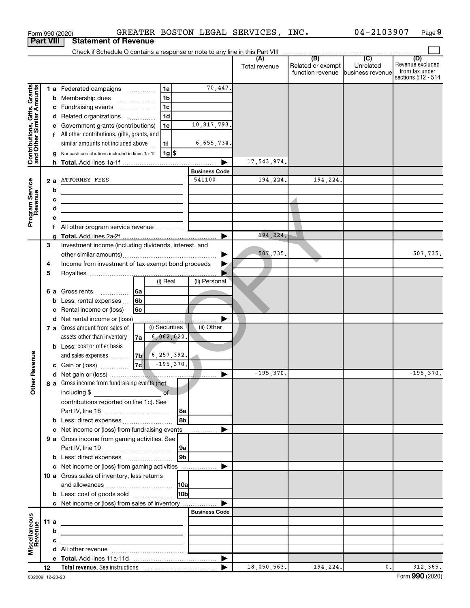|                                                           |                  |   | Form 990 (2020)                                                                                                                 |                                      |                   |                 |                       | GREATER BOSTON LEGAL SERVICES, INC. |                                                        | 04-2103907    | Page 9                                                          |
|-----------------------------------------------------------|------------------|---|---------------------------------------------------------------------------------------------------------------------------------|--------------------------------------|-------------------|-----------------|-----------------------|-------------------------------------|--------------------------------------------------------|---------------|-----------------------------------------------------------------|
|                                                           | <b>Part VIII</b> |   | <b>Statement of Revenue</b>                                                                                                     |                                      |                   |                 |                       |                                     |                                                        |               |                                                                 |
|                                                           |                  |   |                                                                                                                                 |                                      |                   |                 |                       |                                     |                                                        |               |                                                                 |
|                                                           |                  |   |                                                                                                                                 |                                      |                   |                 |                       | Total revenue                       | Related or exempt<br>function revenue business revenue | Unrelated     | (D)<br>Revenue excluded<br>from tax under<br>sections 512 - 514 |
| Contributions, Gifts, Grants<br>and Other Similar Amounts |                  |   | 1 a Federated campaigns                                                                                                         |                                      | 1a                |                 | 70,447.               |                                     |                                                        |               |                                                                 |
|                                                           |                  | b | Membership dues                                                                                                                 | $\ldots \ldots \ldots \ldots \ldots$ | 1 <sub>b</sub>    |                 |                       |                                     |                                                        |               |                                                                 |
|                                                           |                  |   | c Fundraising events                                                                                                            |                                      | 1 <sub>c</sub>    |                 |                       |                                     |                                                        |               |                                                                 |
|                                                           |                  |   | d Related organizations                                                                                                         |                                      | 1 <sub>d</sub>    |                 |                       |                                     |                                                        |               |                                                                 |
|                                                           |                  |   | e Government grants (contributions)                                                                                             |                                      | 1e                |                 | 10,817,793.           |                                     |                                                        |               |                                                                 |
|                                                           |                  |   | f All other contributions, gifts, grants, and                                                                                   |                                      |                   |                 |                       |                                     |                                                        |               |                                                                 |
|                                                           |                  |   | similar amounts not included above                                                                                              |                                      | 1f                |                 | 6,655,734.            |                                     |                                                        |               |                                                                 |
|                                                           |                  |   | Noncash contributions included in lines 1a-1f                                                                                   |                                      | $1g$ \$           |                 | ▶                     |                                     |                                                        |               |                                                                 |
|                                                           |                  |   |                                                                                                                                 |                                      |                   |                 | <b>Business Code</b>  | 17,543,974.                         |                                                        |               |                                                                 |
|                                                           | 2 a              |   | <b>ATTORNEY FEES</b>                                                                                                            |                                      |                   |                 | 541100                | 194,224.                            | 194,224.                                               |               |                                                                 |
| Program Service<br>Revenue                                |                  | b |                                                                                                                                 |                                      |                   |                 |                       |                                     |                                                        |               |                                                                 |
|                                                           |                  | с | the control of the control of the control of the control of the control of<br><u> 1989 - Johann Barbara, martxa alemaniar a</u> |                                      |                   |                 |                       |                                     |                                                        |               |                                                                 |
|                                                           |                  | d | <u> 1989 - Johann Barbara, martin a bhaile an t-Alban Barbara ann an t-Alban Barbara ann an t-Alban Barbara ann an</u>          |                                      |                   |                 |                       |                                     |                                                        |               |                                                                 |
|                                                           |                  | е |                                                                                                                                 |                                      |                   |                 |                       |                                     |                                                        |               |                                                                 |
|                                                           |                  | f |                                                                                                                                 |                                      |                   |                 |                       |                                     |                                                        |               |                                                                 |
|                                                           |                  |   |                                                                                                                                 |                                      |                   |                 | $\blacktriangleright$ | 194,224.                            |                                                        |               |                                                                 |
|                                                           | 3                |   | Investment income (including dividends, interest, and                                                                           |                                      |                   |                 |                       |                                     |                                                        |               |                                                                 |
|                                                           |                  |   |                                                                                                                                 |                                      |                   |                 |                       | 507,735.                            |                                                        |               | 507,735.                                                        |
|                                                           | 4                |   | Income from investment of tax-exempt bond proceeds                                                                              |                                      |                   |                 |                       |                                     |                                                        |               |                                                                 |
|                                                           | 5                |   |                                                                                                                                 |                                      |                   |                 |                       |                                     |                                                        |               |                                                                 |
|                                                           |                  |   |                                                                                                                                 |                                      | (i) Real          |                 | (ii) Personal         |                                     |                                                        |               |                                                                 |
|                                                           | 6а               |   | Gross rents<br>.                                                                                                                | 6a                                   |                   |                 |                       |                                     |                                                        |               |                                                                 |
|                                                           |                  | b | Less: rental expenses<br>Rental income or (loss)                                                                                | 6 <sub>b</sub><br>6с                 |                   |                 |                       |                                     |                                                        |               |                                                                 |
|                                                           |                  | с | d Net rental income or (loss)                                                                                                   |                                      |                   |                 |                       |                                     |                                                        |               |                                                                 |
|                                                           |                  |   | 7 a Gross amount from sales of                                                                                                  |                                      | (i) Securities    |                 | (ii) Other            |                                     |                                                        |               |                                                                 |
|                                                           |                  |   | assets other than inventory                                                                                                     | 7a                                   | 6,062,022.        |                 |                       |                                     |                                                        |               |                                                                 |
|                                                           |                  |   | <b>b</b> Less: cost or other basis                                                                                              |                                      |                   |                 |                       |                                     |                                                        |               |                                                                 |
|                                                           |                  |   | and sales expenses                                                                                                              |                                      | $7b$ 6, 257, 392. |                 |                       |                                     |                                                        |               |                                                                 |
| evenue                                                    |                  |   | c Gain or (loss)                                                                                                                | 7c                                   | $-195,370.$       |                 |                       |                                     |                                                        |               |                                                                 |
| Other F                                                   |                  |   |                                                                                                                                 |                                      |                   |                 |                       | $-195,370.$                         |                                                        |               | $-195, 370.$                                                    |
|                                                           |                  |   | 8 a Gross income from fundraising events (not                                                                                   |                                      |                   |                 |                       |                                     |                                                        |               |                                                                 |
|                                                           |                  |   | including \$                                                                                                                    |                                      | of                |                 |                       |                                     |                                                        |               |                                                                 |
|                                                           |                  |   | contributions reported on line 1c). See                                                                                         |                                      |                   |                 |                       |                                     |                                                        |               |                                                                 |
|                                                           |                  |   |                                                                                                                                 |                                      |                   | 8a              |                       |                                     |                                                        |               |                                                                 |
|                                                           |                  |   | b Less: direct expenses                                                                                                         |                                      |                   | l 8b            |                       |                                     |                                                        |               |                                                                 |
|                                                           |                  |   |                                                                                                                                 |                                      |                   |                 |                       |                                     |                                                        |               |                                                                 |
|                                                           |                  |   | 9 a Gross income from gaming activities. See                                                                                    |                                      |                   |                 |                       |                                     |                                                        |               |                                                                 |
|                                                           |                  |   |                                                                                                                                 |                                      |                   | l 9b            |                       |                                     |                                                        |               |                                                                 |
|                                                           |                  |   |                                                                                                                                 |                                      |                   |                 |                       |                                     |                                                        |               |                                                                 |
|                                                           |                  |   | 10 a Gross sales of inventory, less returns                                                                                     |                                      |                   |                 |                       |                                     |                                                        |               |                                                                 |
|                                                           |                  |   |                                                                                                                                 |                                      |                   |                 |                       |                                     |                                                        |               |                                                                 |
|                                                           |                  |   | <b>b</b> Less: cost of goods sold                                                                                               |                                      |                   | H <sub>0b</sub> |                       |                                     |                                                        |               |                                                                 |
|                                                           |                  |   |                                                                                                                                 |                                      |                   |                 |                       |                                     |                                                        |               |                                                                 |
|                                                           |                  |   |                                                                                                                                 |                                      |                   |                 | <b>Business Code</b>  |                                     |                                                        |               |                                                                 |
|                                                           | 11a              |   | <u> 1980 - Johann Barbara, martxa alemaniar a</u>                                                                               |                                      |                   |                 |                       |                                     |                                                        |               |                                                                 |
|                                                           |                  | b | the control of the control of the control of the control of the control of                                                      |                                      |                   |                 |                       |                                     |                                                        |               |                                                                 |
| Miscellaneous<br>Revenue                                  |                  | c |                                                                                                                                 |                                      |                   |                 |                       |                                     |                                                        |               |                                                                 |
|                                                           |                  |   |                                                                                                                                 |                                      |                   |                 |                       |                                     |                                                        |               |                                                                 |
|                                                           |                  |   |                                                                                                                                 |                                      |                   |                 |                       | 18,050,563.                         | 194,224.                                               | $\mathbf 0$ . | 312, 365.                                                       |
|                                                           | 12 <sup>2</sup>  |   |                                                                                                                                 |                                      |                   |                 |                       |                                     |                                                        |               |                                                                 |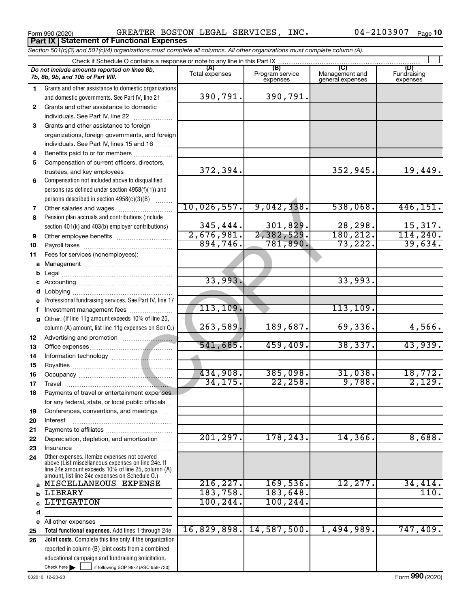Form 990 (2020) Page GREATER BOSTON LEGAL SERVICES, INC. 04-2103907 **Part IX Statement of Functional Expenses**

*Section 501(c)(3) and 501(c)(4) organizations must complete all columns. All other organizations must complete column (A).*

|              | Do not include amounts reported on lines 6b,<br>7b, 8b, 9b, and 10b of Part VIII.                    | (A)<br>Total expenses | (B)<br>Program service<br>expenses | (C)<br>Management and<br>general expenses | (D)<br>Fundraising<br>expenses |  |  |  |  |  |  |  |  |
|--------------|------------------------------------------------------------------------------------------------------|-----------------------|------------------------------------|-------------------------------------------|--------------------------------|--|--|--|--|--|--|--|--|
| 1            | Grants and other assistance to domestic organizations                                                |                       |                                    |                                           |                                |  |  |  |  |  |  |  |  |
|              | and domestic governments. See Part IV, line 21                                                       | 390,791.              | 390,791.                           |                                           |                                |  |  |  |  |  |  |  |  |
| $\mathbf{2}$ | Grants and other assistance to domestic                                                              |                       |                                    |                                           |                                |  |  |  |  |  |  |  |  |
|              | individuals. See Part IV, line 22                                                                    |                       |                                    |                                           |                                |  |  |  |  |  |  |  |  |
| 3            | Grants and other assistance to foreign                                                               |                       |                                    |                                           |                                |  |  |  |  |  |  |  |  |
|              | organizations, foreign governments, and foreign                                                      |                       |                                    |                                           |                                |  |  |  |  |  |  |  |  |
|              | individuals. See Part IV, lines 15 and 16                                                            |                       |                                    |                                           |                                |  |  |  |  |  |  |  |  |
| 4            | Benefits paid to or for members                                                                      |                       |                                    |                                           |                                |  |  |  |  |  |  |  |  |
| 5            | Compensation of current officers, directors,                                                         | 372,394.              |                                    | 352,945.                                  |                                |  |  |  |  |  |  |  |  |
|              | trustees, and key employees                                                                          |                       |                                    |                                           | 19,449.                        |  |  |  |  |  |  |  |  |
| 6            | Compensation not included above to disqualified<br>persons (as defined under section 4958(f)(1)) and |                       |                                    |                                           |                                |  |  |  |  |  |  |  |  |
|              | persons described in section 4958(c)(3)(B)                                                           |                       |                                    |                                           |                                |  |  |  |  |  |  |  |  |
| 7            | Other salaries and wages                                                                             | 10,026,557.           | 9,042,338.                         | 538,068.                                  | 446, 151.                      |  |  |  |  |  |  |  |  |
| 8            | Pension plan accruals and contributions (include                                                     |                       |                                    |                                           |                                |  |  |  |  |  |  |  |  |
|              | section 401(k) and 403(b) employer contributions)                                                    | 345,444.              |                                    |                                           |                                |  |  |  |  |  |  |  |  |
| 9            | Other employee benefits                                                                              | 2,676,981.            | $\frac{301,829}{2,382,529}$        | $\frac{28,298.}{180,212.}$                | $\frac{15,317.}{114,240.}$     |  |  |  |  |  |  |  |  |
| 10           |                                                                                                      | 894,746.              | 781,890.                           | 73,222.                                   | 39,634.                        |  |  |  |  |  |  |  |  |
| 11           | Fees for services (nonemployees):                                                                    |                       |                                    |                                           |                                |  |  |  |  |  |  |  |  |
| a            |                                                                                                      |                       |                                    |                                           |                                |  |  |  |  |  |  |  |  |
| b            |                                                                                                      |                       |                                    |                                           |                                |  |  |  |  |  |  |  |  |
|              |                                                                                                      | 33,993.               |                                    | 33,993.                                   |                                |  |  |  |  |  |  |  |  |
|              |                                                                                                      |                       |                                    |                                           |                                |  |  |  |  |  |  |  |  |
| е            | Professional fundraising services. See Part IV, line 17                                              |                       |                                    |                                           |                                |  |  |  |  |  |  |  |  |
| f            | Investment management fees                                                                           | 113, 109.             |                                    | 113, 109.                                 |                                |  |  |  |  |  |  |  |  |
| q            | Other. (If line 11g amount exceeds 10% of line 25,                                                   |                       |                                    |                                           |                                |  |  |  |  |  |  |  |  |
|              | column (A) amount, list line 11g expenses on Sch O.)                                                 | 263,589.              | 189,687.                           | 69,336.                                   | 4,566.                         |  |  |  |  |  |  |  |  |
| 12           |                                                                                                      |                       |                                    |                                           |                                |  |  |  |  |  |  |  |  |
| 13           |                                                                                                      | 541,685.              | 459, 409.                          | 38,337.                                   | 43,939.                        |  |  |  |  |  |  |  |  |
| 14           |                                                                                                      |                       |                                    |                                           |                                |  |  |  |  |  |  |  |  |
| 15           |                                                                                                      | 434,908.              |                                    |                                           |                                |  |  |  |  |  |  |  |  |
| 16           |                                                                                                      | 34, 175.              | 385,098.<br>22, 258.               | 31,038.<br>9,788.                         | 18,772.<br>2,129.              |  |  |  |  |  |  |  |  |
| 17           |                                                                                                      |                       |                                    |                                           |                                |  |  |  |  |  |  |  |  |
| 18           | Payments of travel or entertainment expenses                                                         |                       |                                    |                                           |                                |  |  |  |  |  |  |  |  |
|              | for any federal, state, or local public officials<br>Conferences, conventions, and meetings          |                       |                                    |                                           |                                |  |  |  |  |  |  |  |  |
| 19<br>20     | Interest                                                                                             |                       |                                    |                                           |                                |  |  |  |  |  |  |  |  |
| 21           |                                                                                                      |                       |                                    |                                           |                                |  |  |  |  |  |  |  |  |
| 22           | Depreciation, depletion, and amortization                                                            | 201, 297.             | 178,243.                           | 14,366.                                   | 8,688.                         |  |  |  |  |  |  |  |  |
| 23           | Insurance                                                                                            |                       |                                    |                                           |                                |  |  |  |  |  |  |  |  |
| 24           | Other expenses. Itemize expenses not covered<br>above (List miscellaneous expenses on line 24e. If   |                       |                                    |                                           |                                |  |  |  |  |  |  |  |  |
|              | line 24e amount exceeds 10% of line 25, column (A)<br>amount, list line 24e expenses on Schedule O.) |                       |                                    |                                           |                                |  |  |  |  |  |  |  |  |
| a            | MISCELLANEOUS EXPENSE                                                                                | 216, 227.             | 169,536.                           | 12,277.                                   | 34,414.                        |  |  |  |  |  |  |  |  |
| b            | <b>LIBRARY</b>                                                                                       | 183,758.              | 183,648.                           |                                           | 110.                           |  |  |  |  |  |  |  |  |
|              | <b>LITIGATION</b>                                                                                    | 100, 244.             | 100, 244.                          |                                           |                                |  |  |  |  |  |  |  |  |
| d            |                                                                                                      |                       |                                    |                                           |                                |  |  |  |  |  |  |  |  |
| е            | All other expenses                                                                                   |                       |                                    |                                           |                                |  |  |  |  |  |  |  |  |
| 25           | Total functional expenses. Add lines 1 through 24e                                                   | 16,829,898.           | 14,587,500.                        | 1,494,989.                                | 747,409.                       |  |  |  |  |  |  |  |  |
| 26           | Joint costs. Complete this line only if the organization                                             |                       |                                    |                                           |                                |  |  |  |  |  |  |  |  |
|              | reported in column (B) joint costs from a combined                                                   |                       |                                    |                                           |                                |  |  |  |  |  |  |  |  |
|              | educational campaign and fundraising solicitation.                                                   |                       |                                    |                                           |                                |  |  |  |  |  |  |  |  |
|              | Check here $\blacktriangleright$<br>if following SOP 98-2 (ASC 958-720)                              |                       |                                    |                                           |                                |  |  |  |  |  |  |  |  |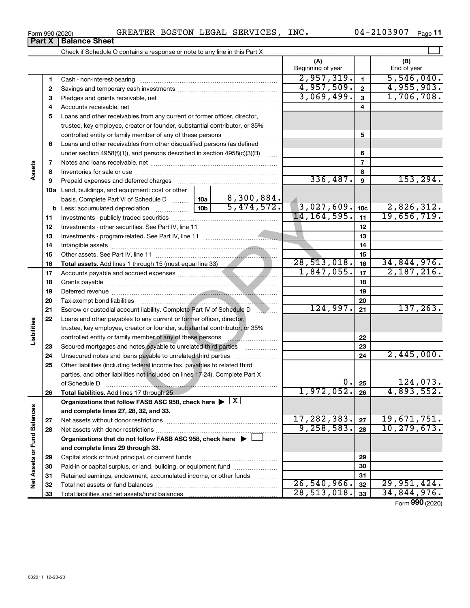| Form 990 (2020) |                               |  | GREATER BOSTON LEGAL SERVICES, | INC. | 04-2103907 | Page 11 |
|-----------------|-------------------------------|--|--------------------------------|------|------------|---------|
|                 | <b>Part X   Balance Sheet</b> |  |                                |      |            |         |

Check if Schedule O contains a response or note to any line in this Part X

|                             |    |                                                                                                                  |                 |            | (A)<br>Beginning of year |               |                          | (B)<br>End of year         |
|-----------------------------|----|------------------------------------------------------------------------------------------------------------------|-----------------|------------|--------------------------|---------------|--------------------------|----------------------------|
|                             | 1  |                                                                                                                  |                 |            | 2,957,319.               |               | $\mathbf{1}$             | 5,546,040.                 |
|                             | 2  |                                                                                                                  |                 |            | 4,957,509.               |               | $\mathbf{2}$             | 4,955,903.                 |
|                             | 3  |                                                                                                                  |                 |            | 3,069,499.               |               | $\mathbf{3}$             | 1,706,708.                 |
|                             | 4  |                                                                                                                  |                 |            |                          |               | 4                        |                            |
|                             | 5  | Loans and other receivables from any current or former officer, director,                                        |                 |            |                          |               |                          |                            |
|                             |    | trustee, key employee, creator or founder, substantial contributor, or 35%                                       |                 |            |                          |               |                          |                            |
|                             |    | controlled entity or family member of any of these persons                                                       |                 |            |                          |               | 5                        |                            |
|                             | 6  | Loans and other receivables from other disqualified persons (as defined                                          |                 |            |                          |               |                          |                            |
|                             |    | under section $4958(f)(1)$ , and persons described in section $4958(c)(3)(B)$                                    |                 | $\ldots$   |                          |               | 6                        |                            |
|                             | 7  |                                                                                                                  |                 |            |                          |               | $\overline{\phantom{a}}$ |                            |
| Assets                      | 8  |                                                                                                                  |                 |            |                          |               | 8                        |                            |
|                             | 9  | Prepaid expenses and deferred charges                                                                            |                 |            |                          | 336,487.      | 9                        | 153, 294.                  |
|                             |    | <b>10a</b> Land, buildings, and equipment: cost or other                                                         |                 |            |                          |               |                          |                            |
|                             |    | basis. Complete Part VI of Schedule D  10a                                                                       |                 | 8,300,884. |                          |               |                          |                            |
|                             |    | <b>b</b> Less: accumulated depreciation                                                                          | 10 <sub>b</sub> | 5,474,572. | 3,027,609.               |               | 10 <sub>c</sub>          | 2,826,312.                 |
|                             | 11 |                                                                                                                  |                 |            | 14, 164, 595.            |               | 11                       | 19,656,719.                |
|                             | 12 |                                                                                                                  |                 |            |                          |               | 12                       |                            |
|                             | 13 |                                                                                                                  |                 |            |                          |               | 13                       |                            |
|                             | 14 |                                                                                                                  |                 |            |                          |               | 14                       |                            |
|                             | 15 |                                                                                                                  |                 |            |                          |               | 15                       |                            |
|                             | 16 |                                                                                                                  |                 |            | 28,513,018.              |               | 16                       | 34,844,976.                |
|                             | 17 |                                                                                                                  |                 |            | 1,847,055.               |               | 17                       | 2,187,216.                 |
|                             | 18 |                                                                                                                  |                 |            |                          |               | 18                       |                            |
|                             | 19 |                                                                                                                  |                 |            |                          |               | 19                       |                            |
|                             | 20 |                                                                                                                  |                 |            | 20                       |               |                          |                            |
|                             | 21 | Escrow or custodial account liability. Complete Part IV of Schedule D                                            |                 | 124,997.   | 21                       | 137, 263.     |                          |                            |
|                             | 22 | Loans and other payables to any current or former officer, director,                                             |                 |            |                          |               |                          |                            |
|                             |    | trustee, key employee, creator or founder, substantial contributor, or 35%                                       |                 |            |                          |               |                          |                            |
| Liabilities                 |    | controlled entity or family member of any of these persons                                                       |                 |            |                          |               | 22                       |                            |
|                             | 23 | Secured mortgages and notes payable to unrelated third parties                                                   |                 |            | 23                       |               |                          |                            |
|                             | 24 | Unsecured notes and loans payable to unrelated third parties                                                     |                 |            |                          |               | 24                       | 2,445,000.                 |
|                             | 25 | Other liabilities (including federal income tax, payables to related third                                       |                 |            |                          |               |                          |                            |
|                             |    | parties, and other liabilities not included on lines 17-24). Complete Part X                                     |                 |            |                          |               |                          |                            |
|                             |    | of Schedule D                                                                                                    |                 | 0.         | 25                       | 124,073.      |                          |                            |
|                             | 26 | Total liabilities. Add lines 17 through 25 [11] [12] m.m.s. [13] [13] Total liabilities. Add lines 17 through 25 |                 |            | 1,972,052.               |               | 26                       | 4,893,552.                 |
|                             |    | Organizations that follow FASB ASC 958, check here $\blacktriangleright \boxed{X}$                               |                 |            |                          |               |                          |                            |
|                             |    | and complete lines 27, 28, 32, and 33.                                                                           |                 |            |                          |               |                          |                            |
|                             | 27 |                                                                                                                  | 17,282,383.     |            | 27                       | 19,671,751.   |                          |                            |
|                             | 28 |                                                                                                                  | 9, 258, 583.    |            | 28                       | 10, 279, 673. |                          |                            |
|                             |    | Organizations that do not follow FASB ASC 958, check here ▶ U                                                    |                 |            |                          |               |                          |                            |
|                             |    | and complete lines 29 through 33.                                                                                |                 |            |                          |               |                          |                            |
| Net Assets or Fund Balances | 29 |                                                                                                                  |                 |            |                          |               | 29                       |                            |
|                             | 30 | Paid-in or capital surplus, or land, building, or equipment fund                                                 |                 |            |                          |               | 30                       |                            |
|                             | 31 | Retained earnings, endowment, accumulated income, or other funds                                                 |                 |            | 26,540,966.              |               | 31                       |                            |
|                             | 32 |                                                                                                                  |                 |            | 28, 513, 018.            |               | 32                       | 29,951,424.<br>34,844,976. |
|                             | 33 |                                                                                                                  |                 |            |                          |               | 33                       |                            |

Form (2020) **990**

†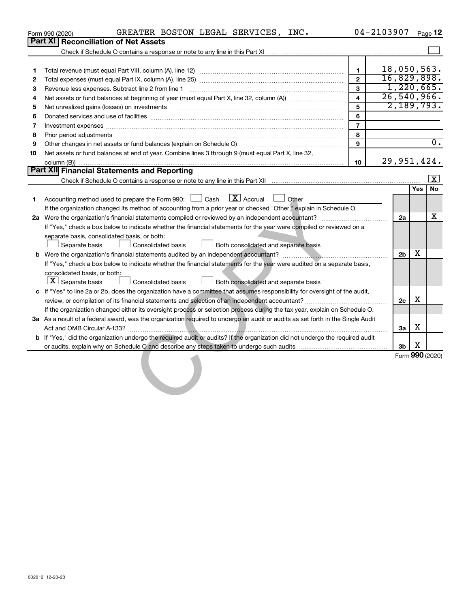|    | GREATER BOSTON LEGAL SERVICES, INC.<br>Form 990 (2020)                                                                                                      |                         | $04 - 2103907$ | Page 12                 |  |
|----|-------------------------------------------------------------------------------------------------------------------------------------------------------------|-------------------------|----------------|-------------------------|--|
|    | <b>Part XI</b><br><b>Reconciliation of Net Assets</b>                                                                                                       |                         |                |                         |  |
|    |                                                                                                                                                             |                         |                |                         |  |
|    |                                                                                                                                                             |                         |                |                         |  |
| 1  |                                                                                                                                                             | 1                       | 18,050,563.    |                         |  |
| 2  |                                                                                                                                                             | $\overline{2}$          | 16,829,898.    |                         |  |
| 3  | Revenue less expenses. Subtract line 2 from line 1                                                                                                          | 3                       | 1,220,665.     |                         |  |
| 4  |                                                                                                                                                             | $\overline{\mathbf{4}}$ | 26,540,966.    |                         |  |
| 5  |                                                                                                                                                             | 5                       | 2,189,793.     |                         |  |
| 6  |                                                                                                                                                             | 6                       |                |                         |  |
| 7  |                                                                                                                                                             | $\overline{7}$          |                |                         |  |
| 8  | Prior period adjustments www.communication.communication.communication.com/                                                                                 | 8                       |                |                         |  |
| 9  | Other changes in net assets or fund balances (explain on Schedule O) manufactured controller changes in net assets or fund balances (explain on Schedule O) | 9                       |                | $\overline{0}$ .        |  |
| 10 | Net assets or fund balances at end of year. Combine lines 3 through 9 (must equal Part X, line 32,                                                          |                         |                |                         |  |
|    |                                                                                                                                                             | 10                      | 29,951,424.    |                         |  |
|    | <b>Part XII Financial Statements and Reporting</b>                                                                                                          |                         |                |                         |  |
|    |                                                                                                                                                             |                         |                | $\overline{\mathbf{x}}$ |  |
|    |                                                                                                                                                             |                         |                | Yes<br>No               |  |
| 1. | $\boxed{\mathbf{X}}$ Accrual<br>Accounting method used to prepare the Form 990: [130] Cash<br>$\Box$ Other                                                  |                         |                |                         |  |
|    | If the organization changed its method of accounting from a prior year or checked "Other," explain in Schedule O.                                           |                         |                |                         |  |
|    |                                                                                                                                                             |                         | 2a             | x                       |  |
|    | If "Yes," check a box below to indicate whether the financial statements for the year were compiled or reviewed on a                                        |                         |                |                         |  |
|    | separate basis, consolidated basis, or both:                                                                                                                |                         |                |                         |  |
|    | Separate basis<br>Consolidated basis<br>Both consolidated and separate basis                                                                                |                         |                |                         |  |
|    |                                                                                                                                                             |                         | 2 <sub>b</sub> | x                       |  |
|    | If "Yes," check a box below to indicate whether the financial statements for the year were audited on a separate basis,                                     |                         |                |                         |  |
|    | consolidated basis, or both:                                                                                                                                |                         |                |                         |  |
|    | $ \underline{X} $ Separate basis<br><b>Consolidated basis</b><br>Both consolidated and separate basis                                                       |                         |                |                         |  |
|    | c If "Yes" to line 2a or 2b, does the organization have a committee that assumes responsibility for oversight of the audit,                                 |                         |                |                         |  |
|    |                                                                                                                                                             |                         | 2c             | X                       |  |
|    | If the organization changed either its oversight process or selection process during the tax year, explain on Schedule O.                                   |                         |                |                         |  |
|    | 3a As a result of a federal award, was the organization required to undergo an audit or audits as set forth in the Single Audit                             |                         |                |                         |  |
|    |                                                                                                                                                             |                         | 3a             | X                       |  |
|    | b If "Yes," did the organization undergo the required audit or audits? If the organization did not undergo the required audit                               |                         |                |                         |  |
|    | or audits, explain why on Schedule O and describe any steps taken to undergo such audits material content conte                                             |                         | 3b             | X                       |  |
|    |                                                                                                                                                             |                         |                | Form 990 (2020)         |  |
|    |                                                                                                                                                             |                         |                |                         |  |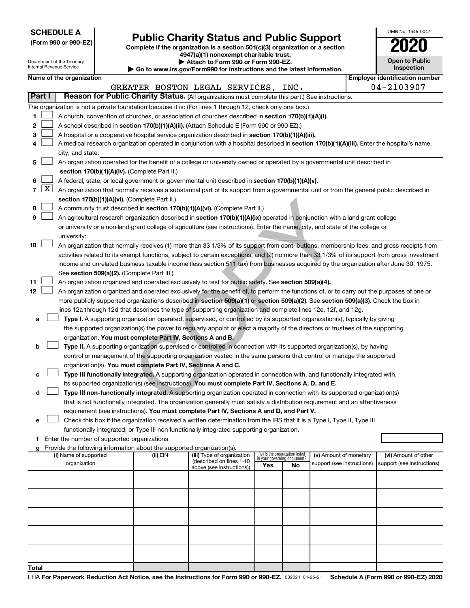| <b>SCHEDULE A</b> |  |
|-------------------|--|
|-------------------|--|

| (Form 990 or 990-EZ) |  |  |  |  |  |  |
|----------------------|--|--|--|--|--|--|
|----------------------|--|--|--|--|--|--|

# Form 990 or 990-EZ) **Public Charity Status and Public Support**<br>
Complete if the organization is a section 501(c)(3) organization or a section<br> **2020**

**4947(a)(1) nonexempt charitable trust. | Attach to Form 990 or Form 990-EZ.** 

| OMB No. 1545-0047                   |
|-------------------------------------|
| <b>'02</b>                          |
| <b>Open to Public</b><br>Inspection |

| Department of the Treasury<br>Internal Revenue Service |                                                                                                           |                                                                                                                                            |  |                                                                        | Attach to Form 990 or Form 990-EZ.<br>Go to www.irs.gov/Form990 for instructions and the latest information.                                 |     |                                                                |                            |  | <b>Open to Public</b><br><b>Inspection</b> |
|--------------------------------------------------------|-----------------------------------------------------------------------------------------------------------|--------------------------------------------------------------------------------------------------------------------------------------------|--|------------------------------------------------------------------------|----------------------------------------------------------------------------------------------------------------------------------------------|-----|----------------------------------------------------------------|----------------------------|--|--------------------------------------------|
|                                                        |                                                                                                           | Name of the organization                                                                                                                   |  |                                                                        |                                                                                                                                              |     |                                                                |                            |  | <b>Employer identification number</b>      |
|                                                        |                                                                                                           |                                                                                                                                            |  |                                                                        | GREATER BOSTON LEGAL SERVICES, INC.                                                                                                          |     |                                                                |                            |  | 04-2103907                                 |
|                                                        | Part I                                                                                                    |                                                                                                                                            |  |                                                                        | Reason for Public Charity Status. (All organizations must complete this part.) See instructions.                                             |     |                                                                |                            |  |                                            |
|                                                        | The organization is not a private foundation because it is: (For lines 1 through 12, check only one box.) |                                                                                                                                            |  |                                                                        |                                                                                                                                              |     |                                                                |                            |  |                                            |
| 1.                                                     |                                                                                                           |                                                                                                                                            |  |                                                                        | A church, convention of churches, or association of churches described in section 170(b)(1)(A)(i).                                           |     |                                                                |                            |  |                                            |
| 2                                                      |                                                                                                           |                                                                                                                                            |  |                                                                        | A school described in section 170(b)(1)(A)(ii). (Attach Schedule E (Form 990 or 990-EZ).)                                                    |     |                                                                |                            |  |                                            |
| з                                                      |                                                                                                           |                                                                                                                                            |  |                                                                        | A hospital or a cooperative hospital service organization described in section 170(b)(1)(A)(iii).                                            |     |                                                                |                            |  |                                            |
| 4                                                      |                                                                                                           | A medical research organization operated in conjunction with a hospital described in section 170(b)(1)(A)(iii). Enter the hospital's name, |  |                                                                        |                                                                                                                                              |     |                                                                |                            |  |                                            |
|                                                        |                                                                                                           | city, and state:                                                                                                                           |  |                                                                        |                                                                                                                                              |     |                                                                |                            |  |                                            |
| 5                                                      |                                                                                                           |                                                                                                                                            |  |                                                                        | An organization operated for the benefit of a college or university owned or operated by a governmental unit described in                    |     |                                                                |                            |  |                                            |
|                                                        |                                                                                                           |                                                                                                                                            |  | section 170(b)(1)(A)(iv). (Complete Part II.)                          |                                                                                                                                              |     |                                                                |                            |  |                                            |
| 6                                                      |                                                                                                           |                                                                                                                                            |  |                                                                        | A federal, state, or local government or governmental unit described in section 170(b)(1)(A)(v).                                             |     |                                                                |                            |  |                                            |
| $\overline{7}$                                         | $\lfloor x \rfloor$                                                                                       |                                                                                                                                            |  |                                                                        | An organization that normally receives a substantial part of its support from a governmental unit or from the general public described in    |     |                                                                |                            |  |                                            |
|                                                        |                                                                                                           |                                                                                                                                            |  | section 170(b)(1)(A)(vi). (Complete Part II.)                          |                                                                                                                                              |     |                                                                |                            |  |                                            |
| 8                                                      |                                                                                                           |                                                                                                                                            |  |                                                                        | A community trust described in section 170(b)(1)(A)(vi). (Complete Part II.)                                                                 |     |                                                                |                            |  |                                            |
| 9                                                      |                                                                                                           |                                                                                                                                            |  |                                                                        | An agricultural research organization described in section 170(b)(1)(A)(ix) operated in conjunction with a land-grant college                |     |                                                                |                            |  |                                            |
|                                                        |                                                                                                           |                                                                                                                                            |  |                                                                        | or university or a non-land-grant college of agriculture (see instructions). Enter the name, city, and state of the college or               |     |                                                                |                            |  |                                            |
|                                                        |                                                                                                           | university:                                                                                                                                |  |                                                                        |                                                                                                                                              |     |                                                                |                            |  |                                            |
| 10                                                     |                                                                                                           |                                                                                                                                            |  |                                                                        | An organization that normally receives (1) more than 33 1/3% of its support from contributions, membership fees, and gross receipts from     |     |                                                                |                            |  |                                            |
|                                                        |                                                                                                           |                                                                                                                                            |  |                                                                        | activities related to its exempt functions, subject to certain exceptions; and (2) no more than 33 1/3% of its support from gross investment |     |                                                                |                            |  |                                            |
|                                                        |                                                                                                           |                                                                                                                                            |  |                                                                        | income and unrelated business taxable income (less section 511 tax) from businesses acquired by the organization after June 30, 1975.        |     |                                                                |                            |  |                                            |
|                                                        |                                                                                                           |                                                                                                                                            |  | See section 509(a)(2). (Complete Part III.)                            |                                                                                                                                              |     |                                                                |                            |  |                                            |
| 11                                                     |                                                                                                           |                                                                                                                                            |  |                                                                        | An organization organized and operated exclusively to test for public safety. See section 509(a)(4).                                         |     |                                                                |                            |  |                                            |
| 12                                                     |                                                                                                           |                                                                                                                                            |  |                                                                        | An organization organized and operated exclusively for the benefit of, to perform the functions of, or to carry out the purposes of one or   |     |                                                                |                            |  |                                            |
|                                                        |                                                                                                           |                                                                                                                                            |  |                                                                        | more publicly supported organizations described in section 509(a)(1) or section 509(a)(2). See section 509(a)(3). Check the box in           |     |                                                                |                            |  |                                            |
|                                                        |                                                                                                           |                                                                                                                                            |  |                                                                        | lines 12a through 12d that describes the type of supporting organization and complete lines 12e, 12f, and 12g.                               |     |                                                                |                            |  |                                            |
| а                                                      |                                                                                                           |                                                                                                                                            |  |                                                                        | Type I. A supporting organization operated, supervised, or controlled by its supported organization(s), typically by giving                  |     |                                                                |                            |  |                                            |
|                                                        |                                                                                                           |                                                                                                                                            |  |                                                                        | the supported organization(s) the power to regularly appoint or elect a majority of the directors or trustees of the supporting              |     |                                                                |                            |  |                                            |
|                                                        |                                                                                                           |                                                                                                                                            |  | organization. You must complete Part IV, Sections A and B.             |                                                                                                                                              |     |                                                                |                            |  |                                            |
| b                                                      |                                                                                                           |                                                                                                                                            |  |                                                                        | Type II. A supporting organization supervised or controlled in connection with its supported organization(s), by having                      |     |                                                                |                            |  |                                            |
|                                                        |                                                                                                           |                                                                                                                                            |  | organization(s). You must complete Part IV, Sections A and C.          | control or management of the supporting organization vested in the same persons that control or manage the supported                         |     |                                                                |                            |  |                                            |
|                                                        |                                                                                                           |                                                                                                                                            |  |                                                                        | Type III functionally integrated. A supporting organization operated in connection with, and functionally integrated with,                   |     |                                                                |                            |  |                                            |
| с                                                      |                                                                                                           |                                                                                                                                            |  |                                                                        | its supported organization(s) (see instructions). You must complete Part IV, Sections A, D, and E.                                           |     |                                                                |                            |  |                                            |
| d                                                      |                                                                                                           |                                                                                                                                            |  |                                                                        | Type III non-functionally integrated. A supporting organization operated in connection with its supported organization(s)                    |     |                                                                |                            |  |                                            |
|                                                        |                                                                                                           |                                                                                                                                            |  |                                                                        | that is not functionally integrated. The organization generally must satisfy a distribution requirement and an attentiveness                 |     |                                                                |                            |  |                                            |
|                                                        |                                                                                                           |                                                                                                                                            |  |                                                                        | requirement (see instructions). You must complete Part IV, Sections A and D, and Part V.                                                     |     |                                                                |                            |  |                                            |
| е                                                      |                                                                                                           |                                                                                                                                            |  |                                                                        | Check this box if the organization received a written determination from the IRS that it is a Type I, Type II, Type III                      |     |                                                                |                            |  |                                            |
|                                                        |                                                                                                           |                                                                                                                                            |  |                                                                        | functionally integrated, or Type III non-functionally integrated supporting organization.                                                    |     |                                                                |                            |  |                                            |
| f                                                      |                                                                                                           |                                                                                                                                            |  |                                                                        |                                                                                                                                              |     |                                                                |                            |  |                                            |
|                                                        |                                                                                                           |                                                                                                                                            |  | Provide the following information about the supported organization(s). |                                                                                                                                              |     |                                                                |                            |  |                                            |
|                                                        |                                                                                                           | (i) Name of supported                                                                                                                      |  | (ii) EIN                                                               | (iii) Type of organization                                                                                                                   |     | (iv) Is the organization listed<br>in your governing document? | (v) Amount of monetary     |  | (vi) Amount of other                       |
|                                                        |                                                                                                           | organization                                                                                                                               |  |                                                                        | (described on lines 1-10<br>above (see instructions))                                                                                        | Yes | No                                                             | support (see instructions) |  | support (see instructions)                 |
|                                                        |                                                                                                           |                                                                                                                                            |  |                                                                        |                                                                                                                                              |     |                                                                |                            |  |                                            |
|                                                        |                                                                                                           |                                                                                                                                            |  |                                                                        |                                                                                                                                              |     |                                                                |                            |  |                                            |
|                                                        |                                                                                                           |                                                                                                                                            |  |                                                                        |                                                                                                                                              |     |                                                                |                            |  |                                            |
|                                                        |                                                                                                           |                                                                                                                                            |  |                                                                        |                                                                                                                                              |     |                                                                |                            |  |                                            |
|                                                        |                                                                                                           |                                                                                                                                            |  |                                                                        |                                                                                                                                              |     |                                                                |                            |  |                                            |
|                                                        |                                                                                                           |                                                                                                                                            |  |                                                                        |                                                                                                                                              |     |                                                                |                            |  |                                            |
|                                                        |                                                                                                           |                                                                                                                                            |  |                                                                        |                                                                                                                                              |     |                                                                |                            |  |                                            |
|                                                        |                                                                                                           |                                                                                                                                            |  |                                                                        |                                                                                                                                              |     |                                                                |                            |  |                                            |
|                                                        |                                                                                                           |                                                                                                                                            |  |                                                                        |                                                                                                                                              |     |                                                                |                            |  |                                            |
|                                                        |                                                                                                           |                                                                                                                                            |  |                                                                        |                                                                                                                                              |     |                                                                |                            |  |                                            |
| Total                                                  |                                                                                                           |                                                                                                                                            |  |                                                                        |                                                                                                                                              |     |                                                                |                            |  |                                            |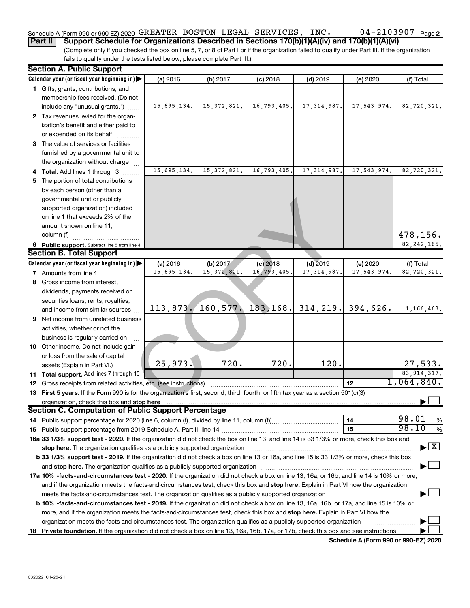#### 04-2103907 Page 2 Schedule A (Form 990 or 990-EZ) 2020  $\,$  GREATER BOSTON LEGAL SERVICES, INC  $\,$  04 – 2103907  $\,$  Page

(Complete only if you checked the box on line 5, 7, or 8 of Part I or if the organization failed to qualify under Part III. If the organization fails to qualify under the tests listed below, please complete Part III.) **Part II** | Support Schedule for Organizations Described in Sections 170(b)(1)(A)(iv) and 170(b)(1)(A)(vi)

|    | <b>Section A. Public Support</b>                                                                                                                                                                                               |             |               |               |               |             |                                |  |  |  |
|----|--------------------------------------------------------------------------------------------------------------------------------------------------------------------------------------------------------------------------------|-------------|---------------|---------------|---------------|-------------|--------------------------------|--|--|--|
|    | Calendar year (or fiscal year beginning in)                                                                                                                                                                                    | (a) 2016    | (b) 2017      | $(c)$ 2018    | $(d)$ 2019    | (e) 2020    | (f) Total                      |  |  |  |
|    | 1 Gifts, grants, contributions, and                                                                                                                                                                                            |             |               |               |               |             |                                |  |  |  |
|    | membership fees received. (Do not                                                                                                                                                                                              |             |               |               |               |             |                                |  |  |  |
|    | include any "unusual grants.")                                                                                                                                                                                                 | 15,695,134. | 15, 372, 821. | 16, 793, 405. | 17, 314, 987. | 17,543,974. | 82,720,321.                    |  |  |  |
|    | 2 Tax revenues levied for the organ-                                                                                                                                                                                           |             |               |               |               |             |                                |  |  |  |
|    | ization's benefit and either paid to                                                                                                                                                                                           |             |               |               |               |             |                                |  |  |  |
|    | or expended on its behalf                                                                                                                                                                                                      |             |               |               |               |             |                                |  |  |  |
|    | 3 The value of services or facilities                                                                                                                                                                                          |             |               |               |               |             |                                |  |  |  |
|    | furnished by a governmental unit to                                                                                                                                                                                            |             |               |               |               |             |                                |  |  |  |
|    | the organization without charge                                                                                                                                                                                                |             |               |               |               |             |                                |  |  |  |
|    | 4 Total. Add lines 1 through 3                                                                                                                                                                                                 | 15,695,134. | 15, 372, 821. | 16,793,405.   | 17, 314, 987. | 17,543,974. | 82,720,321.                    |  |  |  |
|    | 5 The portion of total contributions                                                                                                                                                                                           |             |               |               |               |             |                                |  |  |  |
|    | by each person (other than a                                                                                                                                                                                                   |             |               |               |               |             |                                |  |  |  |
|    | governmental unit or publicly                                                                                                                                                                                                  |             |               |               |               |             |                                |  |  |  |
|    | supported organization) included                                                                                                                                                                                               |             |               |               |               |             |                                |  |  |  |
|    | on line 1 that exceeds 2% of the                                                                                                                                                                                               |             |               |               |               |             |                                |  |  |  |
|    | amount shown on line 11,                                                                                                                                                                                                       |             |               |               |               |             |                                |  |  |  |
|    | column (f)                                                                                                                                                                                                                     |             |               |               |               |             | 478,156.                       |  |  |  |
|    | 6 Public support. Subtract line 5 from line 4.                                                                                                                                                                                 |             |               |               |               |             | 82, 242, 165.                  |  |  |  |
|    | <b>Section B. Total Support</b>                                                                                                                                                                                                |             |               |               |               |             |                                |  |  |  |
|    | Calendar year (or fiscal year beginning in)                                                                                                                                                                                    | (a) 2016    | (b) 2017      | $(c)$ 2018    | $(d)$ 2019    | (e) 2020    | (f) Total                      |  |  |  |
|    | 7 Amounts from line 4                                                                                                                                                                                                          | 15,695,134  | 15, 372, 821  | 16,793,405    | 17, 314, 987  | 17,543,974  | 82,720,321.                    |  |  |  |
| 8  | Gross income from interest,                                                                                                                                                                                                    |             |               |               |               |             |                                |  |  |  |
|    | dividends, payments received on                                                                                                                                                                                                |             |               |               |               |             |                                |  |  |  |
|    | securities loans, rents, royalties,                                                                                                                                                                                            |             |               |               |               |             |                                |  |  |  |
|    | and income from similar sources                                                                                                                                                                                                | 113,873.    | 160,577.      | 183, 168.     | 314, 219.     | 394,626.    | 1,166,463.                     |  |  |  |
|    | <b>9</b> Net income from unrelated business                                                                                                                                                                                    |             |               |               |               |             |                                |  |  |  |
|    | activities, whether or not the                                                                                                                                                                                                 |             |               |               |               |             |                                |  |  |  |
|    | business is regularly carried on                                                                                                                                                                                               |             |               |               |               |             |                                |  |  |  |
|    | 10 Other income. Do not include gain                                                                                                                                                                                           |             |               |               |               |             |                                |  |  |  |
|    | or loss from the sale of capital                                                                                                                                                                                               |             |               |               |               |             |                                |  |  |  |
|    | assets (Explain in Part VI.)                                                                                                                                                                                                   | 25,973.     | 720.          | 720.          | 120.          |             | 27,533.                        |  |  |  |
|    | 11 Total support. Add lines 7 through 10                                                                                                                                                                                       |             |               |               |               |             | 83, 914, 317.                  |  |  |  |
|    | 12 Gross receipts from related activities, etc. (see instructions)                                                                                                                                                             |             |               |               |               | 12          | 1,064,840.                     |  |  |  |
|    | 13 First 5 years. If the Form 990 is for the organization's first, second, third, fourth, or fifth tax year as a section 501(c)(3)                                                                                             |             |               |               |               |             |                                |  |  |  |
|    | organization, check this box and stop here                                                                                                                                                                                     |             |               |               |               |             |                                |  |  |  |
|    | <b>Section C. Computation of Public Support Percentage</b>                                                                                                                                                                     |             |               |               |               |             |                                |  |  |  |
|    |                                                                                                                                                                                                                                |             |               |               |               | 14          | 98.01<br>%                     |  |  |  |
|    |                                                                                                                                                                                                                                |             |               |               |               | 15          | 98.10<br>$\%$                  |  |  |  |
|    | 16a 33 1/3% support test - 2020. If the organization did not check the box on line 13, and line 14 is 33 1/3% or more, check this box and                                                                                      |             |               |               |               |             |                                |  |  |  |
|    | stop here. The organization qualifies as a publicly supported organization                                                                                                                                                     |             |               |               |               |             | $\blacktriangleright$ $\mid$ X |  |  |  |
|    | b 33 1/3% support test - 2019. If the organization did not check a box on line 13 or 16a, and line 15 is 33 1/3% or more, check this box                                                                                       |             |               |               |               |             |                                |  |  |  |
|    | and stop here. The organization qualifies as a publicly supported organization [11] manuscription [11] and stop here. The organization [11] and stop here. The organization [11] and stop here. The organization [11] and stop |             |               |               |               |             |                                |  |  |  |
|    | 17a 10% -facts-and-circumstances test - 2020. If the organization did not check a box on line 13, 16a, or 16b, and line 14 is 10% or more,                                                                                     |             |               |               |               |             |                                |  |  |  |
|    | and if the organization meets the facts-and-circumstances test, check this box and stop here. Explain in Part VI how the organization                                                                                          |             |               |               |               |             |                                |  |  |  |
|    | meets the facts-and-circumstances test. The organization qualifies as a publicly supported organization                                                                                                                        |             |               |               |               |             |                                |  |  |  |
|    | b 10% -facts-and-circumstances test - 2019. If the organization did not check a box on line 13, 16a, 16b, or 17a, and line 15 is 10% or                                                                                        |             |               |               |               |             |                                |  |  |  |
|    | more, and if the organization meets the facts-and-circumstances test, check this box and stop here. Explain in Part VI how the                                                                                                 |             |               |               |               |             |                                |  |  |  |
|    | organization meets the facts-and-circumstances test. The organization qualifies as a publicly supported organization                                                                                                           |             |               |               |               |             |                                |  |  |  |
| 18 | Private foundation. If the organization did not check a box on line 13, 16a, 16b, 17a, or 17b, check this box and see instructions                                                                                             |             |               |               |               |             |                                |  |  |  |

**Schedule A (Form 990 or 990-EZ) 2020**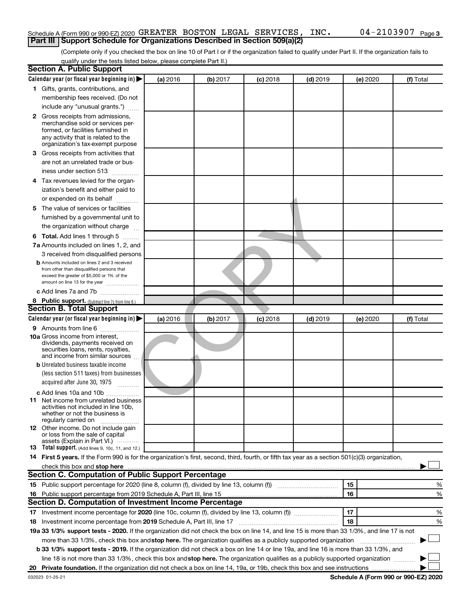#### Schedule A (Form 990 or 990-EZ) 2020  $\,$  GREATER BOSTON LEGAL SERVICES, INC  $\,$  04 – 2103907  $\,$  Page **Part III | Support Schedule for Organizations Described in Section 509(a)(2)**

(Complete only if you checked the box on line 10 of Part I or if the organization failed to qualify under Part II. If the organization fails to qualify under the tests listed below, please complete Part II.)

| <b>Section A. Public Support</b>                                                                                                                                                                                                                                              |          |          |            |            |          |           |
|-------------------------------------------------------------------------------------------------------------------------------------------------------------------------------------------------------------------------------------------------------------------------------|----------|----------|------------|------------|----------|-----------|
| Calendar year (or fiscal year beginning in)                                                                                                                                                                                                                                   | (a) 2016 | (b) 2017 | $(c)$ 2018 | $(d)$ 2019 | (e) 2020 | (f) Total |
| 1 Gifts, grants, contributions, and                                                                                                                                                                                                                                           |          |          |            |            |          |           |
| membership fees received. (Do not                                                                                                                                                                                                                                             |          |          |            |            |          |           |
| include any "unusual grants.")                                                                                                                                                                                                                                                |          |          |            |            |          |           |
| <b>2</b> Gross receipts from admissions,                                                                                                                                                                                                                                      |          |          |            |            |          |           |
| merchandise sold or services per-                                                                                                                                                                                                                                             |          |          |            |            |          |           |
| formed, or facilities furnished in                                                                                                                                                                                                                                            |          |          |            |            |          |           |
| any activity that is related to the<br>organization's tax-exempt purpose                                                                                                                                                                                                      |          |          |            |            |          |           |
| 3 Gross receipts from activities that                                                                                                                                                                                                                                         |          |          |            |            |          |           |
| are not an unrelated trade or bus-                                                                                                                                                                                                                                            |          |          |            |            |          |           |
| iness under section 513                                                                                                                                                                                                                                                       |          |          |            |            |          |           |
| 4 Tax revenues levied for the organ-                                                                                                                                                                                                                                          |          |          |            |            |          |           |
| ization's benefit and either paid to                                                                                                                                                                                                                                          |          |          |            |            |          |           |
|                                                                                                                                                                                                                                                                               |          |          |            |            |          |           |
| or expended on its behalf<br>.                                                                                                                                                                                                                                                |          |          |            |            |          |           |
| 5 The value of services or facilities                                                                                                                                                                                                                                         |          |          |            |            |          |           |
| furnished by a governmental unit to                                                                                                                                                                                                                                           |          |          |            |            |          |           |
| the organization without charge                                                                                                                                                                                                                                               |          |          |            |            |          |           |
| 6 Total. Add lines 1 through 5                                                                                                                                                                                                                                                |          |          |            |            |          |           |
| 7a Amounts included on lines 1, 2, and                                                                                                                                                                                                                                        |          |          |            |            |          |           |
| 3 received from disqualified persons                                                                                                                                                                                                                                          |          |          |            |            |          |           |
| <b>b</b> Amounts included on lines 2 and 3 received<br>from other than disqualified persons that                                                                                                                                                                              |          |          |            |            |          |           |
| exceed the greater of \$5,000 or 1% of the                                                                                                                                                                                                                                    |          |          |            |            |          |           |
| amount on line 13 for the year                                                                                                                                                                                                                                                |          |          |            |            |          |           |
| c Add lines 7a and 7b                                                                                                                                                                                                                                                         |          |          |            |            |          |           |
| 8 Public support. (Subtract line 7c from line 6.)                                                                                                                                                                                                                             |          |          |            |            |          |           |
| <b>Section B. Total Support</b>                                                                                                                                                                                                                                               |          |          |            |            |          |           |
| Calendar year (or fiscal year beginning in)                                                                                                                                                                                                                                   | (a) 2016 | (b) 2017 | $(c)$ 2018 | $(d)$ 2019 | (e) 2020 | (f) Total |
| 9 Amounts from line 6                                                                                                                                                                                                                                                         |          |          |            |            |          |           |
| <b>10a</b> Gross income from interest,                                                                                                                                                                                                                                        |          |          |            |            |          |           |
| dividends, payments received on<br>securities loans, rents, royalties,                                                                                                                                                                                                        |          |          |            |            |          |           |
| and income from similar sources                                                                                                                                                                                                                                               |          |          |            |            |          |           |
| <b>b</b> Unrelated business taxable income                                                                                                                                                                                                                                    |          |          |            |            |          |           |
| (less section 511 taxes) from businesses                                                                                                                                                                                                                                      |          |          |            |            |          |           |
| acquired after June 30, 1975                                                                                                                                                                                                                                                  |          |          |            |            |          |           |
| c Add lines 10a and 10b                                                                                                                                                                                                                                                       |          |          |            |            |          |           |
| <b>11</b> Net income from unrelated business                                                                                                                                                                                                                                  |          |          |            |            |          |           |
| activities not included in line 10b.                                                                                                                                                                                                                                          |          |          |            |            |          |           |
| whether or not the business is<br>regularly carried on                                                                                                                                                                                                                        |          |          |            |            |          |           |
| 12 Other income. Do not include gain                                                                                                                                                                                                                                          |          |          |            |            |          |           |
| or loss from the sale of capital                                                                                                                                                                                                                                              |          |          |            |            |          |           |
| assets (Explain in Part VI.)<br><b>13</b> Total support. (Add lines 9, 10c, 11, and 12.)                                                                                                                                                                                      |          |          |            |            |          |           |
| 14 First 5 years. If the Form 990 is for the organization's first, second, third, fourth, or fifth tax year as a section 501(c)(3) organization,                                                                                                                              |          |          |            |            |          |           |
|                                                                                                                                                                                                                                                                               |          |          |            |            |          |           |
| check this box and stop here <b>contained and stop here contained and stop here contained and stop here contained and stop here contained and stop here contained and stop here contained and stop here contained </b><br>Section C. Computation of Public Support Percentage |          |          |            |            |          |           |
|                                                                                                                                                                                                                                                                               |          |          |            |            | 15       | ℅         |
| 16 Public support percentage from 2019 Schedule A, Part III, line 15                                                                                                                                                                                                          |          |          |            |            | 16       | %         |
| Section D. Computation of Investment Income Percentage                                                                                                                                                                                                                        |          |          |            |            |          |           |
|                                                                                                                                                                                                                                                                               |          |          |            |            | 17       | %         |
|                                                                                                                                                                                                                                                                               |          |          |            |            | 18       | %         |
| 18 Investment income percentage from 2019 Schedule A, Part III, line 17<br>19a 33 1/3% support tests - 2020. If the organization did not check the box on line 14, and line 15 is more than 33 1/3%, and line 17 is not                                                       |          |          |            |            |          |           |
|                                                                                                                                                                                                                                                                               |          |          |            |            |          |           |
| more than 33 1/3%, check this box and stop here. The organization qualifies as a publicly supported organization                                                                                                                                                              |          |          |            |            |          |           |
| b 33 1/3% support tests - 2019. If the organization did not check a box on line 14 or line 19a, and line 16 is more than 33 1/3%, and                                                                                                                                         |          |          |            |            |          |           |
| line 18 is not more than 33 1/3%, check this box and stop here. The organization qualifies as a publicly supported organization                                                                                                                                               |          |          |            |            |          |           |
|                                                                                                                                                                                                                                                                               |          |          |            |            |          |           |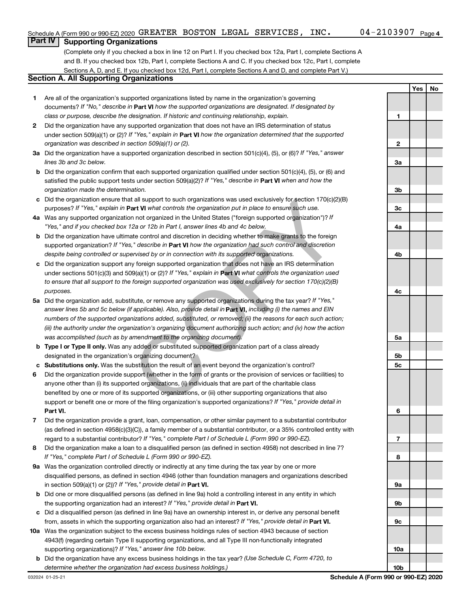### **Part IV Supporting Organizations**

(Complete only if you checked a box in line 12 on Part I. If you checked box 12a, Part I, complete Sections A and B. If you checked box 12b, Part I, complete Sections A and C. If you checked box 12c, Part I, complete Sections A, D, and E. If you checked box 12d, Part I, complete Sections A and D, and complete Part V.)

#### **Section A. All Supporting Organizations**

- **1** Are all of the organization's supported organizations listed by name in the organization's governing documents? If "No," describe in Part VI how the supported organizations are designated. If designated by *class or purpose, describe the designation. If historic and continuing relationship, explain.*
- **2** Did the organization have any supported organization that does not have an IRS determination of status under section 509(a)(1) or (2)? If "Yes," explain in Part **VI** how the organization determined that the supported *organization was described in section 509(a)(1) or (2).*
- **3a** Did the organization have a supported organization described in section 501(c)(4), (5), or (6)? If "Yes," answer *lines 3b and 3c below.*
- **b** Did the organization confirm that each supported organization qualified under section 501(c)(4), (5), or (6) and satisfied the public support tests under section 509(a)(2)? If "Yes," describe in Part VI when and how the *organization made the determination.*
- **c** Did the organization ensure that all support to such organizations was used exclusively for section 170(c)(2)(B) purposes? If "Yes," explain in Part VI what controls the organization put in place to ensure such use.
- **4 a** *If* Was any supported organization not organized in the United States ("foreign supported organization")? *"Yes," and if you checked box 12a or 12b in Part I, answer lines 4b and 4c below.*
- **b** Did the organization have ultimate control and discretion in deciding whether to make grants to the foreign supported organization? If "Yes," describe in Part VI how the organization had such control and discretion *despite being controlled or supervised by or in connection with its supported organizations.*
- **c** Did the organization support any foreign supported organization that does not have an IRS determination under sections 501(c)(3) and 509(a)(1) or (2)? If "Yes," explain in Part VI what controls the organization used *to ensure that all support to the foreign supported organization was used exclusively for section 170(c)(2)(B) purposes.*
- **5a** Did the organization add, substitute, or remove any supported organizations during the tax year? If "Yes," answer lines 5b and 5c below (if applicable). Also, provide detail in **Part VI,** including (i) the names and EIN *numbers of the supported organizations added, substituted, or removed; (ii) the reasons for each such action; (iii) the authority under the organization's organizing document authorizing such action; and (iv) how the action was accomplished (such as by amendment to the organizing document).* It all support to such organizations was used exclusively for section 170(c)(2)<br>
and W what controls the organization put in place to ensure such use.<br>
In not organized in the United States ("foreign supported organizatio
- **b Type I or Type II only.** Was any added or substituted supported organization part of a class already designated in the organization's organizing document?
- **c Substitutions only.**  Was the substitution the result of an event beyond the organization's control?
- **6** Did the organization provide support (whether in the form of grants or the provision of services or facilities) to **Part VI.** support or benefit one or more of the filing organization's supported organizations? If "Yes," provide detail in anyone other than (i) its supported organizations, (ii) individuals that are part of the charitable class benefited by one or more of its supported organizations, or (iii) other supporting organizations that also
- **7** Did the organization provide a grant, loan, compensation, or other similar payment to a substantial contributor regard to a substantial contributor? If "Yes," complete Part I of Schedule L (Form 990 or 990-EZ). (as defined in section 4958(c)(3)(C)), a family member of a substantial contributor, or a 35% controlled entity with
- **8** Did the organization make a loan to a disqualified person (as defined in section 4958) not described in line 7? *If "Yes," complete Part I of Schedule L (Form 990 or 990-EZ).*
- **9 a** Was the organization controlled directly or indirectly at any time during the tax year by one or more in section 509(a)(1) or (2))? If "Yes," provide detail in **Part VI.** disqualified persons, as defined in section 4946 (other than foundation managers and organizations described
- **b** Did one or more disqualified persons (as defined in line 9a) hold a controlling interest in any entity in which the supporting organization had an interest? If "Yes," provide detail in Part VI.
- **c** Did a disqualified person (as defined in line 9a) have an ownership interest in, or derive any personal benefit from, assets in which the supporting organization also had an interest? If "Yes," provide detail in Part VI.
- **10 a** Was the organization subject to the excess business holdings rules of section 4943 because of section supporting organizations)? If "Yes," answer line 10b below. 4943(f) (regarding certain Type II supporting organizations, and all Type III non-functionally integrated
- **b** Did the organization have any excess business holdings in the tax year? (Use Schedule C, Form 4720, to *determine whether the organization had excess business holdings.)*

**Yes No 1 2 3a 3b 3c 4a 4b 4c 5a 5b 5c 6 7 8 9a 9b 9c 10a 10b**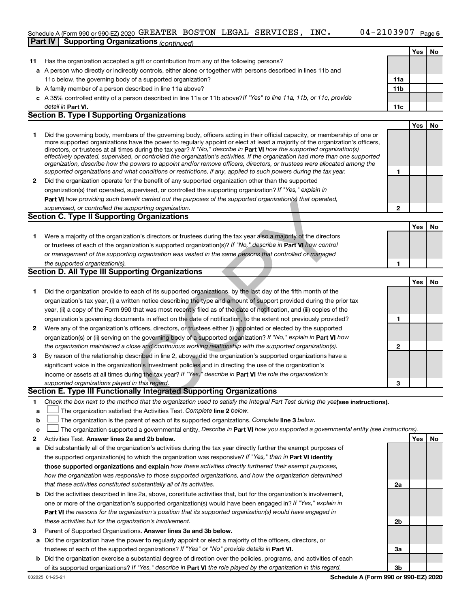### Schedule A (Form 990 or 990-EZ) 2020  $\,$  GREATER BOSTON LEGAL SERVICES, INC  $\,$  04 – 2103907  $\,$  Page **Part IV Supporting Organizations** *(continued)*

|    | anno communed                                                                                                                                                                                                                                               |                 |     |     |
|----|-------------------------------------------------------------------------------------------------------------------------------------------------------------------------------------------------------------------------------------------------------------|-----------------|-----|-----|
|    |                                                                                                                                                                                                                                                             |                 | Yes | No  |
| 11 | Has the organization accepted a gift or contribution from any of the following persons?                                                                                                                                                                     |                 |     |     |
|    | <b>a</b> A person who directly or indirectly controls, either alone or together with persons described in lines 11b and                                                                                                                                     |                 |     |     |
|    | 11c below, the governing body of a supported organization?                                                                                                                                                                                                  | 11a             |     |     |
|    | <b>b</b> A family member of a person described in line 11a above?                                                                                                                                                                                           | 11 <sub>b</sub> |     |     |
|    | c A 35% controlled entity of a person described in line 11a or 11b above? If "Yes" to line 11a, 11b, or 11c, provide                                                                                                                                        |                 |     |     |
|    | detail in <b>Part VI.</b><br><b>Section B. Type I Supporting Organizations</b>                                                                                                                                                                              | 11c             |     |     |
|    |                                                                                                                                                                                                                                                             |                 |     |     |
|    |                                                                                                                                                                                                                                                             |                 | Yes | No. |
| 1  | Did the governing body, members of the governing body, officers acting in their official capacity, or membership of one or<br>more supported organizations have the power to regularly appoint or elect at least a majority of the organization's officers, |                 |     |     |
|    | directors, or trustees at all times during the tax year? If "No," describe in Part VI how the supported organization(s)                                                                                                                                     |                 |     |     |
|    | effectively operated, supervised, or controlled the organization's activities. If the organization had more than one supported                                                                                                                              |                 |     |     |
|    | organization, describe how the powers to appoint and/or remove officers, directors, or trustees were allocated among the                                                                                                                                    |                 |     |     |
|    | supported organizations and what conditions or restrictions, if any, applied to such powers during the tax year.                                                                                                                                            | 1               |     |     |
| 2  | Did the organization operate for the benefit of any supported organization other than the supported                                                                                                                                                         |                 |     |     |
|    | organization(s) that operated, supervised, or controlled the supporting organization? If "Yes," explain in                                                                                                                                                  |                 |     |     |
|    | Part VI how providing such benefit carried out the purposes of the supported organization(s) that operated,                                                                                                                                                 |                 |     |     |
|    | supervised, or controlled the supporting organization.<br>Section C. Type II Supporting Organizations                                                                                                                                                       | 2               |     |     |
|    |                                                                                                                                                                                                                                                             |                 |     |     |
|    |                                                                                                                                                                                                                                                             |                 | Yes | No  |
| 1. | Were a majority of the organization's directors or trustees during the tax year also a majority of the directors                                                                                                                                            |                 |     |     |
|    | or trustees of each of the organization's supported organization(s)? If "No," describe in Part VI how control                                                                                                                                               |                 |     |     |
|    | or management of the supporting organization was vested in the same persons that controlled or managed                                                                                                                                                      |                 |     |     |
|    | the supported organization(s).<br>Section D. All Type III Supporting Organizations                                                                                                                                                                          | 1               |     |     |
|    |                                                                                                                                                                                                                                                             |                 |     |     |
|    |                                                                                                                                                                                                                                                             |                 | Yes | No  |
| 1  | Did the organization provide to each of its supported organizations, by the last day of the fifth month of the                                                                                                                                              |                 |     |     |
|    | organization's tax year, (i) a written notice describing the type and amount of support provided during the prior tax                                                                                                                                       |                 |     |     |
|    | year, (ii) a copy of the Form 990 that was most recently filed as of the date of notification, and (iii) copies of the                                                                                                                                      |                 |     |     |
|    | organization's governing documents in effect on the date of notification, to the extent not previously provided?                                                                                                                                            | 1               |     |     |
| 2  | Were any of the organization's officers, directors, or trustees either (i) appointed or elected by the supported                                                                                                                                            |                 |     |     |
|    | organization(s) or (ii) serving on the governing body of a supported organization? If "No," explain in Part VI how<br>the organization maintained a close and continuous working relationship with the supported organization(s).                           | $\mathbf{2}$    |     |     |
| 3  | By reason of the relationship described in line 2, above, did the organization's supported organizations have a                                                                                                                                             |                 |     |     |
|    | significant voice in the organization's investment policies and in directing the use of the organization's                                                                                                                                                  |                 |     |     |
|    |                                                                                                                                                                                                                                                             |                 |     |     |
|    | income or assets at all times during the tax year? If "Yes," describe in Part VI the role the organization's<br>supported organizations played in this regard.                                                                                              | 3               |     |     |
|    | Section E. Type III Functionally Integrated Supporting Organizations                                                                                                                                                                                        |                 |     |     |
| 1  | Check the box next to the method that the organization used to satisfy the Integral Part Test during the yealsee instructions).                                                                                                                             |                 |     |     |
| а  | The organization satisfied the Activities Test. Complete line 2 below.                                                                                                                                                                                      |                 |     |     |
| b  | The organization is the parent of each of its supported organizations. Complete line 3 below.                                                                                                                                                               |                 |     |     |
| с  | The organization supported a governmental entity. Describe in Part VI how you supported a governmental entity (see instructions).                                                                                                                           |                 |     |     |
| 2  | Activities Test. Answer lines 2a and 2b below.                                                                                                                                                                                                              |                 | Yes | No  |
| а  | Did substantially all of the organization's activities during the tax year directly further the exempt purposes of                                                                                                                                          |                 |     |     |
|    | the supported organization(s) to which the organization was responsive? If "Yes," then in Part VI identify                                                                                                                                                  |                 |     |     |
|    | those supported organizations and explain how these activities directly furthered their exempt purposes,                                                                                                                                                    |                 |     |     |
|    | how the organization was responsive to those supported organizations, and how the organization determined                                                                                                                                                   |                 |     |     |
|    | that these activities constituted substantially all of its activities.                                                                                                                                                                                      | 2a              |     |     |
| b  | Did the activities described in line 2a, above, constitute activities that, but for the organization's involvement,                                                                                                                                         |                 |     |     |
|    | one or more of the organization's supported organization(s) would have been engaged in? If "Yes," explain in                                                                                                                                                |                 |     |     |
|    | <b>Part VI</b> the reasons for the organization's position that its supported organization(s) would have engaged in                                                                                                                                         |                 |     |     |
|    | these activities but for the organization's involvement.                                                                                                                                                                                                    | 2b              |     |     |
| з  | Parent of Supported Organizations. Answer lines 3a and 3b below.                                                                                                                                                                                            |                 |     |     |
| a  | Did the organization have the power to regularly appoint or elect a majority of the officers, directors, or                                                                                                                                                 |                 |     |     |
|    | trustees of each of the supported organizations? If "Yes" or "No" provide details in Part VI.                                                                                                                                                               | За              |     |     |
| b  | Did the organization exercise a substantial degree of direction over the policies, programs, and activities of each                                                                                                                                         |                 |     |     |
|    | of its supported organizations? If "Yes," describe in Part VI the role played by the organization in this regard.                                                                                                                                           | 3b              |     |     |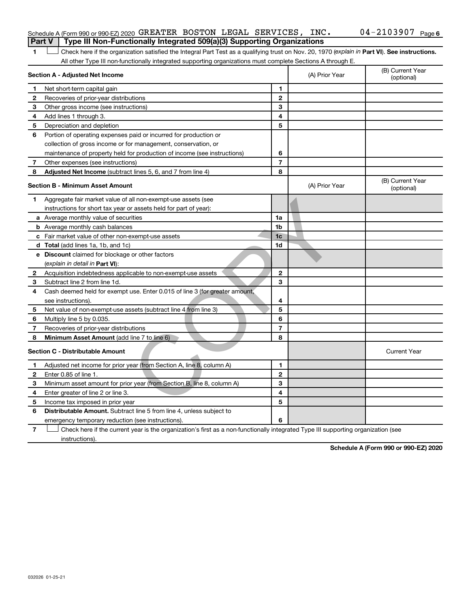#### Schedule A (Form 990 or 990-EZ) 2020  $\,$  GREATER BOSTON LEGAL SERVICES, INC  $\,$  04 – 2103907  $\,$  Page **Part V** | Type III Non-Functionally Integrated 509(a)(3) Supporting Organizations

1 Check here if the organization satisfied the Integral Part Test as a qualifying trust on Nov. 20, 1970 (explain in Part VI). See instructions. All other Type III non-functionally integrated supporting organizations must complete Sections A through E.

|              | Section A - Adjusted Net Income                                             | (A) Prior Year | (B) Current Year<br>(optional) |                                |
|--------------|-----------------------------------------------------------------------------|----------------|--------------------------------|--------------------------------|
| $\mathbf 1$  | Net short-term capital gain                                                 | 1              |                                |                                |
| $\mathbf{2}$ | Recoveries of prior-year distributions                                      | $\mathbf{2}$   |                                |                                |
| З            | Other gross income (see instructions)                                       | 3              |                                |                                |
| 4            | Add lines 1 through 3.                                                      | 4              |                                |                                |
| 5            | Depreciation and depletion                                                  | 5              |                                |                                |
| 6            | Portion of operating expenses paid or incurred for production or            |                |                                |                                |
|              | collection of gross income or for management, conservation, or              |                |                                |                                |
|              | maintenance of property held for production of income (see instructions)    | 6              |                                |                                |
| 7            | Other expenses (see instructions)                                           | $\overline{7}$ |                                |                                |
| 8            | Adjusted Net Income (subtract lines 5, 6, and 7 from line 4)                | 8              |                                |                                |
|              | <b>Section B - Minimum Asset Amount</b>                                     |                | (A) Prior Year                 | (B) Current Year<br>(optional) |
| 1.           | Aggregate fair market value of all non-exempt-use assets (see               |                |                                |                                |
|              | instructions for short tax year or assets held for part of year):           |                |                                |                                |
|              | <b>a</b> Average monthly value of securities                                | 1a             |                                |                                |
|              | <b>b</b> Average monthly cash balances                                      | 1b             |                                |                                |
|              | <b>c</b> Fair market value of other non-exempt-use assets                   | 1 <sub>c</sub> |                                |                                |
|              | <b>d</b> Total (add lines 1a, 1b, and 1c)                                   | 1 <sub>d</sub> |                                |                                |
|              | e Discount claimed for blockage or other factors                            |                |                                |                                |
|              | (explain in detail in <b>Part VI</b> ):                                     |                |                                |                                |
| 2            | Acquisition indebtedness applicable to non-exempt-use assets                | $\mathbf{2}$   |                                |                                |
| 3            | Subtract line 2 from line 1d.                                               | 3              |                                |                                |
| 4            | Cash deemed held for exempt use. Enter 0.015 of line 3 (for greater amount, |                |                                |                                |
|              | see instructions).                                                          | 4              |                                |                                |
| 5            | Net value of non-exempt-use assets (subtract line 4 from line 3)            | 5              |                                |                                |
| 6            | Multiply line 5 by 0.035.                                                   | 6              |                                |                                |
| 7            | Recoveries of prior-year distributions                                      | $\overline{7}$ |                                |                                |
| 8            | <b>Minimum Asset Amount (add line 7 to line 6)</b>                          | 8              |                                |                                |
|              | <b>Section C - Distributable Amount</b>                                     |                |                                | <b>Current Year</b>            |
| 1            | Adjusted net income for prior year (from Section A, line 8, column A)       | 1              |                                |                                |
| 2            | Enter 0.85 of line 1.                                                       | $\mathbf{2}$   |                                |                                |
| 3            | Minimum asset amount for prior year (from Section B, line 8, column A)      | 3              |                                |                                |
| 4            | Enter greater of line 2 or line 3.                                          | 4              |                                |                                |
| 5            | Income tax imposed in prior year                                            | 5              |                                |                                |
| 6            | <b>Distributable Amount.</b> Subtract line 5 from line 4, unless subject to |                |                                |                                |
|              | emergency temporary reduction (see instructions).                           | 6              |                                |                                |
|              |                                                                             |                |                                |                                |

**7** Check here if the current year is the organization's first as a non-functionally integrated Type III supporting organization (see instructions).

**Schedule A (Form 990 or 990-EZ) 2020**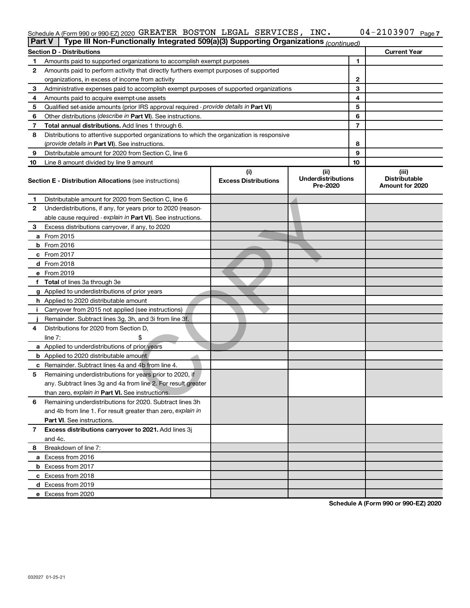#### Schedule A (Form 990 or 990-EZ) 2020 GREATER BOSTON LEGAL SERVICES, INC .  $0.4-2103907$  Page GREATER BOSTON LEGAL SERVICES, INC. 04-2103907

|    | Type III Non-Functionally Integrated 509(a)(3) Supporting Organizations (continued)<br>Part V |                             |                                       |    |                                         |  |  |  |
|----|-----------------------------------------------------------------------------------------------|-----------------------------|---------------------------------------|----|-----------------------------------------|--|--|--|
|    | <b>Section D - Distributions</b>                                                              |                             |                                       |    | <b>Current Year</b>                     |  |  |  |
| 1  | Amounts paid to supported organizations to accomplish exempt purposes                         |                             | 1                                     |    |                                         |  |  |  |
| 2  | Amounts paid to perform activity that directly furthers exempt purposes of supported          |                             |                                       |    |                                         |  |  |  |
|    | organizations, in excess of income from activity                                              |                             |                                       | 2  |                                         |  |  |  |
| 3  | Administrative expenses paid to accomplish exempt purposes of supported organizations         |                             | 3                                     |    |                                         |  |  |  |
| 4  | Amounts paid to acquire exempt-use assets                                                     |                             |                                       | 4  |                                         |  |  |  |
| 5  | Qualified set-aside amounts (prior IRS approval required - provide details in Part VI)        |                             |                                       | 5  |                                         |  |  |  |
| 6  | Other distributions ( <i>describe in Part VI</i> ). See instructions.                         |                             |                                       | 6  |                                         |  |  |  |
| 7  | Total annual distributions. Add lines 1 through 6.                                            |                             |                                       | 7  |                                         |  |  |  |
| 8  | Distributions to attentive supported organizations to which the organization is responsive    |                             |                                       |    |                                         |  |  |  |
|    | ( <i>provide details in Part VI</i> ). See instructions.                                      |                             |                                       | 8  |                                         |  |  |  |
| 9  | Distributable amount for 2020 from Section C, line 6                                          |                             |                                       | 9  |                                         |  |  |  |
| 10 | Line 8 amount divided by line 9 amount                                                        |                             |                                       | 10 |                                         |  |  |  |
|    |                                                                                               | (i)                         | (ii)                                  |    | (iii)                                   |  |  |  |
|    | <b>Section E - Distribution Allocations (see instructions)</b>                                | <b>Excess Distributions</b> | <b>Underdistributions</b><br>Pre-2020 |    | <b>Distributable</b><br>Amount for 2020 |  |  |  |
| 1  | Distributable amount for 2020 from Section C, line 6                                          |                             |                                       |    |                                         |  |  |  |
| 2  | Underdistributions, if any, for years prior to 2020 (reason-                                  |                             |                                       |    |                                         |  |  |  |
|    | able cause required - explain in Part VI). See instructions.                                  |                             |                                       |    |                                         |  |  |  |
| З  | Excess distributions carryover, if any, to 2020                                               |                             |                                       |    |                                         |  |  |  |
|    | a From 2015                                                                                   |                             |                                       |    |                                         |  |  |  |
|    | $b$ From 2016                                                                                 |                             |                                       |    |                                         |  |  |  |
|    | c From 2017                                                                                   |                             |                                       |    |                                         |  |  |  |
|    | <b>d</b> From 2018                                                                            |                             |                                       |    |                                         |  |  |  |
|    | e From 2019                                                                                   |                             |                                       |    |                                         |  |  |  |
|    | f Total of lines 3a through 3e                                                                |                             |                                       |    |                                         |  |  |  |
|    | g Applied to underdistributions of prior years                                                |                             |                                       |    |                                         |  |  |  |
|    | <b>h</b> Applied to 2020 distributable amount                                                 |                             |                                       |    |                                         |  |  |  |
| j. | Carryover from 2015 not applied (see instructions)                                            |                             |                                       |    |                                         |  |  |  |
|    | Remainder. Subtract lines 3g, 3h, and 3i from line 3f.                                        |                             |                                       |    |                                         |  |  |  |
| 4  | Distributions for 2020 from Section D,                                                        |                             |                                       |    |                                         |  |  |  |
|    | line $7:$                                                                                     |                             |                                       |    |                                         |  |  |  |
|    | a Applied to underdistributions of prior years                                                |                             |                                       |    |                                         |  |  |  |
|    | <b>b</b> Applied to 2020 distributable amount                                                 |                             |                                       |    |                                         |  |  |  |
|    | c Remainder. Subtract lines 4a and 4b from line 4.                                            |                             |                                       |    |                                         |  |  |  |
| 5  | Remaining underdistributions for years prior to 2020, if                                      |                             |                                       |    |                                         |  |  |  |
|    | any. Subtract lines 3g and 4a from line 2. For result greater                                 |                             |                                       |    |                                         |  |  |  |
|    | than zero, explain in Part VI. See instructions.                                              |                             |                                       |    |                                         |  |  |  |
| 6  | Remaining underdistributions for 2020. Subtract lines 3h                                      |                             |                                       |    |                                         |  |  |  |
|    | and 4b from line 1. For result greater than zero, explain in                                  |                             |                                       |    |                                         |  |  |  |
|    | <b>Part VI.</b> See instructions.                                                             |                             |                                       |    |                                         |  |  |  |
| 7  | Excess distributions carryover to 2021. Add lines 3j                                          |                             |                                       |    |                                         |  |  |  |
|    | and 4c.                                                                                       |                             |                                       |    |                                         |  |  |  |
| 8  | Breakdown of line 7:                                                                          |                             |                                       |    |                                         |  |  |  |
|    | a Excess from 2016                                                                            |                             |                                       |    |                                         |  |  |  |
|    | <b>b</b> Excess from 2017                                                                     |                             |                                       |    |                                         |  |  |  |
|    | c Excess from 2018                                                                            |                             |                                       |    |                                         |  |  |  |
|    | d Excess from 2019                                                                            |                             |                                       |    |                                         |  |  |  |
|    | e Excess from 2020                                                                            |                             |                                       |    |                                         |  |  |  |

**Schedule A (Form 990 or 990-EZ) 2020**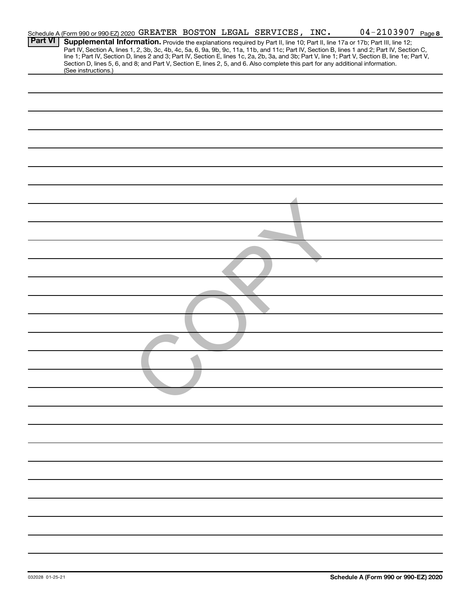|                | Schedule A (Form 990 or 990-EZ) 2020 GREATER BOSTON LEGAL SERVICES, INC.                                                                               |  |  | $04 - 2103907$ Page 8                                                                                                                                                                                                                                                         |  |
|----------------|--------------------------------------------------------------------------------------------------------------------------------------------------------|--|--|-------------------------------------------------------------------------------------------------------------------------------------------------------------------------------------------------------------------------------------------------------------------------------|--|
| <b>Part VI</b> |                                                                                                                                                        |  |  | Supplemental Information. Provide the explanations required by Part II, line 10; Part II, line 17a or 17b; Part III, line 12;<br>Part IV, Section A, lines 1, 2, 3b, 3c, 4b, 4c, 5a, 6, 9a, 9b, 9c, 11a, 11b, and 11c; Part IV, Section B, lines 1 and 2; Part IV, Section C, |  |
|                | Section D, lines 5, 6, and 8; and Part V, Section E, lines 2, 5, and 6. Also complete this part for any additional information.<br>(See instructions.) |  |  | line 1; Part IV, Section D, lines 2 and 3; Part IV, Section E, lines 1c, 2a, 2b, 3a, and 3b; Part V, line 1; Part V, Section B, line 1e; Part V,                                                                                                                              |  |
|                |                                                                                                                                                        |  |  |                                                                                                                                                                                                                                                                               |  |
|                |                                                                                                                                                        |  |  |                                                                                                                                                                                                                                                                               |  |
|                |                                                                                                                                                        |  |  |                                                                                                                                                                                                                                                                               |  |
|                |                                                                                                                                                        |  |  |                                                                                                                                                                                                                                                                               |  |
|                |                                                                                                                                                        |  |  |                                                                                                                                                                                                                                                                               |  |
|                |                                                                                                                                                        |  |  |                                                                                                                                                                                                                                                                               |  |
|                |                                                                                                                                                        |  |  |                                                                                                                                                                                                                                                                               |  |
|                |                                                                                                                                                        |  |  |                                                                                                                                                                                                                                                                               |  |
|                |                                                                                                                                                        |  |  |                                                                                                                                                                                                                                                                               |  |
|                |                                                                                                                                                        |  |  |                                                                                                                                                                                                                                                                               |  |
|                |                                                                                                                                                        |  |  |                                                                                                                                                                                                                                                                               |  |
|                |                                                                                                                                                        |  |  |                                                                                                                                                                                                                                                                               |  |
|                |                                                                                                                                                        |  |  |                                                                                                                                                                                                                                                                               |  |
|                |                                                                                                                                                        |  |  |                                                                                                                                                                                                                                                                               |  |
|                |                                                                                                                                                        |  |  |                                                                                                                                                                                                                                                                               |  |
|                |                                                                                                                                                        |  |  |                                                                                                                                                                                                                                                                               |  |
|                |                                                                                                                                                        |  |  |                                                                                                                                                                                                                                                                               |  |
|                |                                                                                                                                                        |  |  |                                                                                                                                                                                                                                                                               |  |
|                |                                                                                                                                                        |  |  |                                                                                                                                                                                                                                                                               |  |
|                |                                                                                                                                                        |  |  |                                                                                                                                                                                                                                                                               |  |
|                |                                                                                                                                                        |  |  |                                                                                                                                                                                                                                                                               |  |
|                |                                                                                                                                                        |  |  |                                                                                                                                                                                                                                                                               |  |
|                |                                                                                                                                                        |  |  |                                                                                                                                                                                                                                                                               |  |
|                |                                                                                                                                                        |  |  |                                                                                                                                                                                                                                                                               |  |
|                |                                                                                                                                                        |  |  |                                                                                                                                                                                                                                                                               |  |
|                |                                                                                                                                                        |  |  |                                                                                                                                                                                                                                                                               |  |
|                |                                                                                                                                                        |  |  |                                                                                                                                                                                                                                                                               |  |
|                |                                                                                                                                                        |  |  |                                                                                                                                                                                                                                                                               |  |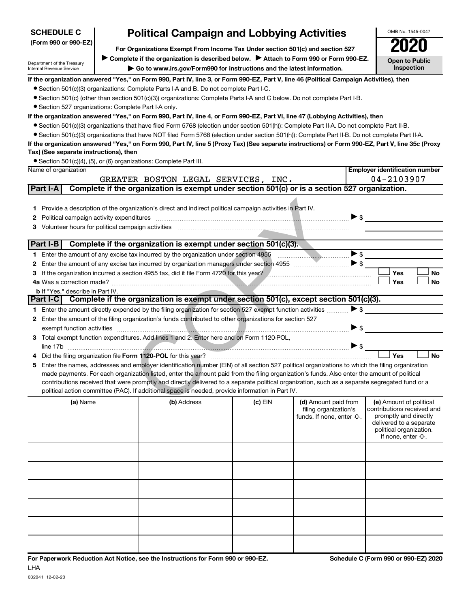| <b>SCHEDULE C</b>                                                                                     |                                                                                                                                         | <b>Political Campaign and Lobbying Activities</b>                                                                                                                                                                              |         |                                                                             |                          | OMB No. 1545-0047                                                                                                                                           |  |  |  |  |  |
|-------------------------------------------------------------------------------------------------------|-----------------------------------------------------------------------------------------------------------------------------------------|--------------------------------------------------------------------------------------------------------------------------------------------------------------------------------------------------------------------------------|---------|-----------------------------------------------------------------------------|--------------------------|-------------------------------------------------------------------------------------------------------------------------------------------------------------|--|--|--|--|--|
| (Form 990 or 990-EZ)<br>For Organizations Exempt From Income Tax Under section 501(c) and section 527 |                                                                                                                                         |                                                                                                                                                                                                                                |         |                                                                             |                          |                                                                                                                                                             |  |  |  |  |  |
|                                                                                                       |                                                                                                                                         |                                                                                                                                                                                                                                |         |                                                                             |                          |                                                                                                                                                             |  |  |  |  |  |
| Department of the Treasury                                                                            |                                                                                                                                         | Complete if the organization is described below.<br>Attach to Form 990 or Form 990-EZ.                                                                                                                                         |         |                                                                             |                          | <b>Open to Public</b>                                                                                                                                       |  |  |  |  |  |
| Internal Revenue Service                                                                              |                                                                                                                                         | Go to www.irs.gov/Form990 for instructions and the latest information.                                                                                                                                                         |         |                                                                             |                          | <b>Inspection</b>                                                                                                                                           |  |  |  |  |  |
|                                                                                                       | If the organization answered "Yes," on Form 990, Part IV, line 3, or Form 990-EZ, Part V, line 46 (Political Campaign Activities), then |                                                                                                                                                                                                                                |         |                                                                             |                          |                                                                                                                                                             |  |  |  |  |  |
|                                                                                                       |                                                                                                                                         | • Section 501(c)(3) organizations: Complete Parts I-A and B. Do not complete Part I-C.                                                                                                                                         |         |                                                                             |                          |                                                                                                                                                             |  |  |  |  |  |
|                                                                                                       |                                                                                                                                         | • Section 501(c) (other than section 501(c)(3)) organizations: Complete Parts I-A and C below. Do not complete Part I-B.                                                                                                       |         |                                                                             |                          |                                                                                                                                                             |  |  |  |  |  |
| • Section 527 organizations: Complete Part I-A only.                                                  |                                                                                                                                         |                                                                                                                                                                                                                                |         |                                                                             |                          |                                                                                                                                                             |  |  |  |  |  |
|                                                                                                       |                                                                                                                                         | If the organization answered "Yes," on Form 990, Part IV, line 4, or Form 990-EZ, Part VI, line 47 (Lobbying Activities), then                                                                                                 |         |                                                                             |                          |                                                                                                                                                             |  |  |  |  |  |
|                                                                                                       |                                                                                                                                         | • Section 501(c)(3) organizations that have filed Form 5768 (election under section 501(h)): Complete Part II-A. Do not complete Part II-B.                                                                                    |         |                                                                             |                          |                                                                                                                                                             |  |  |  |  |  |
|                                                                                                       |                                                                                                                                         | • Section 501(c)(3) organizations that have NOT filed Form 5768 (election under section 501(h)): Complete Part II-B. Do not complete Part II-A.                                                                                |         |                                                                             |                          |                                                                                                                                                             |  |  |  |  |  |
|                                                                                                       |                                                                                                                                         | If the organization answered "Yes," on Form 990, Part IV, line 5 (Proxy Tax) (See separate instructions) or Form 990-EZ, Part V, line 35c (Proxy                                                                               |         |                                                                             |                          |                                                                                                                                                             |  |  |  |  |  |
| Tax) (See separate instructions), then                                                                |                                                                                                                                         |                                                                                                                                                                                                                                |         |                                                                             |                          |                                                                                                                                                             |  |  |  |  |  |
|                                                                                                       |                                                                                                                                         | • Section 501(c)(4), (5), or (6) organizations: Complete Part III.                                                                                                                                                             |         |                                                                             |                          |                                                                                                                                                             |  |  |  |  |  |
| Name of organization                                                                                  |                                                                                                                                         |                                                                                                                                                                                                                                |         |                                                                             |                          | <b>Employer identification number</b>                                                                                                                       |  |  |  |  |  |
|                                                                                                       |                                                                                                                                         | GREATER BOSTON LEGAL SERVICES, INC.<br>Complete if the organization is exempt under section 501(c) or is a section 527 organization.                                                                                           |         |                                                                             |                          | 04-2103907                                                                                                                                                  |  |  |  |  |  |
| Part I-A                                                                                              |                                                                                                                                         |                                                                                                                                                                                                                                |         |                                                                             |                          |                                                                                                                                                             |  |  |  |  |  |
|                                                                                                       |                                                                                                                                         |                                                                                                                                                                                                                                |         |                                                                             |                          |                                                                                                                                                             |  |  |  |  |  |
| 1.                                                                                                    |                                                                                                                                         | Provide a description of the organization's direct and indirect political campaign activities in Part IV.                                                                                                                      |         |                                                                             |                          |                                                                                                                                                             |  |  |  |  |  |
| 2                                                                                                     |                                                                                                                                         | Political campaign activity expenditures [[11] matter contract to the contract of the contract of the contract of the contract of the contract of the contract of the contract of the contract of the contract of the contract |         |                                                                             | $\triangleright$ \$      |                                                                                                                                                             |  |  |  |  |  |
| З                                                                                                     |                                                                                                                                         |                                                                                                                                                                                                                                |         |                                                                             |                          |                                                                                                                                                             |  |  |  |  |  |
| Part I-B                                                                                              |                                                                                                                                         | Complete if the organization is exempt under section 501(c)(3).                                                                                                                                                                |         |                                                                             |                          |                                                                                                                                                             |  |  |  |  |  |
|                                                                                                       |                                                                                                                                         |                                                                                                                                                                                                                                |         |                                                                             | $\blacktriangleright$ \$ |                                                                                                                                                             |  |  |  |  |  |
|                                                                                                       |                                                                                                                                         |                                                                                                                                                                                                                                |         |                                                                             |                          |                                                                                                                                                             |  |  |  |  |  |
| 2                                                                                                     |                                                                                                                                         | If the organization incurred a section 4955 tax, did it file Form 4720 for this year?                                                                                                                                          |         |                                                                             |                          | Yes<br><b>No</b>                                                                                                                                            |  |  |  |  |  |
| з                                                                                                     |                                                                                                                                         |                                                                                                                                                                                                                                |         |                                                                             |                          | Yes<br><b>No</b>                                                                                                                                            |  |  |  |  |  |
| <b>b</b> If "Yes," describe in Part IV.                                                               |                                                                                                                                         |                                                                                                                                                                                                                                |         |                                                                             |                          |                                                                                                                                                             |  |  |  |  |  |
|                                                                                                       |                                                                                                                                         | Part I-C Complete if the organization is exempt under section 501(c), except section 501(c)(3).                                                                                                                                |         |                                                                             |                          |                                                                                                                                                             |  |  |  |  |  |
|                                                                                                       |                                                                                                                                         | 1 Enter the amount directly expended by the filing organization for section 527 exempt function activities                                                                                                                     |         |                                                                             | $\blacktriangleright$ \$ |                                                                                                                                                             |  |  |  |  |  |
|                                                                                                       |                                                                                                                                         | 2 Enter the amount of the filing organization's funds contributed to other organizations for section 527                                                                                                                       |         |                                                                             |                          |                                                                                                                                                             |  |  |  |  |  |
|                                                                                                       |                                                                                                                                         | exempt function activities with an activities with a series of the contract of the series of the series of the                                                                                                                 |         |                                                                             | $\blacktriangleright$ \$ |                                                                                                                                                             |  |  |  |  |  |
|                                                                                                       |                                                                                                                                         | 3 Total exempt function expenditures. Add lines 1 and 2. Enter here and on Form 1120-POL,                                                                                                                                      |         |                                                                             |                          |                                                                                                                                                             |  |  |  |  |  |
|                                                                                                       |                                                                                                                                         |                                                                                                                                                                                                                                |         |                                                                             | $\triangleright$ \$      |                                                                                                                                                             |  |  |  |  |  |
|                                                                                                       |                                                                                                                                         |                                                                                                                                                                                                                                |         |                                                                             |                          | Yes<br><b>No</b>                                                                                                                                            |  |  |  |  |  |
| 5                                                                                                     |                                                                                                                                         | Enter the names, addresses and employer identification number (EIN) of all section 527 political organizations to which the filing organization                                                                                |         |                                                                             |                          |                                                                                                                                                             |  |  |  |  |  |
|                                                                                                       |                                                                                                                                         | made payments. For each organization listed, enter the amount paid from the filing organization's funds. Also enter the amount of political                                                                                    |         |                                                                             |                          |                                                                                                                                                             |  |  |  |  |  |
|                                                                                                       |                                                                                                                                         | contributions received that were promptly and directly delivered to a separate political organization, such as a separate segregated fund or a                                                                                 |         |                                                                             |                          |                                                                                                                                                             |  |  |  |  |  |
|                                                                                                       |                                                                                                                                         | political action committee (PAC). If additional space is needed, provide information in Part IV.                                                                                                                               |         |                                                                             |                          |                                                                                                                                                             |  |  |  |  |  |
| (a) Name                                                                                              |                                                                                                                                         | (b) Address                                                                                                                                                                                                                    | (c) EIN | (d) Amount paid from<br>filing organization's<br>funds. If none, enter -0-. |                          | (e) Amount of political<br>contributions received and<br>promptly and directly<br>delivered to a separate<br>political organization.<br>If none, enter -0-. |  |  |  |  |  |
|                                                                                                       |                                                                                                                                         |                                                                                                                                                                                                                                |         |                                                                             |                          |                                                                                                                                                             |  |  |  |  |  |
|                                                                                                       |                                                                                                                                         |                                                                                                                                                                                                                                |         |                                                                             |                          |                                                                                                                                                             |  |  |  |  |  |
|                                                                                                       |                                                                                                                                         |                                                                                                                                                                                                                                |         |                                                                             |                          |                                                                                                                                                             |  |  |  |  |  |
|                                                                                                       |                                                                                                                                         |                                                                                                                                                                                                                                |         |                                                                             |                          |                                                                                                                                                             |  |  |  |  |  |
|                                                                                                       |                                                                                                                                         |                                                                                                                                                                                                                                |         |                                                                             |                          |                                                                                                                                                             |  |  |  |  |  |
|                                                                                                       |                                                                                                                                         |                                                                                                                                                                                                                                |         |                                                                             |                          |                                                                                                                                                             |  |  |  |  |  |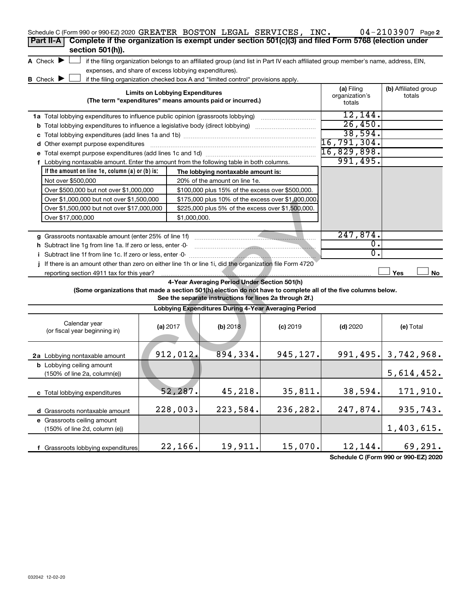| Schedule C (Form 990 or 990-EZ) 2020 GREATER BOSTON LEGAL SERVICES, INC.                                        |                                        |              |                                                                                                       |                                                                                                                                   |                          | $04 - 2103907$ Page 2                |
|-----------------------------------------------------------------------------------------------------------------|----------------------------------------|--------------|-------------------------------------------------------------------------------------------------------|-----------------------------------------------------------------------------------------------------------------------------------|--------------------------|--------------------------------------|
| Complete if the organization is exempt under section 501(c)(3) and filed Form 5768 (election under<br>Part II-A |                                        |              |                                                                                                       |                                                                                                                                   |                          |                                      |
| section 501(h)).                                                                                                |                                        |              |                                                                                                       |                                                                                                                                   |                          |                                      |
| A Check $\blacktriangleright$                                                                                   |                                        |              |                                                                                                       | if the filing organization belongs to an affiliated group (and list in Part IV each affiliated group member's name, address, EIN, |                          |                                      |
| expenses, and share of excess lobbying expenditures).                                                           |                                        |              |                                                                                                       |                                                                                                                                   |                          |                                      |
| <b>B</b> Check ▶                                                                                                |                                        |              | if the filing organization checked box A and "limited control" provisions apply.                      |                                                                                                                                   |                          |                                      |
|                                                                                                                 | <b>Limits on Lobbying Expenditures</b> |              |                                                                                                       |                                                                                                                                   | (a) Filing               | (b) Affiliated group                 |
|                                                                                                                 |                                        |              | (The term "expenditures" means amounts paid or incurred.)                                             |                                                                                                                                   | organization's<br>totals | totals                               |
|                                                                                                                 |                                        |              |                                                                                                       |                                                                                                                                   |                          |                                      |
| 1a Total lobbying expenditures to influence public opinion (grassroots lobbying)                                |                                        |              |                                                                                                       |                                                                                                                                   | 12,144.<br>26,450.       |                                      |
| <b>b</b> Total lobbying expenditures to influence a legislative body (direct lobbying) <i>manumanomous</i>      |                                        |              |                                                                                                       |                                                                                                                                   | 38,594.                  |                                      |
|                                                                                                                 |                                        |              |                                                                                                       |                                                                                                                                   | 16, 791, 304.            |                                      |
| d Other exempt purpose expenditures                                                                             |                                        |              |                                                                                                       |                                                                                                                                   | 16,829,898.              |                                      |
|                                                                                                                 |                                        |              |                                                                                                       |                                                                                                                                   | 991,495.                 |                                      |
| f Lobbying nontaxable amount. Enter the amount from the following table in both columns.                        |                                        |              |                                                                                                       |                                                                                                                                   |                          |                                      |
| If the amount on line $1e$ , column $(a)$ or $(b)$ is:<br>Not over \$500,000                                    |                                        |              | The lobbying nontaxable amount is:                                                                    |                                                                                                                                   |                          |                                      |
| Over \$500,000 but not over \$1,000,000                                                                         |                                        |              | 20% of the amount on line 1e.                                                                         |                                                                                                                                   |                          |                                      |
| Over \$1,000,000 but not over \$1,500,000                                                                       |                                        |              | \$100,000 plus 15% of the excess over \$500,000.<br>\$175,000 plus 10% of the excess over \$1,000,000 |                                                                                                                                   |                          |                                      |
| Over \$1,500,000 but not over \$17,000,000                                                                      |                                        |              |                                                                                                       |                                                                                                                                   |                          |                                      |
| Over \$17,000,000                                                                                               |                                        |              |                                                                                                       |                                                                                                                                   |                          |                                      |
|                                                                                                                 |                                        | \$1,000,000. |                                                                                                       |                                                                                                                                   |                          |                                      |
| g Grassroots nontaxable amount (enter 25% of line 1f)                                                           |                                        |              |                                                                                                       |                                                                                                                                   | 247,874.                 |                                      |
| h Subtract line 1q from line 1a. If zero or less, enter -0-                                                     |                                        |              |                                                                                                       |                                                                                                                                   | о.                       |                                      |
| i Subtract line 1f from line 1c. If zero or less, enter -0-                                                     |                                        |              |                                                                                                       |                                                                                                                                   | σ.                       |                                      |
| If there is an amount other than zero on either line 1h or line 1i, did the organization file Form 4720         |                                        |              |                                                                                                       |                                                                                                                                   |                          |                                      |
| reporting section 4911 tax for this year?                                                                       |                                        |              |                                                                                                       |                                                                                                                                   |                          | No<br>Yes                            |
|                                                                                                                 |                                        |              | 4-Year Averaging Period Under Section 501(h)                                                          |                                                                                                                                   |                          |                                      |
| (Some organizations that made a section 501(h) election do not have to complete all of the five columns below.  |                                        |              | See the separate instructions for lines 2a through 2f.)                                               |                                                                                                                                   |                          |                                      |
|                                                                                                                 |                                        |              | Lobbying Expenditures During 4-Year Averaging Period                                                  |                                                                                                                                   |                          |                                      |
| Calendar year                                                                                                   | (a) 2017                               |              | (b) 2018                                                                                              | $(c)$ 2019                                                                                                                        | $(d)$ 2020               | (e) Total                            |
| (or fiscal year beginning in)                                                                                   |                                        |              |                                                                                                       |                                                                                                                                   |                          |                                      |
|                                                                                                                 |                                        |              |                                                                                                       |                                                                                                                                   |                          |                                      |
|                                                                                                                 |                                        | 912,012.     | 894,334.                                                                                              | 945,127.                                                                                                                          |                          | $991, 495.$ 3, 742, 968.             |
| 2a Lobbying nontaxable amount<br><b>b</b> Lobbying ceiling amount                                               |                                        |              |                                                                                                       |                                                                                                                                   |                          |                                      |
| (150% of line 2a, column(e))                                                                                    |                                        |              |                                                                                                       |                                                                                                                                   |                          | 5,614,452.                           |
|                                                                                                                 |                                        |              |                                                                                                       |                                                                                                                                   |                          |                                      |
| c Total lobbying expenditures                                                                                   |                                        | 52,287.      | 45,218.                                                                                               | 35,811.                                                                                                                           | 38,594.                  | 171,910.                             |
|                                                                                                                 |                                        |              |                                                                                                       |                                                                                                                                   |                          |                                      |
| d Grassroots nontaxable amount                                                                                  |                                        | 228,003.     | 223,584.                                                                                              | 236,282.                                                                                                                          | 247,874.                 | 935,743.                             |
| e Grassroots ceiling amount                                                                                     |                                        |              |                                                                                                       |                                                                                                                                   |                          |                                      |
| (150% of line 2d, column (e))                                                                                   |                                        |              |                                                                                                       |                                                                                                                                   |                          | 1,403,615.                           |
|                                                                                                                 |                                        |              |                                                                                                       |                                                                                                                                   |                          |                                      |
| f Grassroots lobbying expenditures                                                                              |                                        | 22,166.      | 19,911.                                                                                               | 15,070.                                                                                                                           | 12,144.                  | 69,291.                              |
|                                                                                                                 |                                        |              |                                                                                                       |                                                                                                                                   |                          | Schodule C (Form 000 or 000 F7) 2020 |

**Schedule C (Form 990 or 990-EZ) 2020**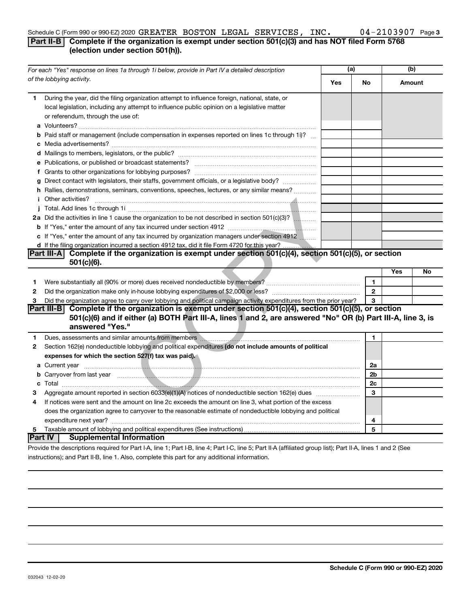## Schedule C (Form 990 or 990-EZ) 2020  $\mathtt{GREATER}$  BOSTON LEGAL SERVICES, INC.  $04\text{--}2103907$  Page

### **Part II-B** Complete if the organization is exempt under section 501(c)(3) and has NOT filed Form 5768 **(election under section 501(h)).**

| For each "Yes" response on lines 1a through 1i below, provide in Part IV a detailed description |                                                                                                                                                                                                                                            | (a) |              | (b)    |    |
|-------------------------------------------------------------------------------------------------|--------------------------------------------------------------------------------------------------------------------------------------------------------------------------------------------------------------------------------------------|-----|--------------|--------|----|
|                                                                                                 | of the lobbying activity.                                                                                                                                                                                                                  | Yes | <b>No</b>    | Amount |    |
| 1.                                                                                              | During the year, did the filing organization attempt to influence foreign, national, state, or<br>local legislation, including any attempt to influence public opinion on a legislative matter<br>or referendum, through the use of:       |     |              |        |    |
|                                                                                                 | <b>b</b> Paid staff or management (include compensation in expenses reported on lines 1c through 1i)?                                                                                                                                      |     |              |        |    |
|                                                                                                 |                                                                                                                                                                                                                                            |     |              |        |    |
|                                                                                                 |                                                                                                                                                                                                                                            |     |              |        |    |
|                                                                                                 |                                                                                                                                                                                                                                            |     |              |        |    |
|                                                                                                 | g Direct contact with legislators, their staffs, government officials, or a legislative body?                                                                                                                                              |     |              |        |    |
|                                                                                                 | h Rallies, demonstrations, seminars, conventions, speeches, lectures, or any similar means?                                                                                                                                                |     |              |        |    |
|                                                                                                 |                                                                                                                                                                                                                                            |     |              |        |    |
|                                                                                                 |                                                                                                                                                                                                                                            |     |              |        |    |
|                                                                                                 | 2a Did the activities in line 1 cause the organization to be not described in section 501(c)(3)?                                                                                                                                           |     |              |        |    |
|                                                                                                 |                                                                                                                                                                                                                                            |     |              |        |    |
|                                                                                                 | c If "Yes," enter the amount of any tax incurred by organization managers under section 4912                                                                                                                                               |     |              |        |    |
|                                                                                                 | d If the filing organization incurred a section 4912 tax, did it file Form 4720 for this year?                                                                                                                                             |     |              |        |    |
|                                                                                                 | Part III-A Complete if the organization is exempt under section 501(c)(4), section 501(c)(5), or section                                                                                                                                   |     |              |        |    |
|                                                                                                 | $501(c)(6)$ .                                                                                                                                                                                                                              |     |              |        |    |
|                                                                                                 |                                                                                                                                                                                                                                            |     |              | Yes    | No |
| 1                                                                                               |                                                                                                                                                                                                                                            |     | $\mathbf{1}$ |        |    |
| 2                                                                                               |                                                                                                                                                                                                                                            |     | $\mathbf{2}$ |        |    |
| 3                                                                                               | Did the organization agree to carry over lobbying and political campaign activity expenditures from the prior year?                                                                                                                        |     | 3            |        |    |
|                                                                                                 | Part III-B Complete if the organization is exempt under section 501(c)(4), section 501(c)(5), or section<br>501(c)(6) and if either (a) BOTH Part III-A, lines 1 and 2, are answered "No" OR (b) Part III-A, line 3, is<br>answered "Yes." |     |              |        |    |
| 1                                                                                               | Dues, assessments and similar amounts from members [19] matter than the control of the system of the system of the system of the system of the system of the system of the system of the system of the system of the system of             |     | $\mathbf{1}$ |        |    |
| $\mathbf{2}$                                                                                    | Section 162(e) nondeductible lobbying and political expenditures (do not include amounts of political                                                                                                                                      |     |              |        |    |
|                                                                                                 | expenses for which the section 527(f) tax was paid).                                                                                                                                                                                       |     |              |        |    |
|                                                                                                 |                                                                                                                                                                                                                                            |     | 2a           |        |    |
|                                                                                                 | b Carryover from last year measured and contact the contract of the contract of the contract of the contract of the contract of the contract of the contract of the contract of the contract of the contract of the contract o             |     | 2b           |        |    |
|                                                                                                 |                                                                                                                                                                                                                                            |     | 2c           |        |    |
| З                                                                                               |                                                                                                                                                                                                                                            |     | 3            |        |    |
| 4                                                                                               | If notices were sent and the amount on line 2c exceeds the amount on line 3, what portion of the excess                                                                                                                                    |     |              |        |    |
|                                                                                                 | does the organization agree to carryover to the reasonable estimate of nondeductible lobbying and political                                                                                                                                |     |              |        |    |
|                                                                                                 |                                                                                                                                                                                                                                            |     | 4            |        |    |
| 5                                                                                               |                                                                                                                                                                                                                                            |     | 5            |        |    |
|                                                                                                 | <b>Part IV   Supplemental Information</b>                                                                                                                                                                                                  |     |              |        |    |
|                                                                                                 | Drouide the deserintions required for Dart LA Jine 1: Dart LD Jine 4: Dart LC Jine E: Dart II A (officiend aroun light): Dart II A Jines 1 and 3 (Ceo                                                                                      |     |              |        |    |

Provide the descriptions required for Part I-A, line 1; Part I-B, line 4; Part I-C, line 5; Part II-A (affiliated group list); Part II-A, lines 1 and 2 (See instructions); and Part II-B, line 1. Also, complete this part for any additional information.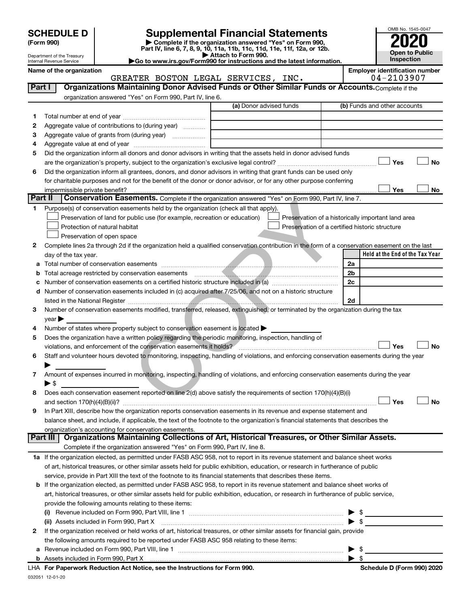| (Form 990) |  |
|------------|--|
|------------|--|

032051 12-01-20

# **SCHEDULE D Supplemental Financial Statements**<br> **Form 990 2020**<br> **Part IV** line 6.7.8.9.10, 11a, 11b, 11d, 11d, 11d, 11d, 11d, 12a, 0r, 12b

**(Form 990) | Complete if the organization answered "Yes" on Form 990, Part IV, line 6, 7, 8, 9, 10, 11a, 11b, 11c, 11d, 11e, 11f, 12a, or 12b.**

**| Attach to Form 990. |Go to www.irs.gov/Form990 for instructions and the latest information.**



Department of the Treasury Internal Revenue Service

| Name of the organization | <b>Employer identification number</b>                                                             |  |                                |      |                              |  |  |  |  |  |
|--------------------------|---------------------------------------------------------------------------------------------------|--|--------------------------------|------|------------------------------|--|--|--|--|--|
|                          |                                                                                                   |  | GREATER BOSTON LEGAL SERVICES. | INC. | $04 - 2103907$               |  |  |  |  |  |
| Part I                   | Organizations Maintaining Donor Advised Funds or Other Similar Funds or Accounts. Complete if the |  |                                |      |                              |  |  |  |  |  |
|                          | organization answered "Yes" on Form 990, Part IV, line 6.                                         |  |                                |      |                              |  |  |  |  |  |
|                          |                                                                                                   |  | (a) Donor advised funds        |      | (b) Funds and other accounts |  |  |  |  |  |

|         |                                                                                                                                                                                                                                | (a) Donor advised funds | (b) Funds and other accounts                           |
|---------|--------------------------------------------------------------------------------------------------------------------------------------------------------------------------------------------------------------------------------|-------------------------|--------------------------------------------------------|
| 1.      |                                                                                                                                                                                                                                |                         |                                                        |
| 2       | Aggregate value of contributions to (during year)                                                                                                                                                                              |                         |                                                        |
| З       | Aggregate value of grants from (during year)                                                                                                                                                                                   |                         |                                                        |
| 4       |                                                                                                                                                                                                                                |                         |                                                        |
| 5       | Did the organization inform all donors and donor advisors in writing that the assets held in donor advised funds                                                                                                               |                         |                                                        |
|         |                                                                                                                                                                                                                                |                         | <b>No</b><br>Yes                                       |
| 6       | Did the organization inform all grantees, donors, and donor advisors in writing that grant funds can be used only                                                                                                              |                         |                                                        |
|         | for charitable purposes and not for the benefit of the donor or donor advisor, or for any other purpose conferring                                                                                                             |                         |                                                        |
|         | impermissible private benefit?                                                                                                                                                                                                 |                         | Yes<br>No                                              |
| Part II | Conservation Easements. Complete if the organization answered "Yes" on Form 990, Part IV, line 7.                                                                                                                              |                         |                                                        |
| 1       | Purpose(s) of conservation easements held by the organization (check all that apply).                                                                                                                                          |                         |                                                        |
|         | Preservation of land for public use (for example, recreation or education)                                                                                                                                                     |                         | Preservation of a historically important land area     |
|         | Protection of natural habitat                                                                                                                                                                                                  |                         | Preservation of a certified historic structure         |
|         | Preservation of open space                                                                                                                                                                                                     |                         |                                                        |
| 2       | Complete lines 2a through 2d if the organization held a qualified conservation contribution in the form of a conservation easement on the last                                                                                 |                         |                                                        |
|         | day of the tax year.                                                                                                                                                                                                           |                         | Held at the End of the Tax Year                        |
| а       |                                                                                                                                                                                                                                |                         | 2a                                                     |
| b       |                                                                                                                                                                                                                                |                         | 2b                                                     |
| с       |                                                                                                                                                                                                                                |                         | 2c                                                     |
| d       | Number of conservation easements included in (c) acquired after 7/25/06, and not on a historic structure                                                                                                                       |                         |                                                        |
|         |                                                                                                                                                                                                                                |                         | 2d                                                     |
| 3       | Number of conservation easements modified, transferred, released, extinguished, or terminated by the organization during the tax                                                                                               |                         |                                                        |
|         | $year \blacktriangleright$                                                                                                                                                                                                     |                         |                                                        |
| 4       | Number of states where property subject to conservation easement is located >                                                                                                                                                  |                         |                                                        |
| 5       | Does the organization have a written policy regarding the periodic monitoring, inspection, handling of                                                                                                                         |                         |                                                        |
|         | violations, and enforcement of the conservation easements it holds? [[11] manufactures and enforcement of the conservation easements it holds? [[11] manufactures and enforcement of the conservation easements in holds? [[11 |                         | Yes<br><b>No</b>                                       |
| 6       | Staff and volunteer hours devoted to monitoring, inspecting, handling of violations, and enforcing conservation easements during the year                                                                                      |                         |                                                        |
|         |                                                                                                                                                                                                                                |                         |                                                        |
| 7       | Amount of expenses incurred in monitoring, inspecting, handling of violations, and enforcing conservation easements during the year                                                                                            |                         |                                                        |
|         | $\blacktriangleright$ \$                                                                                                                                                                                                       |                         |                                                        |
| 8       | Does each conservation easement reported on line 2(d) above satisfy the requirements of section 170(h)(4)(B)(i)                                                                                                                |                         | <b>No</b><br>Yes                                       |
|         | In Part XIII, describe how the organization reports conservation easements in its revenue and expense statement and                                                                                                            |                         |                                                        |
| 9       | balance sheet, and include, if applicable, the text of the footnote to the organization's financial statements that describes the                                                                                              |                         |                                                        |
|         | organization's accounting for conservation easements.                                                                                                                                                                          |                         |                                                        |
|         | Organizations Maintaining Collections of Art, Historical Treasures, or Other Similar Assets.<br>Part III I                                                                                                                     |                         |                                                        |
|         | Complete if the organization answered "Yes" on Form 990, Part IV, line 8.                                                                                                                                                      |                         |                                                        |
|         | 1a If the organization elected, as permitted under FASB ASC 958, not to report in its revenue statement and balance sheet works                                                                                                |                         |                                                        |
|         | of art, historical treasures, or other similar assets held for public exhibition, education, or research in furtherance of public                                                                                              |                         |                                                        |
|         | service, provide in Part XIII the text of the footnote to its financial statements that describes these items.                                                                                                                 |                         |                                                        |
| b       | If the organization elected, as permitted under FASB ASC 958, to report in its revenue statement and balance sheet works of                                                                                                    |                         |                                                        |
|         | art, historical treasures, or other similar assets held for public exhibition, education, or research in furtherance of public service,                                                                                        |                         |                                                        |
|         | provide the following amounts relating to these items:                                                                                                                                                                         |                         |                                                        |
|         |                                                                                                                                                                                                                                |                         | \$<br>the control of the control of the control of the |
|         | (ii) Assets included in Form 990, Part X                                                                                                                                                                                       |                         | $\blacktriangleright$ \$                               |
| 2       | If the organization received or held works of art, historical treasures, or other similar assets for financial gain, provide                                                                                                   |                         |                                                        |
|         | the following amounts required to be reported under FASB ASC 958 relating to these items:                                                                                                                                      |                         |                                                        |
| a       |                                                                                                                                                                                                                                |                         | \$<br>▶                                                |
|         |                                                                                                                                                                                                                                |                         | $\blacktriangleright$ \$                               |
|         | LHA For Paperwork Reduction Act Notice, see the Instructions for Form 990.                                                                                                                                                     |                         | Schedule D (Form 990) 2020                             |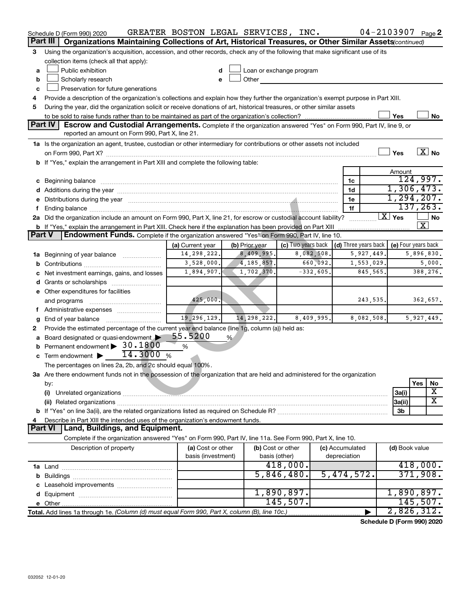|               | Schedule D (Form 990) 2020                                                                                                                                                                                                     | GREATER BOSTON LEGAL SERVICES, INC. |                              |                                                                                                                                                                                                                               |             |                      | $04 - 2103907$ Page 2      |                       |  |
|---------------|--------------------------------------------------------------------------------------------------------------------------------------------------------------------------------------------------------------------------------|-------------------------------------|------------------------------|-------------------------------------------------------------------------------------------------------------------------------------------------------------------------------------------------------------------------------|-------------|----------------------|----------------------------|-----------------------|--|
|               | Part III<br>Organizations Maintaining Collections of Art, Historical Treasures, or Other Similar Assets (continued)                                                                                                            |                                     |                              |                                                                                                                                                                                                                               |             |                      |                            |                       |  |
| 3             | Using the organization's acquisition, accession, and other records, check any of the following that make significant use of its<br>collection items (check all that apply):                                                    |                                     |                              |                                                                                                                                                                                                                               |             |                      |                            |                       |  |
| a             | Public exhibition                                                                                                                                                                                                              | d                                   |                              | Loan or exchange program                                                                                                                                                                                                      |             |                      |                            |                       |  |
| b             | Scholarly research                                                                                                                                                                                                             | e                                   |                              | Other and the contract of the contract of the contract of the contract of the contract of the contract of the contract of the contract of the contract of the contract of the contract of the contract of the contract of the |             |                      |                            |                       |  |
| c             | Preservation for future generations                                                                                                                                                                                            |                                     |                              |                                                                                                                                                                                                                               |             |                      |                            |                       |  |
| 4             | Provide a description of the organization's collections and explain how they further the organization's exempt purpose in Part XIII.                                                                                           |                                     |                              |                                                                                                                                                                                                                               |             |                      |                            |                       |  |
| 5             | During the year, did the organization solicit or receive donations of art, historical treasures, or other similar assets                                                                                                       |                                     |                              |                                                                                                                                                                                                                               |             |                      |                            |                       |  |
|               |                                                                                                                                                                                                                                |                                     |                              |                                                                                                                                                                                                                               |             |                      | Yes                        | No                    |  |
|               | <b>Part IV</b><br><b>Escrow and Custodial Arrangements.</b> Complete if the organization answered "Yes" on Form 990, Part IV, line 9, or                                                                                       |                                     |                              |                                                                                                                                                                                                                               |             |                      |                            |                       |  |
|               | reported an amount on Form 990, Part X, line 21.                                                                                                                                                                               |                                     |                              |                                                                                                                                                                                                                               |             |                      |                            |                       |  |
|               | 1a Is the organization an agent, trustee, custodian or other intermediary for contributions or other assets not included                                                                                                       |                                     |                              |                                                                                                                                                                                                                               |             |                      |                            |                       |  |
|               |                                                                                                                                                                                                                                |                                     |                              |                                                                                                                                                                                                                               |             |                      | Yes                        | $\boxed{\text{X}}$ No |  |
|               | b If "Yes," explain the arrangement in Part XIII and complete the following table:                                                                                                                                             |                                     |                              |                                                                                                                                                                                                                               |             |                      |                            |                       |  |
|               |                                                                                                                                                                                                                                |                                     |                              |                                                                                                                                                                                                                               |             |                      |                            |                       |  |
|               |                                                                                                                                                                                                                                |                                     |                              |                                                                                                                                                                                                                               |             |                      | Amount                     | 124,997.              |  |
|               | c Beginning balance measurements and the contract of the contract of the contract of the contract of the contract of the contract of the contract of the contract of the contract of the contract of the contract of the contr |                                     |                              |                                                                                                                                                                                                                               |             | 1c                   |                            | 1,306,473.            |  |
|               |                                                                                                                                                                                                                                |                                     |                              |                                                                                                                                                                                                                               |             | 1d                   |                            | 1, 294, 207.          |  |
|               | e Distributions during the year measurement contained and all the year of the year measurement of the year measurement of the year measurement of the year measurement of the year and the year of the year of the year of the |                                     |                              |                                                                                                                                                                                                                               |             | 1e<br>1f             |                            | 137, 263.             |  |
|               | 2a Did the organization include an amount on Form 990, Part X, line 21, for escrow or custodial account liability?                                                                                                             |                                     |                              |                                                                                                                                                                                                                               |             |                      | $\overline{\text{X}}$ Yes  | No                    |  |
|               |                                                                                                                                                                                                                                |                                     |                              |                                                                                                                                                                                                                               |             | .                    |                            | $\overline{\text{X}}$ |  |
| <b>Part V</b> | <b>b</b> If "Yes," explain the arrangement in Part XIII. Check here if the explanation has been provided on Part XIII<br><b>Endowment Funds.</b> Complete if the organization answered "Yes" on Form 990, Part IV, line 10.    |                                     |                              |                                                                                                                                                                                                                               |             |                      |                            |                       |  |
|               |                                                                                                                                                                                                                                |                                     |                              | (c) Two years back                                                                                                                                                                                                            |             | (d) Three years back |                            | (e) Four years back   |  |
|               |                                                                                                                                                                                                                                | (a) Current year<br>14, 298, 222.   | (b) Prior year<br>8,409,995. |                                                                                                                                                                                                                               | 8,082,508.  |                      |                            | 5,896,830.            |  |
|               | 1a Beginning of year balance                                                                                                                                                                                                   |                                     |                              |                                                                                                                                                                                                                               | 660,092.    | 5,927,449.           |                            | 5,000.                |  |
|               |                                                                                                                                                                                                                                | 3,528,000.                          | 4, 185, 857.                 |                                                                                                                                                                                                                               |             | 1,553,029.           |                            |                       |  |
|               | c Net investment earnings, gains, and losses                                                                                                                                                                                   | 1,894,907.                          | 1,702,370.                   |                                                                                                                                                                                                                               | $-332,605.$ | 845,565.             |                            | 388,276.              |  |
|               |                                                                                                                                                                                                                                |                                     |                              |                                                                                                                                                                                                                               |             |                      |                            |                       |  |
|               | e Other expenditures for facilities                                                                                                                                                                                            |                                     |                              |                                                                                                                                                                                                                               |             |                      |                            |                       |  |
|               | and programs                                                                                                                                                                                                                   | 425,000.                            |                              |                                                                                                                                                                                                                               |             | 243,535.             |                            | 362,657.              |  |
|               | f Administrative expenses                                                                                                                                                                                                      |                                     |                              |                                                                                                                                                                                                                               |             |                      |                            |                       |  |
| g             |                                                                                                                                                                                                                                | 19, 296, 129.                       | 14, 298, 222.                |                                                                                                                                                                                                                               | 8,409,995.  | 8,082,508.           |                            | 5,927,449.            |  |
| 2             | Provide the estimated percentage of the current year end balance (line 1g, column (a)) held as:                                                                                                                                |                                     |                              |                                                                                                                                                                                                                               |             |                      |                            |                       |  |
|               | a Board designated or quasi-endowment                                                                                                                                                                                          | 55.5200                             | %                            |                                                                                                                                                                                                                               |             |                      |                            |                       |  |
|               | <b>b</b> Permanent endowment $\triangleright$ 30.1800                                                                                                                                                                          | $\%$                                |                              |                                                                                                                                                                                                                               |             |                      |                            |                       |  |
|               | 14.3000%<br>$\mathbf c$ Term endowment $\blacktriangleright$                                                                                                                                                                   |                                     |                              |                                                                                                                                                                                                                               |             |                      |                            |                       |  |
|               | The percentages on lines 2a, 2b, and 2c should equal 100%.                                                                                                                                                                     |                                     |                              |                                                                                                                                                                                                                               |             |                      |                            |                       |  |
|               | 3a Are there endowment funds not in the possession of the organization that are held and administered for the organization                                                                                                     |                                     |                              |                                                                                                                                                                                                                               |             |                      |                            |                       |  |
|               | by:                                                                                                                                                                                                                            |                                     |                              |                                                                                                                                                                                                                               |             |                      |                            | Yes<br>No             |  |
|               | (i)                                                                                                                                                                                                                            |                                     |                              |                                                                                                                                                                                                                               |             |                      | 3a(i)                      | х                     |  |
|               |                                                                                                                                                                                                                                |                                     |                              |                                                                                                                                                                                                                               |             |                      | 3a(ii)                     | $\overline{\text{X}}$ |  |
|               |                                                                                                                                                                                                                                |                                     |                              |                                                                                                                                                                                                                               |             |                      | 3b                         |                       |  |
| 4             | Describe in Part XIII the intended uses of the organization's endowment funds.                                                                                                                                                 |                                     |                              |                                                                                                                                                                                                                               |             |                      |                            |                       |  |
|               | <b>Part VI</b><br>Land, Buildings, and Equipment.                                                                                                                                                                              |                                     |                              |                                                                                                                                                                                                                               |             |                      |                            |                       |  |
|               | Complete if the organization answered "Yes" on Form 990, Part IV, line 11a. See Form 990, Part X, line 10.                                                                                                                     |                                     |                              |                                                                                                                                                                                                                               |             |                      |                            |                       |  |
|               | Description of property                                                                                                                                                                                                        | (a) Cost or other                   |                              | (b) Cost or other                                                                                                                                                                                                             |             | (c) Accumulated      | (d) Book value             |                       |  |
|               |                                                                                                                                                                                                                                | basis (investment)                  |                              | basis (other)                                                                                                                                                                                                                 |             | depreciation         |                            |                       |  |
|               |                                                                                                                                                                                                                                |                                     |                              | 418,000.                                                                                                                                                                                                                      |             |                      |                            | 418,000.              |  |
|               |                                                                                                                                                                                                                                |                                     |                              | 5,846,480.                                                                                                                                                                                                                    |             | 5,474,572.           |                            | 371,908.              |  |
|               |                                                                                                                                                                                                                                |                                     |                              |                                                                                                                                                                                                                               |             |                      |                            |                       |  |
|               |                                                                                                                                                                                                                                |                                     |                              | 1,890,897.                                                                                                                                                                                                                    |             |                      |                            | 1,890,897.            |  |
|               |                                                                                                                                                                                                                                |                                     |                              | 145,507.                                                                                                                                                                                                                      |             |                      |                            | 145,507.              |  |
|               | Total. Add lines 1a through 1e. (Column (d) must equal Form 990, Part X, column (B), line 10c.)                                                                                                                                |                                     |                              |                                                                                                                                                                                                                               |             |                      |                            | 2,826,312.            |  |
|               |                                                                                                                                                                                                                                |                                     |                              |                                                                                                                                                                                                                               |             |                      | Schedule D (Form 990) 2020 |                       |  |

032052 12-01-20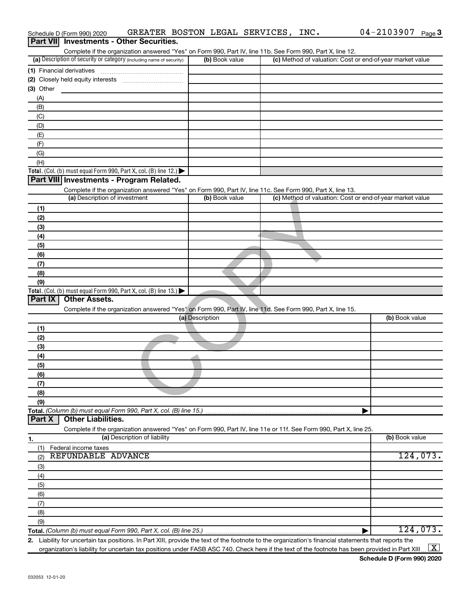|                  | Schedule D (Form 990) 2020                                                                    | GREATER BOSTON LEGAL SERVICES, INC.                                                                               |                 |                |  | $04 - 2103907$ Page 3                                                                                                                                |
|------------------|-----------------------------------------------------------------------------------------------|-------------------------------------------------------------------------------------------------------------------|-----------------|----------------|--|------------------------------------------------------------------------------------------------------------------------------------------------------|
| <b>Part VIII</b> |                                                                                               | <b>Investments - Other Securities.</b>                                                                            |                 |                |  |                                                                                                                                                      |
|                  |                                                                                               | Complete if the organization answered "Yes" on Form 990, Part IV, line 11b. See Form 990, Part X, line 12.        |                 |                |  |                                                                                                                                                      |
|                  | (a) Description of security or category (including name of security)                          |                                                                                                                   |                 | (b) Book value |  | (c) Method of valuation: Cost or end-of-year market value                                                                                            |
|                  |                                                                                               |                                                                                                                   |                 |                |  |                                                                                                                                                      |
|                  |                                                                                               |                                                                                                                   |                 |                |  |                                                                                                                                                      |
| (3) Other        |                                                                                               |                                                                                                                   |                 |                |  |                                                                                                                                                      |
| (A)<br>(B)       |                                                                                               |                                                                                                                   |                 |                |  |                                                                                                                                                      |
| (C)              |                                                                                               |                                                                                                                   |                 |                |  |                                                                                                                                                      |
| (D)              |                                                                                               |                                                                                                                   |                 |                |  |                                                                                                                                                      |
| (E)              |                                                                                               |                                                                                                                   |                 |                |  |                                                                                                                                                      |
| (F)              |                                                                                               |                                                                                                                   |                 |                |  |                                                                                                                                                      |
| (G)              |                                                                                               |                                                                                                                   |                 |                |  |                                                                                                                                                      |
| (H)              |                                                                                               |                                                                                                                   |                 |                |  |                                                                                                                                                      |
|                  | <b>Total.</b> (Col. (b) must equal Form 990, Part X, col. (B) line 12.) $\blacktriangleright$ |                                                                                                                   |                 |                |  |                                                                                                                                                      |
|                  | Part VIII Investments - Program Related.                                                      |                                                                                                                   |                 |                |  |                                                                                                                                                      |
|                  |                                                                                               | Complete if the organization answered "Yes" on Form 990, Part IV, line 11c. See Form 990, Part X, line 13.        |                 |                |  |                                                                                                                                                      |
|                  | (a) Description of investment                                                                 |                                                                                                                   |                 | (b) Book value |  | (c) Method of valuation: Cost or end-of-year market value                                                                                            |
| (1)              |                                                                                               |                                                                                                                   |                 |                |  |                                                                                                                                                      |
| (2)              |                                                                                               |                                                                                                                   |                 |                |  |                                                                                                                                                      |
| (3)              |                                                                                               |                                                                                                                   |                 |                |  |                                                                                                                                                      |
| (4)              |                                                                                               |                                                                                                                   |                 |                |  |                                                                                                                                                      |
| (5)              |                                                                                               |                                                                                                                   |                 |                |  |                                                                                                                                                      |
| (6)<br>(7)       |                                                                                               |                                                                                                                   |                 |                |  |                                                                                                                                                      |
| (8)              |                                                                                               |                                                                                                                   |                 |                |  |                                                                                                                                                      |
| (9)              |                                                                                               |                                                                                                                   |                 |                |  |                                                                                                                                                      |
|                  | <b>Total.</b> (Col. (b) must equal Form 990, Part X, col. (B) line 13.) $\blacktriangleright$ |                                                                                                                   |                 |                |  |                                                                                                                                                      |
| Part IX          | <b>Other Assets.</b>                                                                          |                                                                                                                   |                 |                |  |                                                                                                                                                      |
|                  |                                                                                               | Complete if the organization answered "Yes" on Form 990, Part IV, line 11d. See Form 990, Part X, line 15.        |                 |                |  |                                                                                                                                                      |
|                  |                                                                                               |                                                                                                                   | (a) Description |                |  | (b) Book value                                                                                                                                       |
| (1)              |                                                                                               |                                                                                                                   |                 |                |  |                                                                                                                                                      |
| (2)              |                                                                                               |                                                                                                                   |                 |                |  |                                                                                                                                                      |
| (3)              |                                                                                               |                                                                                                                   |                 |                |  |                                                                                                                                                      |
| (4)              |                                                                                               |                                                                                                                   |                 |                |  |                                                                                                                                                      |
| (5)              |                                                                                               |                                                                                                                   |                 |                |  |                                                                                                                                                      |
| (6)              |                                                                                               |                                                                                                                   |                 |                |  |                                                                                                                                                      |
| (7)<br>(8)       |                                                                                               |                                                                                                                   |                 |                |  |                                                                                                                                                      |
| (9)              |                                                                                               |                                                                                                                   |                 |                |  |                                                                                                                                                      |
|                  | Total. (Column (b) must equal Form 990, Part X, col. (B) line 15.)                            |                                                                                                                   |                 |                |  |                                                                                                                                                      |
| Part X           | <b>Other Liabilities.</b>                                                                     |                                                                                                                   |                 |                |  |                                                                                                                                                      |
|                  |                                                                                               | Complete if the organization answered "Yes" on Form 990, Part IV, line 11e or 11f. See Form 990, Part X, line 25. |                 |                |  |                                                                                                                                                      |
| 1.               |                                                                                               | (a) Description of liability                                                                                      |                 |                |  | (b) Book value                                                                                                                                       |
| (1)              | Federal income taxes                                                                          |                                                                                                                   |                 |                |  |                                                                                                                                                      |
| (2)              | REFUNDABLE ADVANCE                                                                            |                                                                                                                   |                 |                |  | 124,073.                                                                                                                                             |
| (3)              |                                                                                               |                                                                                                                   |                 |                |  |                                                                                                                                                      |
| (4)              |                                                                                               |                                                                                                                   |                 |                |  |                                                                                                                                                      |
| (5)              |                                                                                               |                                                                                                                   |                 |                |  |                                                                                                                                                      |
| (6)              |                                                                                               |                                                                                                                   |                 |                |  |                                                                                                                                                      |
| (7)              |                                                                                               |                                                                                                                   |                 |                |  |                                                                                                                                                      |
| (8)<br>(9)       |                                                                                               |                                                                                                                   |                 |                |  |                                                                                                                                                      |
|                  |                                                                                               |                                                                                                                   |                 |                |  | 124,073.                                                                                                                                             |
|                  |                                                                                               |                                                                                                                   |                 |                |  | 2. Liability for uncertain tax positions. In Part XIII, provide the text of the footnote to the organization's financial statements that reports the |

organization's liability for uncertain tax positions under FASB ASC 740. Check here if the text of the footnote has been provided in Part XIII ...  $\fbox{\bf X}$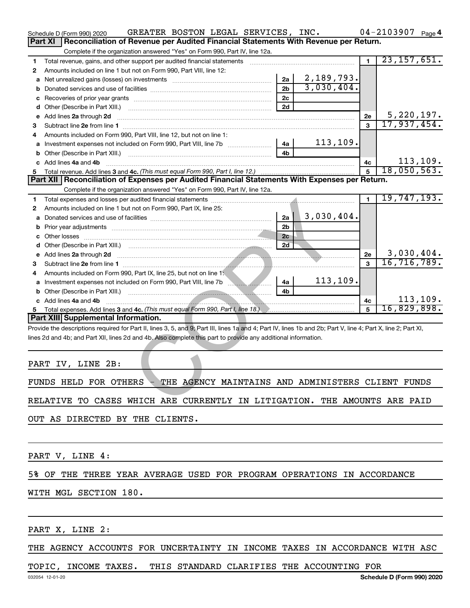|              | GREATER BOSTON LEGAL SERVICES, INC.<br>Schedule D (Form 990) 2020                                                                                              |                |            |                | $04 - 2103907$ Page 4            |
|--------------|----------------------------------------------------------------------------------------------------------------------------------------------------------------|----------------|------------|----------------|----------------------------------|
|              | Reconciliation of Revenue per Audited Financial Statements With Revenue per Return.<br>Part XI                                                                 |                |            |                |                                  |
|              | Complete if the organization answered "Yes" on Form 990, Part IV, line 12a.                                                                                    |                |            |                |                                  |
| 1.           | Total revenue, gains, and other support per audited financial statements                                                                                       |                |            | $\overline{1}$ | 23, 157, 651.                    |
| 2            | Amounts included on line 1 but not on Form 990, Part VIII, line 12:                                                                                            |                |            |                |                                  |
|              | a Net unrealized gains (losses) on investments [111][12] Net unrealistically negligible and Net unrealized gains (losses) on investments                       | 2a             | 2,189,793. |                |                                  |
| b            |                                                                                                                                                                | 2 <sub>b</sub> | 3,030,404. |                |                                  |
| с            |                                                                                                                                                                | 2c             |            |                |                                  |
|              |                                                                                                                                                                | 2d             |            |                |                                  |
|              | e Add lines 2a through 2d                                                                                                                                      |                |            | 2е             | $\frac{5,220,197.}{17,937,454.}$ |
| 3            |                                                                                                                                                                |                |            | $\mathbf{R}$   |                                  |
| 4            | Amounts included on Form 990, Part VIII, line 12, but not on line 1:                                                                                           |                |            |                |                                  |
|              | a Investment expenses not included on Form 990, Part VIII, line 7b [11, 11, 11, 11]                                                                            | 4a             | 113, 109.  |                |                                  |
| b            |                                                                                                                                                                | 4 <sub>h</sub> |            |                |                                  |
|              | c Add lines 4a and 4b                                                                                                                                          |                |            | 4c             | 113, 109.                        |
| 5            |                                                                                                                                                                |                |            | 5              | 18,050,563.                      |
|              | Part XII   Reconciliation of Expenses per Audited Financial Statements With Expenses per Return.                                                               |                |            |                |                                  |
|              | Complete if the organization answered "Yes" on Form 990, Part IV, line 12a.                                                                                    |                |            |                |                                  |
| 1.           |                                                                                                                                                                |                |            | $\blacksquare$ | 19,747,193.                      |
| $\mathbf{2}$ | Amounts included on line 1 but not on Form 990, Part IX, line 25:                                                                                              |                |            |                |                                  |
|              |                                                                                                                                                                | $2a$           | 3,030,404. |                |                                  |
| b            |                                                                                                                                                                | 2 <sub>b</sub> |            |                |                                  |
|              |                                                                                                                                                                | 2c             |            |                |                                  |
|              |                                                                                                                                                                | 2d             |            |                |                                  |
|              | e Add lines 2a through 2d <b>must be a constructed as the construction of the State of Add lines 2a through 2d</b>                                             |                |            | 2е             | 3,030,404.                       |
| 3            |                                                                                                                                                                |                |            | $\mathbf{a}$   | 16, 716, 789.                    |
| 4            | Amounts included on Form 990, Part IX, line 25, but not on line 1:                                                                                             |                |            |                |                                  |
|              |                                                                                                                                                                | 4a             | 113, 109.  |                |                                  |
|              |                                                                                                                                                                | 4b             |            |                |                                  |
|              | c Add lines 4a and 4b                                                                                                                                          |                |            | 4c             | 113, 109.                        |
| 5            |                                                                                                                                                                |                |            | 5              | 16,829,898.                      |
|              | Part XIII Supplemental Information.                                                                                                                            |                |            |                |                                  |
|              | Provide the descriptions required for Part II, lines 3, 5, and 9; Part III, lines 1a and 4; Part IV, lines 1b and 2b; Part V, line 4; Part X, line 2; Part XI, |                |            |                |                                  |
|              | lines 2d and 4b; and Part XII, lines 2d and 4b. Also complete this part to provide any additional information.                                                 |                |            |                |                                  |
|              |                                                                                                                                                                |                |            |                |                                  |
|              |                                                                                                                                                                |                |            |                |                                  |
|              | PART IV, LINE 2B:                                                                                                                                              |                |            |                |                                  |
|              |                                                                                                                                                                |                |            |                |                                  |
|              | THE AGENCY MAINTAINS AND ADMINISTERS CLIENT FUNDS<br>FUNDS HELD FOR OTHERS                                                                                     |                |            |                |                                  |
|              |                                                                                                                                                                |                |            |                |                                  |
|              | RELATIVE TO CASES WHICH ARE CURRENTLY IN LITIGATION. THE AMOUNTS ARE PAID                                                                                      |                |            |                |                                  |

OUT AS DIRECTED BY THE CLIENTS.

PART V, LINE 4:

#### 5% OF THE THREE YEAR AVERAGE USED FOR PROGRAM OPERATIONS IN ACCORDANCE

WITH MGL SECTION 180.

PART X, LINE 2:

THE AGENCY ACCOUNTS FOR UNCERTAINTY IN INCOME TAXES IN ACCORDANCE WITH ASC

#### TOPIC, INCOME TAXES. THIS STANDARD CLARIFIES THE ACCOUNTING FOR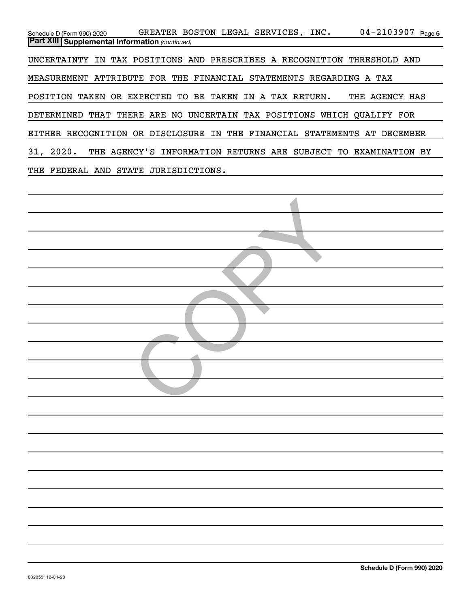04-2103907 Page 5 *(continued)* **Part XIII Supplemental Information**  Schedule D (Form 990) 2020  $\,$  GREATER BOSTON LEGAL SERVICES , INC  $\,$   $\,$  04 – 2103907  $\,$  Page UNCERTAINTY IN TAX POSITIONS AND PRESCRIBES A RECOGNITION THRESHOLD AND MEASUREMENT ATTRIBUTE FOR THE FINANCIAL STATEMENTS REGARDING A TAX POSITION TAKEN OR EXPECTED TO BE TAKEN IN A TAX RETURN. THE AGENCY HAS DETERMINED THAT THERE ARE NO UNCERTAIN TAX POSITIONS WHICH QUALIFY FOR EITHER RECOGNITION OR DISCLOSURE IN THE FINANCIAL STATEMENTS AT DECEMBER 31, 2020. THE AGENCY'S INFORMATION RETURNS ARE SUBJECT TO EXAMINATION BY THE FEDERAL AND STATE JURISDICTIONS.

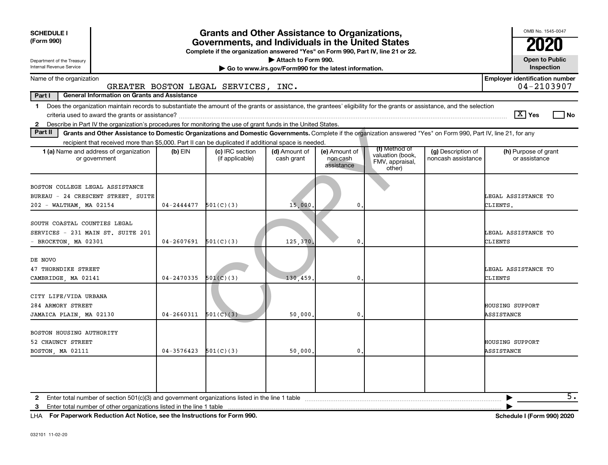|                                                                                                                                                                                                                                                                                               |                | <b>Grants and Other Assistance to Organizations,</b><br><b>SCHEDULE I</b><br>(Form 990)<br>Governments, and Individuals in the United States<br>Complete if the organization answered "Yes" on Form 990, Part IV, line 21 or 22.<br>Attach to Form 990.<br>Department of the Treasury<br>Internal Revenue Service<br>Go to www.irs.gov/Form990 for the latest information. |                             |                                         |                                                                |                                          |                                       |  |  |  |  |  |  |
|-----------------------------------------------------------------------------------------------------------------------------------------------------------------------------------------------------------------------------------------------------------------------------------------------|----------------|----------------------------------------------------------------------------------------------------------------------------------------------------------------------------------------------------------------------------------------------------------------------------------------------------------------------------------------------------------------------------|-----------------------------|-----------------------------------------|----------------------------------------------------------------|------------------------------------------|---------------------------------------|--|--|--|--|--|--|
| <b>Employer identification number</b><br>Name of the organization                                                                                                                                                                                                                             |                |                                                                                                                                                                                                                                                                                                                                                                            |                             |                                         |                                                                |                                          |                                       |  |  |  |  |  |  |
| 04-2103907<br>GREATER BOSTON LEGAL SERVICES, INC.<br>Part I<br><b>General Information on Grants and Assistance</b>                                                                                                                                                                            |                |                                                                                                                                                                                                                                                                                                                                                                            |                             |                                         |                                                                |                                          |                                       |  |  |  |  |  |  |
| 1 Does the organization maintain records to substantiate the amount of the grants or assistance, the grantees' eligibility for the grants or assistance, and the selection<br>2 Describe in Part IV the organization's procedures for monitoring the use of grant funds in the United States. |                |                                                                                                                                                                                                                                                                                                                                                                            |                             |                                         |                                                                |                                          | $ \mathbf{X} $ Yes<br>l No            |  |  |  |  |  |  |
| Part II<br>Grants and Other Assistance to Domestic Organizations and Domestic Governments. Complete if the organization answered "Yes" on Form 990, Part IV, line 21, for any                                                                                                                 |                |                                                                                                                                                                                                                                                                                                                                                                            |                             |                                         |                                                                |                                          |                                       |  |  |  |  |  |  |
| recipient that received more than \$5,000. Part II can be duplicated if additional space is needed.                                                                                                                                                                                           |                |                                                                                                                                                                                                                                                                                                                                                                            |                             |                                         |                                                                |                                          |                                       |  |  |  |  |  |  |
| <b>1 (a)</b> Name and address of organization<br>or government                                                                                                                                                                                                                                | (b) EIN        | (c) IRC section<br>(if applicable)                                                                                                                                                                                                                                                                                                                                         | (d) Amount of<br>cash grant | (e) Amount of<br>non-cash<br>assistance | (f) Method of<br>valuation (book,<br>FMV, appraisal,<br>other) | (g) Description of<br>noncash assistance | (h) Purpose of grant<br>or assistance |  |  |  |  |  |  |
| BOSTON COLLEGE LEGAL ASSISTANCE<br>BUREAU - 24 CRESCENT STREET, SUITE<br>202 - WALTHAM, MA 02154                                                                                                                                                                                              | 04-2444477     | 501(C)(3)                                                                                                                                                                                                                                                                                                                                                                  | 15,000                      | $\mathbf{0}$                            |                                                                |                                          | LEGAL ASSISTANCE TO<br>CLIENTS.       |  |  |  |  |  |  |
| SOUTH COASTAL COUNTIES LEGAL<br>SERVICES - 231 MAIN ST. SUITE 201<br>BROCKTON, MA 02301                                                                                                                                                                                                       | 04-2607691     | 501(C)(3)                                                                                                                                                                                                                                                                                                                                                                  | 125,370.                    | 0                                       |                                                                |                                          | LEGAL ASSISTANCE TO<br>CLIENTS        |  |  |  |  |  |  |
| DE NOVO<br>47 THORNDIKE STREET<br>CAMBRIDGE, MA 02141                                                                                                                                                                                                                                         | $04 - 2470335$ | 501(C)(3)                                                                                                                                                                                                                                                                                                                                                                  | 130,459                     | 0                                       |                                                                |                                          | LEGAL ASSISTANCE TO<br>CLIENTS        |  |  |  |  |  |  |
| CITY LIFE/VIDA URBANA<br>284 ARMORY STREET<br>JAMAICA PLAIN, MA 02130                                                                                                                                                                                                                         | $04 - 2660311$ | 501(C)(3)                                                                                                                                                                                                                                                                                                                                                                  | 50,000                      | 0                                       |                                                                |                                          | HOUSING SUPPORT<br>ASSISTANCE         |  |  |  |  |  |  |
| BOSTON HOUSING AUTHORITY<br>52 CHAUNCY STREET<br>BOSTON, MA 02111                                                                                                                                                                                                                             | 04-3576423     | 501(C)(3)                                                                                                                                                                                                                                                                                                                                                                  | 50,000                      | $\mathbf 0$                             |                                                                |                                          | <b>HOUSING SUPPORT</b><br>ASSISTANCE  |  |  |  |  |  |  |
| $\mathbf{2}$<br>Enter total number of other organizations listed in the line 1 table<br>3                                                                                                                                                                                                     |                |                                                                                                                                                                                                                                                                                                                                                                            |                             |                                         |                                                                |                                          | $\overline{5}$ .                      |  |  |  |  |  |  |

**For Paperwork Reduction Act Notice, see the Instructions for Form 990. Schedule I (Form 990) 2020** LHA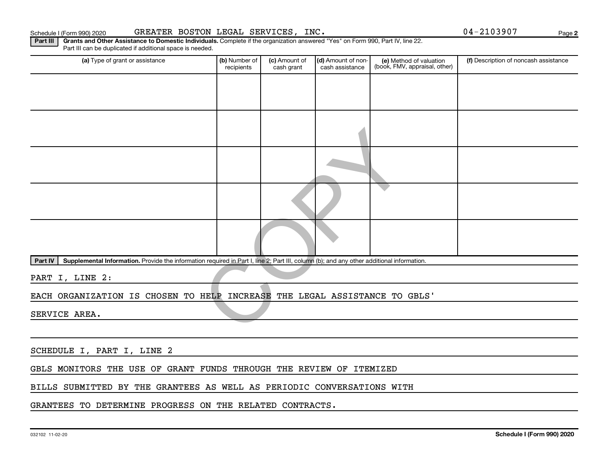Part III | Grants and Other Assistance to Domestic Individuals. Complete if the organization answered "Yes" on Form 990, Part IV, line 22. Schedule I (Form 990) 2020 GREATER BOSTON LEGAL SERVICES,INC . Page

(a) Type of grant or assistance **(b)** Number of  $|$  **(c)** Amount of  $|$  **(d)** Amount of non- $|$  **(e)** Method of valuation  $|$  **(f)** Part IV | Supplemental Information. Provide the information required in Part I, line 2; Part III, column (b); and any other additional information. Part III can be duplicated if additional space is needed. (e) Method of valuation (book, FMV, appraisal, other) recipients (c) Amount of cash grant (d) Amount of noncash assistance (f) Description of noncash assistance PART I, LINE 2: EACH ORGANIZATION IS CHOSEN TO HELP INCREASE THE LEGAL ASSISTANCE TO GBLS' SERVICE AREA. In required in Part I, line 2; Part III, column (b); and any other additional inform<br>HELP INCREASE THE LEGAL ASSISTANCE TO

SCHEDULE I, PART I, LINE 2

GBLS MONITORS THE USE OF GRANT FUNDS THROUGH THE REVIEW OF ITEMIZED

BILLS SUBMITTED BY THE GRANTEES AS WELL AS PERIODIC CONVERSATIONS WITH

GRANTEES TO DETERMINE PROGRESS ON THE RELATED CONTRACTS.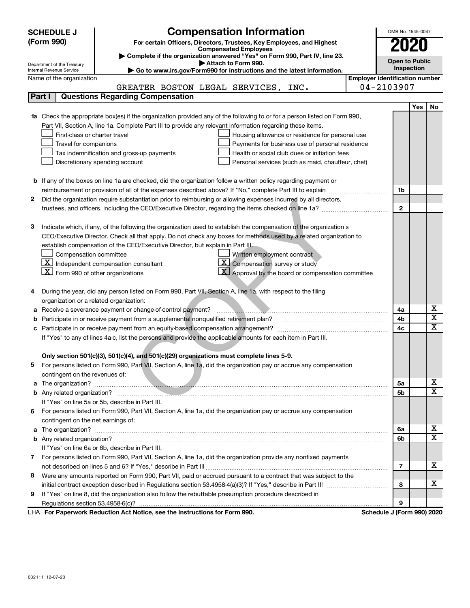|                                                                                                               | <b>SCHEDULE J</b>                                                                                          | <b>Compensation Information</b>                                                                                                  |                                       | OMB No. 1545-0047          |     |    |
|---------------------------------------------------------------------------------------------------------------|------------------------------------------------------------------------------------------------------------|----------------------------------------------------------------------------------------------------------------------------------|---------------------------------------|----------------------------|-----|----|
| (Form 990)                                                                                                    |                                                                                                            | For certain Officers, Directors, Trustees, Key Employees, and Highest                                                            |                                       | 2020                       |     |    |
|                                                                                                               | <b>Compensated Employees</b><br>Complete if the organization answered "Yes" on Form 990, Part IV, line 23. |                                                                                                                                  |                                       |                            |     |    |
|                                                                                                               | Department of the Treasury                                                                                 |                                                                                                                                  | <b>Open to Public</b>                 |                            |     |    |
|                                                                                                               | Internal Revenue Service                                                                                   | Attach to Form 990.<br>► Go to www.irs.gov/Form990 for instructions and the latest information.                                  |                                       | Inspection                 |     |    |
|                                                                                                               | Name of the organization                                                                                   |                                                                                                                                  | <b>Employer identification number</b> |                            |     |    |
|                                                                                                               |                                                                                                            | GREATER BOSTON LEGAL SERVICES, INC.                                                                                              |                                       | 04-2103907                 |     |    |
| Part I                                                                                                        |                                                                                                            | <b>Questions Regarding Compensation</b>                                                                                          |                                       |                            |     |    |
|                                                                                                               |                                                                                                            |                                                                                                                                  |                                       |                            | Yes | No |
|                                                                                                               |                                                                                                            | <b>1a</b> Check the appropriate box(es) if the organization provided any of the following to or for a person listed on Form 990, |                                       |                            |     |    |
|                                                                                                               |                                                                                                            | Part VII, Section A, line 1a. Complete Part III to provide any relevant information regarding these items.                       |                                       |                            |     |    |
|                                                                                                               | First-class or charter travel                                                                              | Housing allowance or residence for personal use                                                                                  |                                       |                            |     |    |
|                                                                                                               | Travel for companions                                                                                      | Payments for business use of personal residence                                                                                  |                                       |                            |     |    |
|                                                                                                               |                                                                                                            | Tax indemnification and gross-up payments<br>Health or social club dues or initiation fees                                       |                                       |                            |     |    |
|                                                                                                               |                                                                                                            | Discretionary spending account<br>Personal services (such as maid, chauffeur, chef)                                              |                                       |                            |     |    |
|                                                                                                               |                                                                                                            |                                                                                                                                  |                                       |                            |     |    |
|                                                                                                               |                                                                                                            | <b>b</b> If any of the boxes on line 1a are checked, did the organization follow a written policy regarding payment or           |                                       |                            |     |    |
|                                                                                                               |                                                                                                            |                                                                                                                                  |                                       | 1b                         |     |    |
| 2                                                                                                             |                                                                                                            | Did the organization require substantiation prior to reimbursing or allowing expenses incurred by all directors,                 |                                       |                            |     |    |
|                                                                                                               |                                                                                                            |                                                                                                                                  |                                       | $\mathbf{2}$               |     |    |
|                                                                                                               |                                                                                                            |                                                                                                                                  |                                       |                            |     |    |
| З                                                                                                             |                                                                                                            | Indicate which, if any, of the following the organization used to establish the compensation of the organization's               |                                       |                            |     |    |
|                                                                                                               |                                                                                                            | CEO/Executive Director. Check all that apply. Do not check any boxes for methods used by a related organization to               |                                       |                            |     |    |
|                                                                                                               |                                                                                                            | establish compensation of the CEO/Executive Director, but explain in Part III.                                                   |                                       |                            |     |    |
|                                                                                                               | Compensation committee                                                                                     | Written employment contract                                                                                                      |                                       |                            |     |    |
|                                                                                                               |                                                                                                            | $\mathbf{X}$ Independent compensation consultant<br>$\boxed{\textbf{X}}$ Compensation survey or study                            |                                       |                            |     |    |
|                                                                                                               | $\underline{\mathbf{X}}$ Form 990 of other organizations                                                   | $\mathbf{X}$ Approval by the board or compensation committee                                                                     |                                       |                            |     |    |
|                                                                                                               |                                                                                                            |                                                                                                                                  |                                       |                            |     |    |
| 4                                                                                                             |                                                                                                            | During the year, did any person listed on Form 990, Part VII, Section A, line 1a, with respect to the filing                     |                                       |                            |     |    |
|                                                                                                               | organization or a related organization:                                                                    |                                                                                                                                  |                                       |                            |     | х  |
| а                                                                                                             |                                                                                                            | Receive a severance payment or change-of-control payment?<br>.                                                                   |                                       | 4a                         |     | X  |
| b                                                                                                             |                                                                                                            |                                                                                                                                  |                                       | 4b                         |     | x  |
|                                                                                                               |                                                                                                            |                                                                                                                                  |                                       | 4c                         |     |    |
| If "Yes" to any of lines 4a-c, list the persons and provide the applicable amounts for each item in Part III. |                                                                                                            |                                                                                                                                  |                                       |                            |     |    |
|                                                                                                               |                                                                                                            | Only section 501(c)(3), 501(c)(4), and 501(c)(29) organizations must complete lines 5-9.                                         |                                       |                            |     |    |
|                                                                                                               |                                                                                                            | For persons listed on Form 990, Part VII, Section A, line 1a, did the organization pay or accrue any compensation                |                                       |                            |     |    |
|                                                                                                               | contingent on the revenues of:                                                                             |                                                                                                                                  |                                       |                            |     |    |
|                                                                                                               |                                                                                                            |                                                                                                                                  |                                       | 5a                         |     | х  |
|                                                                                                               |                                                                                                            |                                                                                                                                  |                                       | 5b                         |     | x  |
|                                                                                                               |                                                                                                            | If "Yes" on line 5a or 5b, describe in Part III.                                                                                 |                                       |                            |     |    |
|                                                                                                               |                                                                                                            | 6 For persons listed on Form 990, Part VII, Section A, line 1a, did the organization pay or accrue any compensation              |                                       |                            |     |    |
|                                                                                                               | contingent on the net earnings of:                                                                         |                                                                                                                                  |                                       |                            |     |    |
|                                                                                                               |                                                                                                            |                                                                                                                                  |                                       | 6a                         |     | x  |
|                                                                                                               |                                                                                                            |                                                                                                                                  |                                       | 6b                         |     | x  |
|                                                                                                               |                                                                                                            | If "Yes" on line 6a or 6b, describe in Part III.                                                                                 |                                       |                            |     |    |
|                                                                                                               |                                                                                                            | 7 For persons listed on Form 990, Part VII, Section A, line 1a, did the organization provide any nonfixed payments               |                                       |                            |     |    |
|                                                                                                               |                                                                                                            |                                                                                                                                  |                                       | 7                          |     | х  |
| 8                                                                                                             |                                                                                                            | Were any amounts reported on Form 990, Part VII, paid or accrued pursuant to a contract that was subject to the                  |                                       |                            |     |    |
|                                                                                                               |                                                                                                            |                                                                                                                                  |                                       | 8                          |     | x. |
| 9                                                                                                             |                                                                                                            | If "Yes" on line 8, did the organization also follow the rebuttable presumption procedure described in                           |                                       |                            |     |    |
|                                                                                                               |                                                                                                            |                                                                                                                                  |                                       | 9                          |     |    |
|                                                                                                               |                                                                                                            | LHA For Paperwork Reduction Act Notice, see the Instructions for Form 990.                                                       |                                       | Schedule J (Form 990) 2020 |     |    |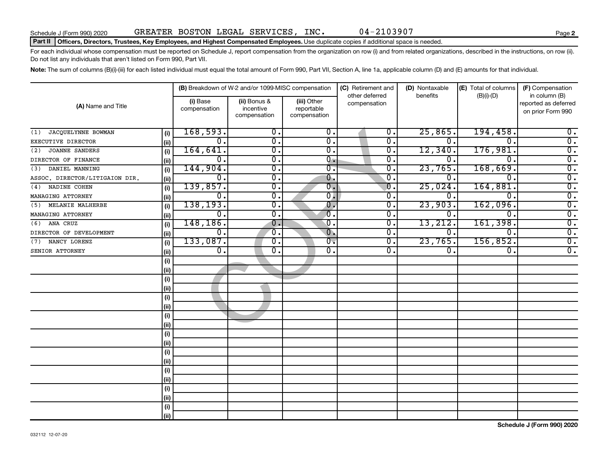#### Part II | Officers, Directors, Trustees, Key Employees, and Highest Compensated Employees. Use duplicate copies if additional space is needed.

For each individual whose compensation must be reported on Schedule J, report compensation from the organization on row (i) and from related organizations, described in the instructions, on row (ii). Do not list any individuals that aren't listed on Form 990, Part VII.

Note: The sum of columns (B)(i)-(iii) for each listed individual must equal the total amount of Form 990, Part VII, Section A, line 1a, applicable column (D) and (E) amounts for that individual.

| (A) Name and Title             |      | (B) Breakdown of W-2 and/or 1099-MISC compensation |                                           |                                           | (C) Retirement and<br>other deferred | (D) Nontaxable   | (E) Total of columns | (F) Compensation<br>in column (B)         |  |
|--------------------------------|------|----------------------------------------------------|-------------------------------------------|-------------------------------------------|--------------------------------------|------------------|----------------------|-------------------------------------------|--|
|                                |      | (i) Base<br>compensation                           | (ii) Bonus &<br>incentive<br>compensation | (iii) Other<br>reportable<br>compensation | compensation                         | benefits         | $(B)(i)$ - $(D)$     | reported as deferred<br>on prior Form 990 |  |
| JACQUELYNNE BOWMAN<br>(1)      | (i)  | 168,593.                                           | 0.                                        | 0.                                        | 0.                                   | 25,865.          | 194,458.             | 0.                                        |  |
| EXECUTIVE DIRECTOR             | (ii) | $\mathbf 0$ .                                      | $\overline{\mathfrak{o}}$ .               | 0.                                        | $\overline{0}$ .                     | 0.               | $\Omega$ .           | $\overline{0}$ .                          |  |
| <b>JOANNE SANDERS</b><br>(2)   | (i)  | 164,641.                                           | $\overline{0}$ .                          | 0.                                        | О.                                   | 12,340.          | 176,981.             | $\overline{0}$ .                          |  |
| DIRECTOR OF FINANCE            | (ii) | $\mathbf 0$ .                                      | $\overline{0}$ .                          | 0.                                        | 0.                                   | О.               | $\Omega$ .           | $\overline{0}$ .                          |  |
| DANIEL MANNING<br>(3)          | (i)  | 144,904.                                           | $\overline{0}$ .                          | $0$ .                                     | $\mathbf 0$ .                        | 23,765.          | 168,669.             | $\overline{0}$ .                          |  |
| ASSOC. DIRECTOR/LITIGAION DIR. | (ii) | $\mathbf 0$ .                                      | $\overline{\mathbf{0}}$ .                 | 0.                                        | $\mathbf 0$ .                        | 0.               | $\Omega$ .           | $\overline{0}$ .                          |  |
| NADINE COHEN<br>(4)            | (i)  | 139,857.                                           | $\overline{\mathbf{0}}$ .                 | $\overline{\mathfrak{o}}$ .               | $\mathbf{0}$                         | 25,024           | 164,881              | $\overline{0}$ .                          |  |
| MANAGING ATTORNEY              | (ii) | 0.                                                 | 0.                                        | 0.                                        | $\mathbf 0$ .                        | 0.               | $\Omega$             | $\overline{0}$ .                          |  |
| MELANIE MALHERBE<br>(5)        | (i)  | 138, 193.                                          | $\overline{0}$ .                          | $\overline{\mathbf{0}}$ .                 | $\overline{0}$ .                     | 23,903.          | 162,096.             | $\overline{0}$ .                          |  |
| MANAGING ATTORNEY              | (i)  | σ.                                                 | $\overline{0}$ .                          | $\overline{\mathfrak{o}}$ .               | $\overline{0}$ .                     | О.               | $\overline{0}$ .     | $\overline{0}$ .                          |  |
| ANA CRUZ<br>(6)                | (i)  | 148,186.                                           | $\mathbf{0}$ .                            | $\overline{\mathfrak{o}}$ .               | $\overline{0}$ .                     | 13,212.          | 161,398.             | $\overline{0}$ .                          |  |
| DIRECTOR OF DEVELOPMENT        | (ii) | 0.                                                 | $\overline{\mathfrak{0}}$ .               | $\overline{0}$ .                          | 0.                                   | $\overline{0}$ . | 0.                   | $\overline{0}$ .                          |  |
| NANCY LORENZ<br>(7)            | (i)  | 133,087.                                           | $\overline{\mathfrak{o}}$ .               | 0.                                        | σ.                                   | 23,765.          | 156,852.             | $\overline{0}$ .                          |  |
| SENIOR ATTORNEY                | (i)  | $\overline{\mathbf{0}}$ .                          | $\overline{0}$ .                          | $\overline{0}$ .                          | 0.                                   | $\overline{0}$ . | 0.                   | $\overline{0}$ .                          |  |
|                                | (i)  |                                                    |                                           |                                           |                                      |                  |                      |                                           |  |
|                                | (i)  |                                                    |                                           |                                           |                                      |                  |                      |                                           |  |
|                                | (i)  |                                                    |                                           |                                           |                                      |                  |                      |                                           |  |
|                                | (ii) |                                                    |                                           |                                           |                                      |                  |                      |                                           |  |
|                                | (i)  |                                                    |                                           |                                           |                                      |                  |                      |                                           |  |
|                                | (ii) |                                                    |                                           |                                           |                                      |                  |                      |                                           |  |
|                                | (i)  |                                                    |                                           |                                           |                                      |                  |                      |                                           |  |
|                                | (ii) |                                                    |                                           |                                           |                                      |                  |                      |                                           |  |
|                                | (i)  |                                                    |                                           |                                           |                                      |                  |                      |                                           |  |
|                                | (i)  |                                                    |                                           |                                           |                                      |                  |                      |                                           |  |
|                                | (i)  |                                                    |                                           |                                           |                                      |                  |                      |                                           |  |
|                                | (ii) |                                                    |                                           |                                           |                                      |                  |                      |                                           |  |
|                                | (i)  |                                                    |                                           |                                           |                                      |                  |                      |                                           |  |
|                                | (ii) |                                                    |                                           |                                           |                                      |                  |                      |                                           |  |
|                                | (i)  |                                                    |                                           |                                           |                                      |                  |                      |                                           |  |
|                                | (i)  |                                                    |                                           |                                           |                                      |                  |                      |                                           |  |
|                                | (i)  |                                                    |                                           |                                           |                                      |                  |                      |                                           |  |
|                                | (ii) |                                                    |                                           |                                           |                                      |                  |                      |                                           |  |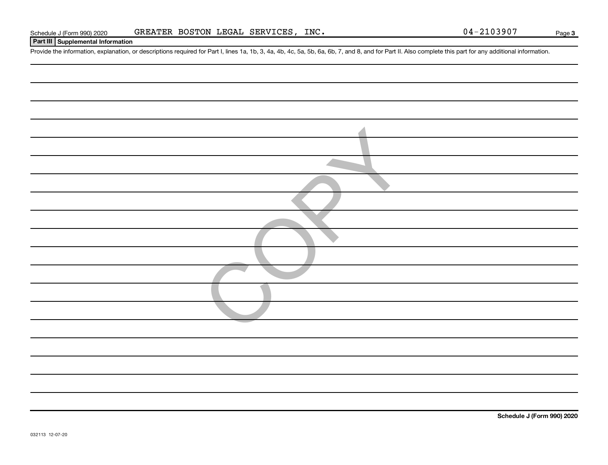**3**

#### **Part III Supplemental Information**

Provide the information, explanation, or descriptions required for Part I, lines 1a, 1b, 3, 4a, 4b, 4c, 5a, 5b, 6a, 6b, 7, and 8, and for Part II. Also complete this part for any additional information.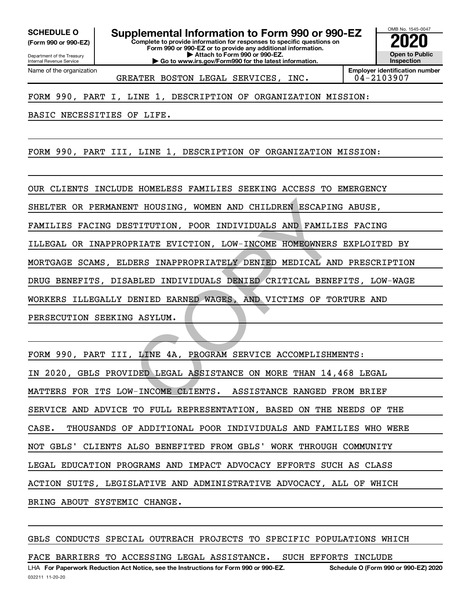**(Form 990 or 990-EZ)**

**Complete to provide information for responses to specific questions on SCHEDULE O Supplemental Information to Form 990 or 990-EZ 2020**<br>(Form 990 or 990-EZ) Complete to provide information for responses to specific questions on

**Form 990 or 990-EZ or to provide any additional information. | Attach to Form 990 or 990-EZ. | Go to www.irs.gov/Form990 for the latest information.**

OMB No. 1545-0047 **Open to Public Inspection**

Department of the Treasury Internal Revenue Service Name of the organization

GREATER BOSTON LEGAL SERVICES, INC. | 04-2103907

**Employer identification number**

FORM 990, PART I, LINE 1, DESCRIPTION OF ORGANIZATION MISSION:

BASIC NECESSITIES OF LIFE.

FORM 990, PART III, LINE 1, DESCRIPTION OF ORGANIZATION MISSION:

OUR CLIENTS INCLUDE HOMELESS FAMILIES SEEKING ACCESS TO EMERGENCY SHELTER OR PERMANENT HOUSING, WOMEN AND CHILDREN ESCAPING ABUSE, FAMILIES FACING DESTITUTION, POOR INDIVIDUALS AND FAMILIES FACING ILLEGAL OR INAPPROPRIATE EVICTION, LOW-INCOME HOMEOWNERS EXPLOITED BY MORTGAGE SCAMS, ELDERS INAPPROPRIATELY DENIED MEDICAL AND PRESCRIPTION DRUG BENEFITS, DISABLED INDIVIDUALS DENIED CRITICAL BENEFITS, LOW-WAGE WORKERS ILLEGALLY DENIED EARNED WAGES, AND VICTIMS OF TORTURE AND PERSECUTION SEEKING ASYLUM. WI HOUSING, WOMEN AND CHILDREN ESCAPING<br>
STITUTION, POOR INDIVIDUALS AND FAMILIE<br>
PRIATE EVICTION, LOW-INCOME HOMEOWNERS<br>
DERS INAPPROPRIATELY DENIED MEDICAL AND<br>
ABLED INDIVIDUALS DENIED CRITICAL BENE<br>
DENIED EARNED WAGES

FORM 990, PART III, LINE 4A, PROGRAM SERVICE ACCOMPLISHMENTS: IN 2020, GBLS PROVIDED LEGAL ASSISTANCE ON MORE THAN 14,468 LEGAL MATTERS FOR ITS LOW-INCOME CLIENTS. ASSISTANCE RANGED FROM BRIEF SERVICE AND ADVICE TO FULL REPRESENTATION, BASED ON THE NEEDS OF THE CASE. THOUSANDS OF ADDITIONAL POOR INDIVIDUALS AND FAMILIES WHO WERE NOT GBLS' CLIENTS ALSO BENEFITED FROM GBLS' WORK THROUGH COMMUNITY LEGAL EDUCATION PROGRAMS AND IMPACT ADVOCACY EFFORTS SUCH AS CLASS ACTION SUITS, LEGISLATIVE AND ADMINISTRATIVE ADVOCACY, ALL OF WHICH BRING ABOUT SYSTEMIC CHANGE.

GBLS CONDUCTS SPECIAL OUTREACH PROJECTS TO SPECIFIC POPULATIONS WHICH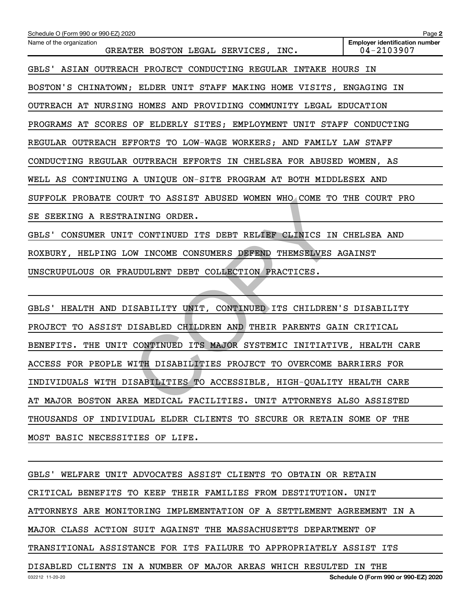| Schedule O (Form 990 or 990-EZ) 2020                                    | Page 2                                                  |
|-------------------------------------------------------------------------|---------------------------------------------------------|
| Name of the organization<br>GREATER BOSTON LEGAL SERVICES, INC.         | <b>Employer identification number</b><br>$04 - 2103907$ |
| GBLS' ASIAN OUTREACH PROJECT CONDUCTING REGULAR INTAKE HOURS IN         |                                                         |
| BOSTON'S CHINATOWN; ELDER UNIT STAFF MAKING HOME VISITS, ENGAGING IN    |                                                         |
| OUTREACH AT NURSING HOMES AND PROVIDING COMMUNITY LEGAL EDUCATION       |                                                         |
| PROGRAMS AT SCORES OF ELDERLY SITES; EMPLOYMENT UNIT STAFF CONDUCTING   |                                                         |
| REGULAR OUTREACH EFFORTS TO LOW-WAGE WORKERS; AND FAMILY LAW STAFF      |                                                         |
| CONDUCTING REGULAR OUTREACH EFFORTS IN CHELSEA FOR ABUSED WOMEN, AS     |                                                         |
| WELL AS CONTINUING A UNIQUE ON-SITE PROGRAM AT BOTH MIDDLESEX AND       |                                                         |
| SUFFOLK PROBATE COURT TO ASSIST ABUSED WOMEN WHO COME TO THE COURT PRO  |                                                         |
| SE SEEKING A RESTRAINING ORDER.                                         |                                                         |
| GBLS' CONSUMER UNIT CONTINUED ITS DEBT RELIEF CLINICS IN CHELSEA AND    |                                                         |
| ROXBURY, HELPING LOW INCOME CONSUMERS DEFEND THEMSELVES AGAINST         |                                                         |
| UNSCRUPULOUS OR FRAUDULENT DEBT COLLECTION PRACTICES.                   |                                                         |
|                                                                         |                                                         |
| GBLS' HEALTH AND DISABILITY UNIT, CONTINUED ITS CHILDREN'S DISABILITY   |                                                         |
| PROJECT TO ASSIST DISABLED CHILDREN AND THEIR PARENTS GAIN CRITICAL     |                                                         |
| BENEFITS. THE UNIT CONTINUED ITS MAJOR SYSTEMIC INITIATIVE, HEALTH CARE |                                                         |
| ACCESS FOR PEOPLE WITH DISABILITIES PROJECT TO OVERCOME BARRIERS FOR    |                                                         |
| INDIVIDUALS WITH DISABILITIES TO ACCESSIBLE, HIGH-QUALITY HEALTH CARE   |                                                         |
| AT MAJOR BOSTON AREA MEDICAL FACILITIES. UNIT ATTORNEYS ALSO ASSISTED   |                                                         |

AT MAJOR BOSTON AREA MEDICAL FACILITIES. UNIT ATTORNEYS ALSO ASSISTED

THOUSANDS OF INDIVIDUAL ELDER CLIENTS TO SECURE OR RETAIN SOME OF THE

MOST BASIC NECESSITIES OF LIFE.

GBLS' WELFARE UNIT ADVOCATES ASSIST CLIENTS TO OBTAIN OR RETAIN CRITICAL BENEFITS TO KEEP THEIR FAMILIES FROM DESTITUTION. UNIT ATTORNEYS ARE MONITORING IMPLEMENTATION OF A SETTLEMENT AGREEMENT IN A MAJOR CLASS ACTION SUIT AGAINST THE MASSACHUSETTS DEPARTMENT OF TRANSITIONAL ASSISTANCE FOR ITS FAILURE TO APPROPRIATELY ASSIST ITS DISABLED CLIENTS IN A NUMBER OF MAJOR AREAS WHICH RESULTED IN THE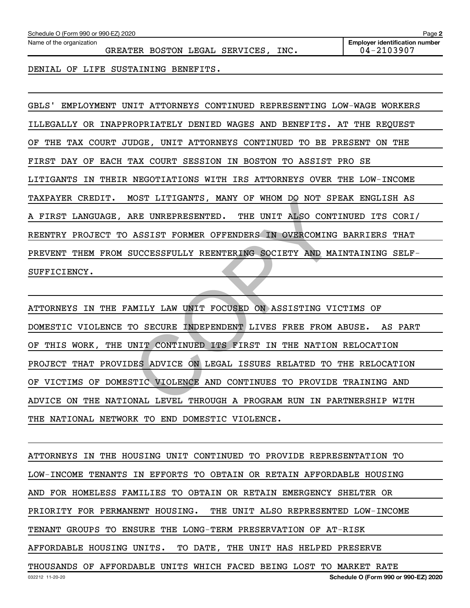DENIAL OF LIFE SUSTAINING BENEFITS.

GBLS' EMPLOYMENT UNIT ATTORNEYS CONTINUED REPRESENTING LOW-WAGE WORKERS ILLEGALLY OR INAPPROPRIATELY DENIED WAGES AND BENEFITS. AT THE REQUEST OF THE TAX COURT JUDGE, UNIT ATTORNEYS CONTINUED TO BE PRESENT ON THE FIRST DAY OF EACH TAX COURT SESSION IN BOSTON TO ASSIST PRO SE LITIGANTS IN THEIR NEGOTIATIONS WITH IRS ATTORNEYS OVER THE LOW-INCOME TAXPAYER CREDIT. MOST LITIGANTS, MANY OF WHOM DO NOT SPEAK ENGLISH AS A FIRST LANGUAGE, ARE UNREPRESENTED. THE UNIT ALSO CONTINUED ITS CORI/ REENTRY PROJECT TO ASSIST FORMER OFFENDERS IN OVERCOMING BARRIERS THAT PREVENT THEM FROM SUCCESSFULLY REENTERING SOCIETY AND MAINTAINING SELF-SUFFICIENCY.

ATTORNEYS IN THE FAMILY LAW UNIT FOCUSED ON ASSISTING VICTIMS OF DOMESTIC VIOLENCE TO SECURE INDEPENDENT LIVES FREE FROM ABUSE. AS PART OF THIS WORK, THE UNIT CONTINUED ITS FIRST IN THE NATION RELOCATION PROJECT THAT PROVIDES ADVICE ON LEGAL ISSUES RELATED TO THE RELOCATION OF VICTIMS OF DOMESTIC VIOLENCE AND CONTINUES TO PROVIDE TRAINING AND ADVICE ON THE NATIONAL LEVEL THROUGH A PROGRAM RUN IN PARTNERSHIP WITH THE NATIONAL NETWORK TO END DOMESTIC VIOLENCE. NAE UNREPRESENTED. THE UNIT ALSO CONT.<br>ARE UNREPRESENTED. THE UNIT ALSO CONT.<br>ASSIST FORMER OFFENDERS IN OVERCOMING<br>SUCCESSFULLY REENTERING SOCIETY AND MA.<br>MILY LAW UNIT FOCUSED ON ASSISTING VION<br>TO SECURE INDEPENDENT LIVE

ATTORNEYS IN THE HOUSING UNIT CONTINUED TO PROVIDE REPRESENTATION TO LOW-INCOME TENANTS IN EFFORTS TO OBTAIN OR RETAIN AFFORDABLE HOUSING AND FOR HOMELESS FAMILIES TO OBTAIN OR RETAIN EMERGENCY SHELTER OR PRIORITY FOR PERMANENT HOUSING. THE UNIT ALSO REPRESENTED LOW-INCOME TENANT GROUPS TO ENSURE THE LONG-TERM PRESERVATION OF AT-RISK AFFORDABLE HOUSING UNITS. TO DATE, THE UNIT HAS HELPED PRESERVE THOUSANDS OF AFFORDABLE UNITS WHICH FACED BEING LOST TO MARKET RATE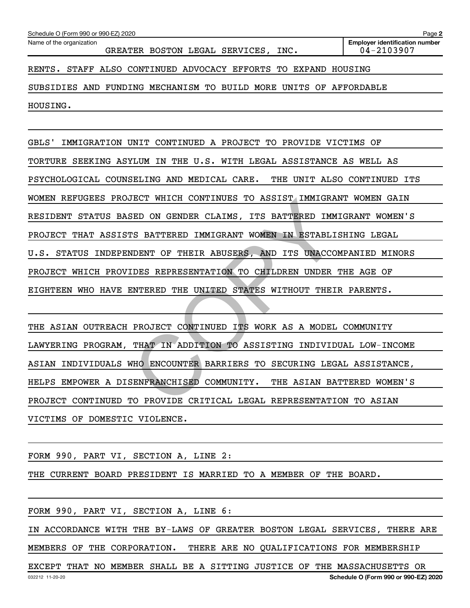| Schedule O (Form 990 or 990-EZ) 2020 | Page 2 |                                |      |                                       |
|--------------------------------------|--------|--------------------------------|------|---------------------------------------|
| Name of the organization             |        |                                |      | <b>Emplover identification number</b> |
|                                      |        | GREATER BOSTON LEGAL SERVICES, | INC. | 04-2103907                            |

RENTS. STAFF ALSO CONTINUED ADVOCACY EFFORTS TO EXPAND HOUSING

SUBSIDIES AND FUNDING MECHANISM TO BUILD MORE UNITS OF AFFORDABLE

HOUSING.

GBLS' IMMIGRATION UNIT CONTINUED A PROJECT TO PROVIDE VICTIMS OF TORTURE SEEKING ASYLUM IN THE U.S. WITH LEGAL ASSISTANCE AS WELL AS PSYCHOLOGICAL COUNSELING AND MEDICAL CARE. THE UNIT ALSO CONTINUED ITS WOMEN REFUGEES PROJECT WHICH CONTINUES TO ASSIST IMMIGRANT WOMEN GAIN RESIDENT STATUS BASED ON GENDER CLAIMS, ITS BATTERED IMMIGRANT WOMEN'S PROJECT THAT ASSISTS BATTERED IMMIGRANT WOMEN IN ESTABLISHING LEGAL U.S. STATUS INDEPENDENT OF THEIR ABUSERS, AND ITS UNACCOMPANIED MINORS PROJECT WHICH PROVIDES REPRESENTATION TO CHILDREN UNDER THE AGE OF EIGHTEEN WHO HAVE ENTERED THE UNITED STATES WITHOUT THEIR PARENTS. BED ON GENDER CLAIMS, ITS BATTERED IMMIGRAM<br>TES BATTERED IMMIGRANT WOMEN IN ESTABLIST<br>NDENT OF THEIR ABUSERS, AND ITS UNACCOLORES REPRESENTATION TO CHILDREN UNDER<br>NTERED THE UNITED STATES WITHOUT THEID<br>PROJECT CONTINUED IT

THE ASIAN OUTREACH PROJECT CONTINUED ITS WORK AS A MODEL COMMUNITY LAWYERING PROGRAM, THAT IN ADDITION TO ASSISTING INDIVIDUAL LOW-INCOME ASIAN INDIVIDUALS WHO ENCOUNTER BARRIERS TO SECURING LEGAL ASSISTANCE, HELPS EMPOWER A DISENFRANCHISED COMMUNITY. THE ASIAN BATTERED WOMEN'S PROJECT CONTINUED TO PROVIDE CRITICAL LEGAL REPRESENTATION TO ASIAN VICTIMS OF DOMESTIC VIOLENCE.

FORM 990, PART VI, SECTION A, LINE 2:

THE CURRENT BOARD PRESIDENT IS MARRIED TO A MEMBER OF THE BOARD.

FORM 990, PART VI, SECTION A, LINE 6:

IN ACCORDANCE WITH THE BY-LAWS OF GREATER BOSTON LEGAL SERVICES, THERE ARE

MEMBERS OF THE CORPORATION. THERE ARE NO QUALIFICATIONS FOR MEMBERSHIP

032212 11-20-20 **Schedule O (Form 990 or 990-EZ) 2020** EXCEPT THAT NO MEMBER SHALL BE A SITTING JUSTICE OF THE MASSACHUSETTS OR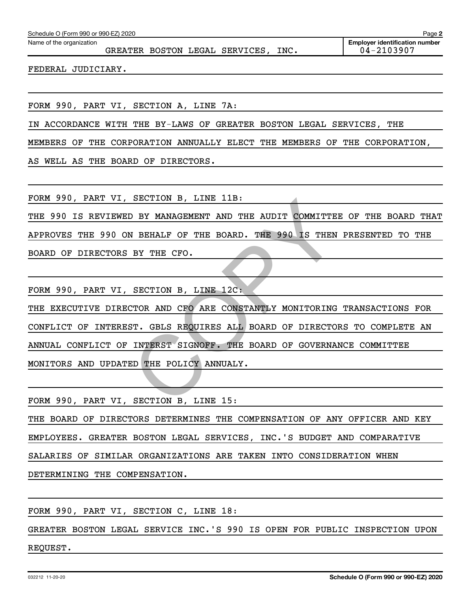|                                        |  | GREATER BOSTON LEGAL SERVICES, INC. |  | <b>Employer identification number</b><br>04-2103907 |
|----------------------------------------|--|-------------------------------------|--|-----------------------------------------------------|
| FEDERAL JUDICIARY.                     |  |                                     |  |                                                     |
|                                        |  |                                     |  |                                                     |
| FORM 990, PART VI, SECTION A, LINE 7A: |  |                                     |  |                                                     |

MEMBERS OF THE CORPORATION ANNUALLY ELECT THE MEMBERS OF THE CORPORATION,

AS WELL AS THE BOARD OF DIRECTORS.

FORM 990, PART VI, SECTION B, LINE 11B:

THE 990 IS REVIEWED BY MANAGEMENT AND THE AUDIT COMMITTEE OF THE BOARD THAT APPROVES THE 990 ON BEHALF OF THE BOARD. THE 990 IS THEN PRESENTED TO THE BOARD OF DIRECTORS BY THE CFO.

FORM 990, PART VI, SECTION B, LINE 12C:

THE EXECUTIVE DIRECTOR AND CFO ARE CONSTANTLY MONITORING TRANSACTIONS FOR CONFLICT OF INTEREST. GBLS REQUIRES ALL BOARD OF DIRECTORS TO COMPLETE AN ANNUAL CONFLICT OF INTERST SIGNOFF. THE BOARD OF GOVERNANCE COMMITTEE MONITORS AND UPDATED THE POLICY ANNUALY. SECTION B, LINE IIB:<br>
N BEHALF OF THE BOARD. THE 990 IS THEN<br>
BY THE CFO.<br>
SECTION B, LINE 12C:<br>
CTOR AND CFO ARE CONSTANTLY MONITORING<br>
ST. GBLS REQUIRES ALL BOARD OF DIRECTOI<br>
INTERST SIGNOFF. THE BOARD OF GOVERNAL<br>
SD T

FORM 990, PART VI, SECTION B, LINE 15:

THE BOARD OF DIRECTORS DETERMINES THE COMPENSATION OF ANY OFFICER AND KEY EMPLOYEES. GREATER BOSTON LEGAL SERVICES, INC.'S BUDGET AND COMPARATIVE SALARIES OF SIMILAR ORGANIZATIONS ARE TAKEN INTO CONSIDERATION WHEN DETERMINING THE COMPENSATION.

FORM 990, PART VI, SECTION C, LINE 18:

GREATER BOSTON LEGAL SERVICE INC.'S 990 IS OPEN FOR PUBLIC INSPECTION UPON

REQUEST.